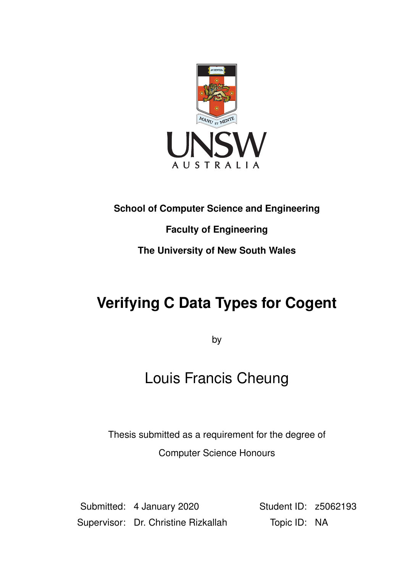

## **School of Computer Science and Engineering**

### **Faculty of Engineering**

**The University of New South Wales**

# **Verifying C Data Types for Cogent**

by

# Louis Francis Cheung

Thesis submitted as a requirement for the degree of Computer Science Honours

Submitted: 4 January 2020 Supervisor: Dr. Christine Rizkallah Student ID: z5062193 Topic ID: NA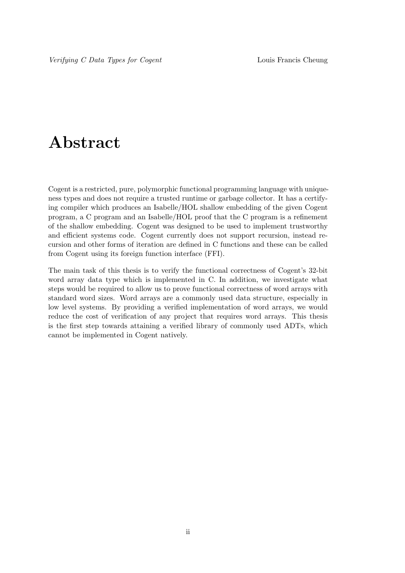# <span id="page-1-0"></span>Abstract

Cogent is a restricted, pure, polymorphic functional programming language with uniqueness types and does not require a trusted runtime or garbage collector. It has a certifying compiler which produces an Isabelle/HOL shallow embedding of the given Cogent program, a C program and an Isabelle/HOL proof that the C program is a refinement of the shallow embedding. Cogent was designed to be used to implement trustworthy and efficient systems code. Cogent currently does not support recursion, instead recursion and other forms of iteration are defined in C functions and these can be called from Cogent using its foreign function interface (FFI).

The main task of this thesis is to verify the functional correctness of Cogent's 32-bit word array data type which is implemented in C. In addition, we investigate what steps would be required to allow us to prove functional correctness of word arrays with standard word sizes. Word arrays are a commonly used data structure, especially in low level systems. By providing a verified implementation of word arrays, we would reduce the cost of verification of any project that requires word arrays. This thesis is the first step towards attaining a verified library of commonly used ADTs, which cannot be implemented in Cogent natively.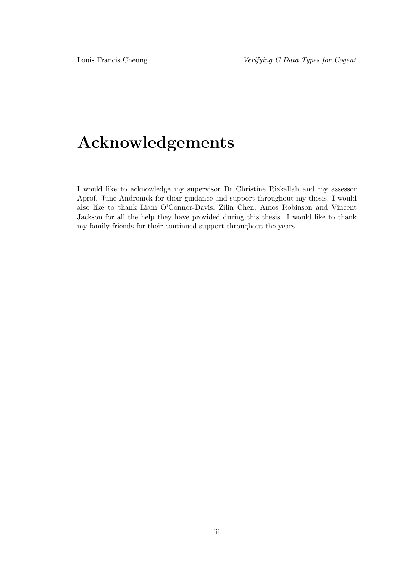# Acknowledgements

I would like to acknowledge my supervisor Dr Christine Rizkallah and my assessor Aprof. June Andronick for their guidance and support throughout my thesis. I would also like to thank Liam O'Connor-Davis, Zilin Chen, Amos Robinson and Vincent Jackson for all the help they have provided during this thesis. I would like to thank my family friends for their continued support throughout the years.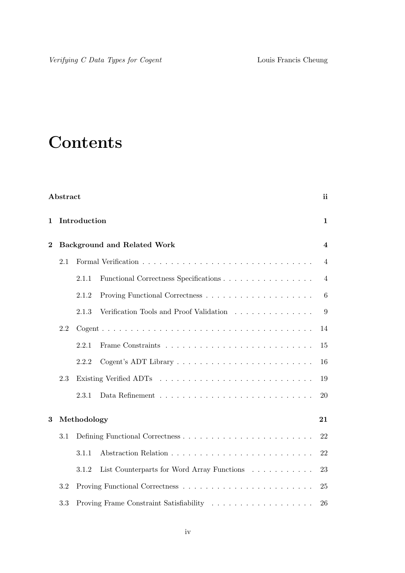# **Contents**

| Abstract                                               |             |              |                                            |                |  |
|--------------------------------------------------------|-------------|--------------|--------------------------------------------|----------------|--|
| 1                                                      |             | Introduction |                                            |                |  |
| <b>Background and Related Work</b><br>$\boldsymbol{2}$ |             |              |                                            | 4              |  |
|                                                        | 2.1         |              |                                            | $\overline{4}$ |  |
|                                                        |             | 2.1.1        | Functional Correctness Specifications      | $\overline{4}$ |  |
|                                                        |             | 2.1.2        |                                            | 6              |  |
|                                                        |             | 2.1.3        | Verification Tools and Proof Validation    | 9              |  |
|                                                        | 2.2         |              |                                            | 14             |  |
|                                                        |             | 2.2.1        |                                            | 15             |  |
|                                                        |             | 2.2.2        |                                            | 16             |  |
|                                                        | 2.3         |              |                                            |                |  |
|                                                        |             | 2.3.1        |                                            | 20             |  |
| 3                                                      | Methodology |              |                                            | 21             |  |
|                                                        | 3.1         |              |                                            |                |  |
|                                                        |             | 3.1.1        |                                            | 22             |  |
|                                                        |             | 3.1.2        | List Counterparts for Word Array Functions | 23             |  |
|                                                        | 3.2         |              |                                            | 25             |  |
|                                                        | 3.3         |              | Proving Frame Constraint Satisfiability    | 26             |  |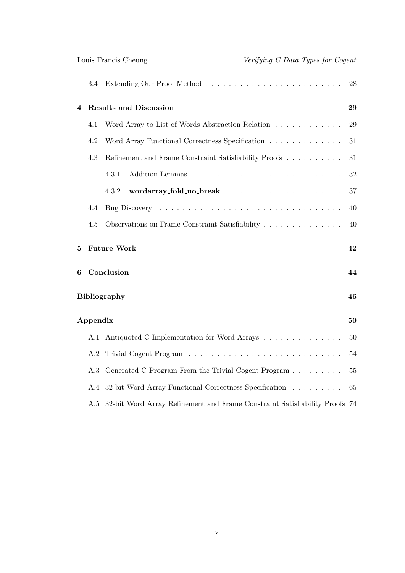|                | 3.4                       |                                                                            | 28 |  |  |  |
|----------------|---------------------------|----------------------------------------------------------------------------|----|--|--|--|
| 4              |                           | <b>Results and Discussion</b><br>29                                        |    |  |  |  |
|                | 4.1                       | Word Array to List of Words Abstraction Relation                           | 29 |  |  |  |
|                | 4.2                       | Word Array Functional Correctness Specification                            | 31 |  |  |  |
|                | 4.3                       | Refinement and Frame Constraint Satisfiability Proofs                      | 31 |  |  |  |
|                |                           | 4.3.1                                                                      | 32 |  |  |  |
|                |                           | 4.3.2                                                                      | 37 |  |  |  |
|                | 4.4                       |                                                                            | 40 |  |  |  |
|                | 4.5                       | Observations on Frame Constraint Satisfiability                            | 40 |  |  |  |
| 5              |                           | <b>Future Work</b>                                                         | 42 |  |  |  |
| 6              |                           | Conclusion                                                                 |    |  |  |  |
|                | <b>Bibliography</b><br>46 |                                                                            |    |  |  |  |
| Appendix<br>50 |                           |                                                                            |    |  |  |  |
|                | A.1                       | Antiquoted C Implementation for Word Arrays                                | 50 |  |  |  |
|                | A.2                       |                                                                            | 54 |  |  |  |
|                | A.3                       | Generated C Program From the Trivial Cogent Program                        | 55 |  |  |  |
|                |                           | A.4 32-bit Word Array Functional Correctness Specification                 | 65 |  |  |  |
|                | A.5                       | 32-bit Word Array Refinement and Frame Constraint Satisfiability Proofs 74 |    |  |  |  |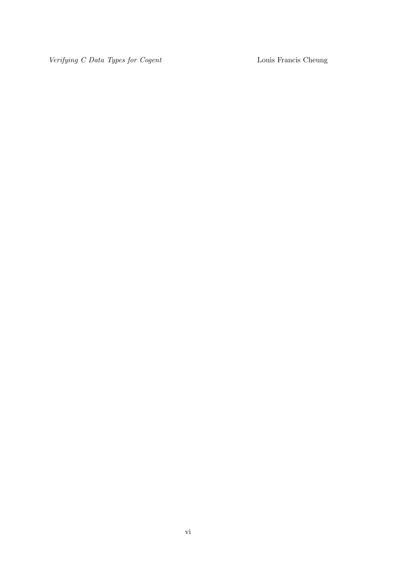Verifying C Data Types for Cogent Louis Francis Cheung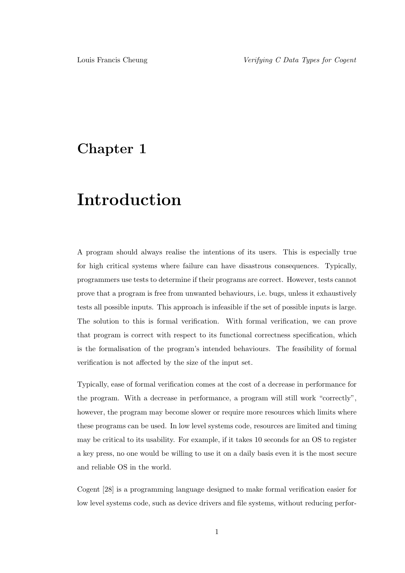## <span id="page-6-0"></span>Chapter 1

# Introduction

A program should always realise the intentions of its users. This is especially true for high critical systems where failure can have disastrous consequences. Typically, programmers use tests to determine if their programs are correct. However, tests cannot prove that a program is free from unwanted behaviours, i.e. bugs, unless it exhaustively tests all possible inputs. This approach is infeasible if the set of possible inputs is large. The solution to this is formal verification. With formal verification, we can prove that program is correct with respect to its functional correctness specification, which is the formalisation of the program's intended behaviours. The feasibility of formal verification is not affected by the size of the input set.

Typically, ease of formal verification comes at the cost of a decrease in performance for the program. With a decrease in performance, a program will still work "correctly", however, the program may become slower or require more resources which limits where these programs can be used. In low level systems code, resources are limited and timing may be critical to its usability. For example, if it takes 10 seconds for an OS to register a key press, no one would be willing to use it on a daily basis even it is the most secure and reliable OS in the world.

Cogent [\[28\]](#page-54-0) is a programming language designed to make formal verification easier for low level systems code, such as device drivers and file systems, without reducing perfor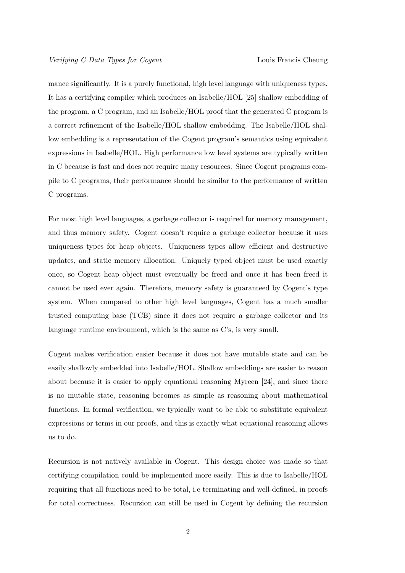mance significantly. It is a purely functional, high level language with uniqueness types. It has a certifying compiler which produces an Isabelle/HOL [\[25\]](#page-53-0) shallow embedding of the program, a C program, and an Isabelle/HOL proof that the generated C program is a correct refinement of the Isabelle/HOL shallow embedding. The Isabelle/HOL shallow embedding is a representation of the Cogent program's semantics using equivalent expressions in Isabelle/HOL. High performance low level systems are typically written in C because is fast and does not require many resources. Since Cogent programs compile to C programs, their performance should be similar to the performance of written C programs.

For most high level languages, a garbage collector is required for memory management, and thus memory safety. Cogent doesn't require a garbage collector because it uses uniqueness types for heap objects. Uniqueness types allow efficient and destructive updates, and static memory allocation. Uniquely typed object must be used exactly once, so Cogent heap object must eventually be freed and once it has been freed it cannot be used ever again. Therefore, memory safety is guaranteed by Cogent's type system. When compared to other high level languages, Cogent has a much smaller trusted computing base (TCB) since it does not require a garbage collector and its language runtime environment, which is the same as C's, is very small.

Cogent makes verification easier because it does not have mutable state and can be easily shallowly embedded into Isabelle/HOL. Shallow embeddings are easier to reason about because it is easier to apply equational reasoning Myreen [\[24\]](#page-53-1), and since there is no mutable state, reasoning becomes as simple as reasoning about mathematical functions. In formal verification, we typically want to be able to substitute equivalent expressions or terms in our proofs, and this is exactly what equational reasoning allows us to do.

Recursion is not natively available in Cogent. This design choice was made so that certifying compilation could be implemented more easily. This is due to Isabelle/HOL requiring that all functions need to be total, i.e terminating and well-defined, in proofs for total correctness. Recursion can still be used in Cogent by defining the recursion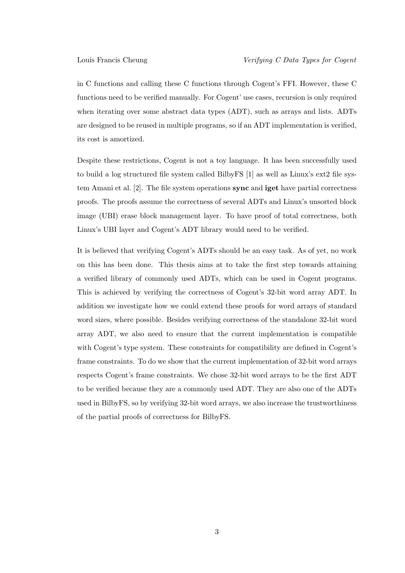in C functions and calling these C functions through Cogent's FFI. However, these C functions need to be verified manually. For Cogent' use cases, recursion is only required when iterating over some abstract data types (ADT), such as arrays and lists. ADTs are designed to be reused in multiple programs, so if an ADT implementation is verified, its cost is amortized.

Despite these restrictions, Cogent is not a toy language. It has been successfully used to build a log structured file system called BilbyFS [\[1\]](#page-51-0) as well as Linux's ext2 file system Amani et al. [\[2\]](#page-51-1). The file system operations sync and iget have partial correctness proofs. The proofs assume the correctness of several ADTs and Linux's unsorted block image (UBI) erase block management layer. To have proof of total correctness, both Linux's UBI layer and Cogent's ADT library would need to be verified.

It is believed that verifying Cogent's ADTs should be an easy task. As of yet, no work on this has been done. This thesis aims at to take the first step towards attaining a verified library of commonly used ADTs, which can be used in Cogent programs. This is achieved by verifying the correctness of Cogent's 32-bit word array ADT. In addition we investigate how we could extend these proofs for word arrays of standard word sizes, where possible. Besides verifying correctness of the standalone 32-bit word array ADT, we also need to ensure that the current implementation is compatible with Cogent's type system. These constraints for compatibility are defined in Cogent's frame constraints. To do we show that the current implementation of 32-bit word arrays respects Cogent's frame constraints. We chose 32-bit word arrays to be the first ADT to be verified because they are a commonly used ADT. They are also one of the ADTs used in BilbyFS, so by verifying 32-bit word arrays, we also increase the trustworthiness of the partial proofs of correctness for BilbyFS.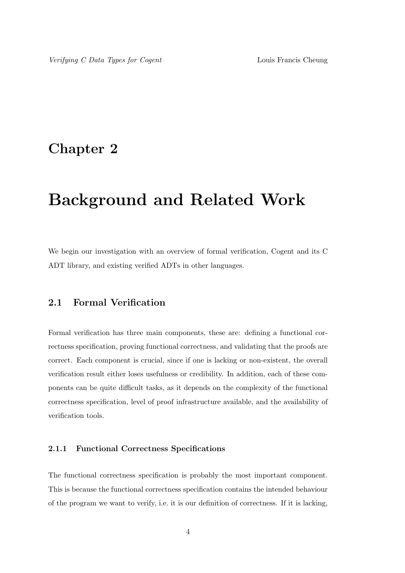## <span id="page-9-0"></span>Chapter 2

# Background and Related Work

We begin our investigation with an overview of formal verification, Cogent and its C ADT library, and existing verified ADTs in other languages.

### <span id="page-9-1"></span>2.1 Formal Verification

Formal verification has three main components, these are: defining a functional correctness specification, proving functional correctness, and validating that the proofs are correct. Each component is crucial, since if one is lacking or non-existent, the overall verification result either loses usefulness or credibility. In addition, each of these components can be quite difficult tasks, as it depends on the complexity of the functional correctness specification, level of proof infrastructure available, and the availability of verification tools.

#### <span id="page-9-2"></span>2.1.1 Functional Correctness Specifications

The functional correctness specification is probably the most important component. This is because the functional correctness specification contains the intended behaviour of the program we want to verify, i.e. it is our definition of correctness. If it is lacking,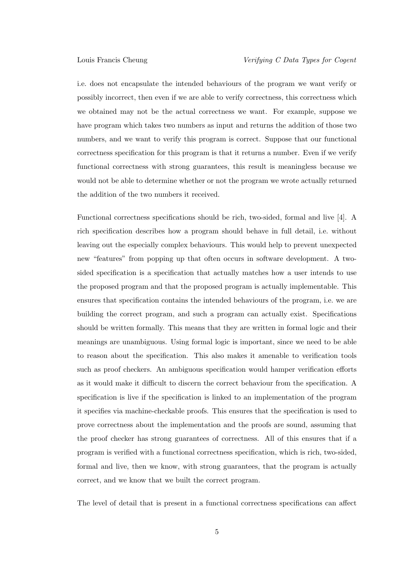i.e. does not encapsulate the intended behaviours of the program we want verify or possibly incorrect, then even if we are able to verify correctness, this correctness which we obtained may not be the actual correctness we want. For example, suppose we have program which takes two numbers as input and returns the addition of those two numbers, and we want to verify this program is correct. Suppose that our functional correctness specification for this program is that it returns a number. Even if we verify functional correctness with strong guarantees, this result is meaningless because we would not be able to determine whether or not the program we wrote actually returned the addition of the two numbers it received.

Functional correctness specifications should be rich, two-sided, formal and live [\[4\]](#page-51-2). A rich specification describes how a program should behave in full detail, i.e. without leaving out the especially complex behaviours. This would help to prevent unexpected new "features" from popping up that often occurs in software development. A twosided specification is a specification that actually matches how a user intends to use the proposed program and that the proposed program is actually implementable. This ensures that specification contains the intended behaviours of the program, i.e. we are building the correct program, and such a program can actually exist. Specifications should be written formally. This means that they are written in formal logic and their meanings are unambiguous. Using formal logic is important, since we need to be able to reason about the specification. This also makes it amenable to verification tools such as proof checkers. An ambiguous specification would hamper verification efforts as it would make it difficult to discern the correct behaviour from the specification. A specification is live if the specification is linked to an implementation of the program it specifies via machine-checkable proofs. This ensures that the specification is used to prove correctness about the implementation and the proofs are sound, assuming that the proof checker has strong guarantees of correctness. All of this ensures that if a program is verified with a functional correctness specification, which is rich, two-sided, formal and live, then we know, with strong guarantees, that the program is actually correct, and we know that we built the correct program.

The level of detail that is present in a functional correctness specifications can affect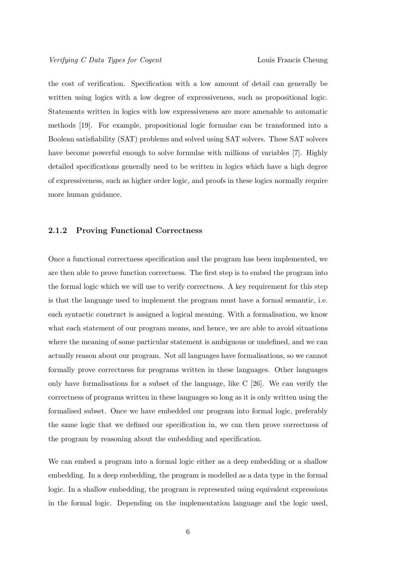the cost of verification. Specification with a low amount of detail can generally be written using logics with a low degree of expressiveness, such as propositional logic. Statements written in logics with low expressiveness are more amenable to automatic methods [\[19\]](#page-53-2). For example, propositional logic formulae can be transformed into a Boolean satisfiability (SAT) problems and solved using SAT solvers. These SAT solvers have become powerful enough to solve formulae with millions of variables [\[7\]](#page-51-3). Highly detailed specifications generally need to be written in logics which have a high degree of expressiveness, such as higher order logic, and proofs in these logics normally require more human guidance.

#### <span id="page-11-0"></span>2.1.2 Proving Functional Correctness

Once a functional correctness specification and the program has been implemented, we are then able to prove function correctness. The first step is to embed the program into the formal logic which we will use to verify correctness. A key requirement for this step is that the language used to implement the program must have a formal semantic, i.e. each syntactic construct is assigned a logical meaning. With a formalisation, we know what each statement of our program means, and hence, we are able to avoid situations where the meaning of some particular statement is ambiguous or undefined, and we can actually reason about our program. Not all languages have formalisations, so we cannot formally prove correctness for programs written in these languages. Other languages only have formalisations for a subset of the language, like C [\[26\]](#page-53-3). We can verify the correctness of programs written in these languages so long as it is only written using the formalised subset. Once we have embedded our program into formal logic, preferably the same logic that we defined our specification in, we can then prove correctness of the program by reasoning about the embedding and specification.

We can embed a program into a formal logic either as a deep embedding or a shallow embedding. In a deep embedding, the program is modelled as a data type in the formal logic. In a shallow embedding, the program is represented using equivalent expressions in the formal logic. Depending on the implementation language and the logic used,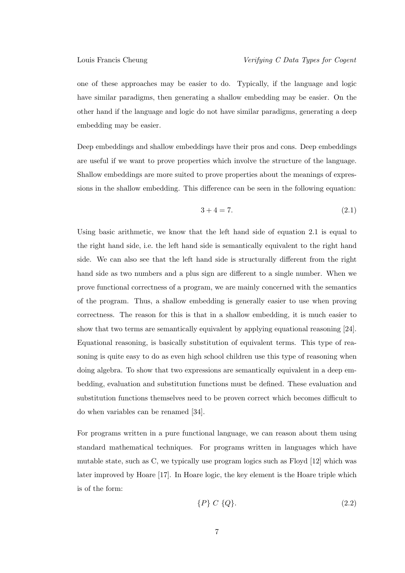one of these approaches may be easier to do. Typically, if the language and logic have similar paradigms, then generating a shallow embedding may be easier. On the other hand if the language and logic do not have similar paradigms, generating a deep embedding may be easier.

Deep embeddings and shallow embeddings have their pros and cons. Deep embeddings are useful if we want to prove properties which involve the structure of the language. Shallow embeddings are more suited to prove properties about the meanings of expressions in the shallow embedding. This difference can be seen in the following equation:

<span id="page-12-0"></span>
$$
3 + 4 = 7.\t(2.1)
$$

Using basic arithmetic, we know that the left hand side of equation [2.1](#page-12-0) is equal to the right hand side, i.e. the left hand side is semantically equivalent to the right hand side. We can also see that the left hand side is structurally different from the right hand side as two numbers and a plus sign are different to a single number. When we prove functional correctness of a program, we are mainly concerned with the semantics of the program. Thus, a shallow embedding is generally easier to use when proving correctness. The reason for this is that in a shallow embedding, it is much easier to show that two terms are semantically equivalent by applying equational reasoning [\[24\]](#page-53-1). Equational reasoning, is basically substitution of equivalent terms. This type of reasoning is quite easy to do as even high school children use this type of reasoning when doing algebra. To show that two expressions are semantically equivalent in a deep embedding, evaluation and substitution functions must be defined. These evaluation and substitution functions themselves need to be proven correct which becomes difficult to do when variables can be renamed [\[34\]](#page-54-1).

For programs written in a pure functional language, we can reason about them using standard mathematical techniques. For programs written in languages which have mutable state, such as C, we typically use program logics such as Floyd [\[12\]](#page-52-0) which was later improved by Hoare [\[17\]](#page-52-1). In Hoare logic, the key element is the Hoare triple which is of the form:

<span id="page-12-1"></span>
$$
\{P\} \ C \ \{Q\}.\tag{2.2}
$$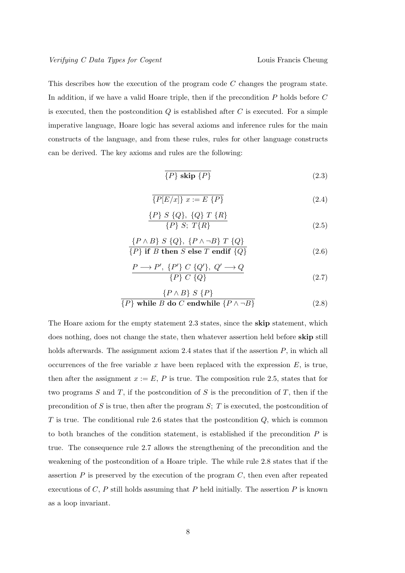This describes how the execution of the program code C changes the program state. In addition, if we have a valid Hoare triple, then if the precondition  $P$  holds before  $C$ is executed, then the postcondition  $Q$  is established after  $C$  is executed. For a simple imperative language, Hoare logic has several axioms and inference rules for the main constructs of the language, and from these rules, rules for other language constructs can be derived. The key axioms and rules are the following:

<span id="page-13-0"></span>
$$
\overline{\{P\}\text{ skip }\{P\}}\tag{2.3}
$$

<span id="page-13-1"></span>
$$
\overline{\{P[E/x]\}\ x := E\ \{P\}}\tag{2.4}
$$

<span id="page-13-2"></span>
$$
\frac{\{P\} S \{Q\}, \{Q\} T \{R\}}{\{P\} S; T\{R\}}
$$
\n(2.5)

<span id="page-13-3"></span>
$$
\frac{\{P \land B\} S \{Q\}, \{P \land \neg B\} T \{Q\}}{\{P\} \text{ if } B \text{ then } S \text{ else } T \text{ endif } \{Q\}}
$$
\n(2.6)

<span id="page-13-4"></span>
$$
\frac{P \longrightarrow P', \{P'\} \ C \{Q'\}, \ Q' \longrightarrow Q}{\{P\} \ C \{Q\}} \tag{2.7}
$$

<span id="page-13-5"></span>
$$
\frac{\{P \wedge B\} S \{P\}}{\{P\} \text{ while } B \text{ do } C \text{ endwhile } \{P \wedge \neg B\}}
$$
(2.8)

The Hoare axiom for the empty statement [2.3](#page-13-0) states, since the skip statement, which does nothing, does not change the state, then whatever assertion held before skip still holds afterwards. The assignment axiom [2.4](#page-13-1) states that if the assertion  $P$ , in which all occurrences of the free variable  $x$  have been replaced with the expression  $E$ , is true, then after the assignment  $x := E$ , P is true. The composition rule [2.5,](#page-13-2) states that for two programs  $S$  and  $T$ , if the postcondition of  $S$  is the precondition of  $T$ , then if the precondition of S is true, then after the program  $S$ ; T is executed, the postcondition of  $T$  is true. The conditional rule [2.6](#page-13-3) states that the postcondition  $Q$ , which is common to both branches of the condition statement, is established if the precondition  $P$  is true. The consequence rule [2.7](#page-13-4) allows the strengthening of the precondition and the weakening of the postcondition of a Hoare triple. The while rule [2.8](#page-13-5) states that if the assertion  $P$  is preserved by the execution of the program  $C$ , then even after repeated executions of  $C, P$  still holds assuming that P held initially. The assertion P is known as a loop invariant.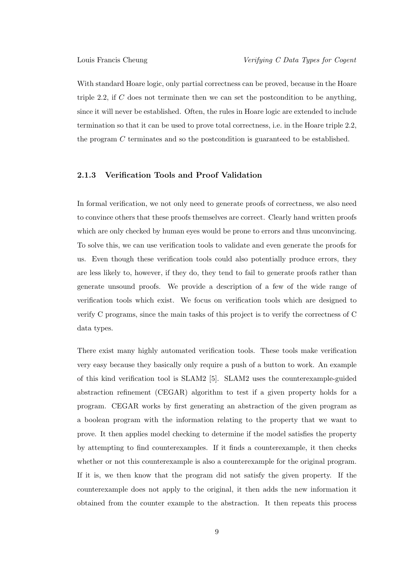With standard Hoare logic, only partial correctness can be proved, because in the Hoare triple [2.2,](#page-12-1) if  $C$  does not terminate then we can set the postcondition to be anything, since it will never be established. Often, the rules in Hoare logic are extended to include termination so that it can be used to prove total correctness, i.e. in the Hoare triple [2.2,](#page-12-1) the program C terminates and so the postcondition is guaranteed to be established.

#### <span id="page-14-0"></span>2.1.3 Verification Tools and Proof Validation

In formal verification, we not only need to generate proofs of correctness, we also need to convince others that these proofs themselves are correct. Clearly hand written proofs which are only checked by human eyes would be prone to errors and thus unconvincing. To solve this, we can use verification tools to validate and even generate the proofs for us. Even though these verification tools could also potentially produce errors, they are less likely to, however, if they do, they tend to fail to generate proofs rather than generate unsound proofs. We provide a description of a few of the wide range of verification tools which exist. We focus on verification tools which are designed to verify C programs, since the main tasks of this project is to verify the correctness of C data types.

There exist many highly automated verification tools. These tools make verification very easy because they basically only require a push of a button to work. An example of this kind verification tool is SLAM2 [\[5\]](#page-51-4). SLAM2 uses the counterexample-guided abstraction refinement (CEGAR) algorithm to test if a given property holds for a program. CEGAR works by first generating an abstraction of the given program as a boolean program with the information relating to the property that we want to prove. It then applies model checking to determine if the model satisfies the property by attempting to find counterexamples. If it finds a counterexample, it then checks whether or not this counterexample is also a counterexample for the original program. If it is, we then know that the program did not satisfy the given property. If the counterexample does not apply to the original, it then adds the new information it obtained from the counter example to the abstraction. It then repeats this process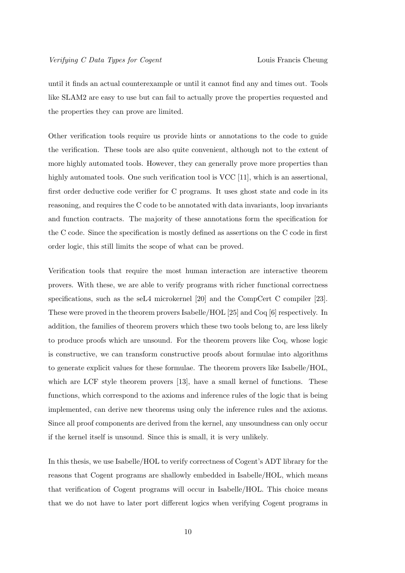until it finds an actual counterexample or until it cannot find any and times out. Tools like SLAM2 are easy to use but can fail to actually prove the properties requested and the properties they can prove are limited.

Other verification tools require us provide hints or annotations to the code to guide the verification. These tools are also quite convenient, although not to the extent of more highly automated tools. However, they can generally prove more properties than highly automated tools. One such verification tool is VCC [\[11\]](#page-52-2), which is an assertional, first order deductive code verifier for C programs. It uses ghost state and code in its reasoning, and requires the C code to be annotated with data invariants, loop invariants and function contracts. The majority of these annotations form the specification for the C code. Since the specification is mostly defined as assertions on the C code in first order logic, this still limits the scope of what can be proved.

Verification tools that require the most human interaction are interactive theorem provers. With these, we are able to verify programs with richer functional correctness specifications, such as the seL4 microkernel [\[20\]](#page-53-4) and the CompCert C compiler [\[23\]](#page-53-5). These were proved in the theorem provers Isabelle/HOL [\[25\]](#page-53-0) and Coq [\[6\]](#page-51-5) respectively. In addition, the families of theorem provers which these two tools belong to, are less likely to produce proofs which are unsound. For the theorem provers like Coq, whose logic is constructive, we can transform constructive proofs about formulae into algorithms to generate explicit values for these formulae. The theorem provers like Isabelle/HOL, which are LCF style theorem provers [\[13\]](#page-52-3), have a small kernel of functions. These functions, which correspond to the axioms and inference rules of the logic that is being implemented, can derive new theorems using only the inference rules and the axioms. Since all proof components are derived from the kernel, any unsoundness can only occur if the kernel itself is unsound. Since this is small, it is very unlikely.

In this thesis, we use Isabelle/HOL to verify correctness of Cogent's ADT library for the reasons that Cogent programs are shallowly embedded in Isabelle/HOL, which means that verification of Cogent programs will occur in Isabelle/HOL. This choice means that we do not have to later port different logics when verifying Cogent programs in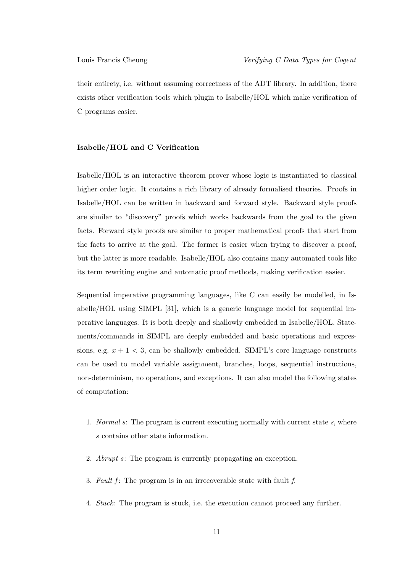their entirety, i.e. without assuming correctness of the ADT library. In addition, there exists other verification tools which plugin to Isabelle/HOL which make verification of C programs easier.

#### Isabelle/HOL and C Verification

Isabelle/HOL is an interactive theorem prover whose logic is instantiated to classical higher order logic. It contains a rich library of already formalised theories. Proofs in Isabelle/HOL can be written in backward and forward style. Backward style proofs are similar to "discovery" proofs which works backwards from the goal to the given facts. Forward style proofs are similar to proper mathematical proofs that start from the facts to arrive at the goal. The former is easier when trying to discover a proof, but the latter is more readable. Isabelle/HOL also contains many automated tools like its term rewriting engine and automatic proof methods, making verification easier.

Sequential imperative programming languages, like C can easily be modelled, in Isabelle/HOL using SIMPL [\[31\]](#page-54-2), which is a generic language model for sequential imperative languages. It is both deeply and shallowly embedded in Isabelle/HOL. Statements/commands in SIMPL are deeply embedded and basic operations and expressions, e.g.  $x + 1 < 3$ , can be shallowly embedded. SIMPL's core language constructs can be used to model variable assignment, branches, loops, sequential instructions, non-determinism, no operations, and exceptions. It can also model the following states of computation:

- 1. Normal s: The program is current executing normally with current state s, where s contains other state information.
- 2. *Abrupt s*: The program is currently propagating an exception.
- 3. Fault  $f$ : The program is in an irrecoverable state with fault  $f$ .
- 4. Stuck: The program is stuck, i.e. the execution cannot proceed any further.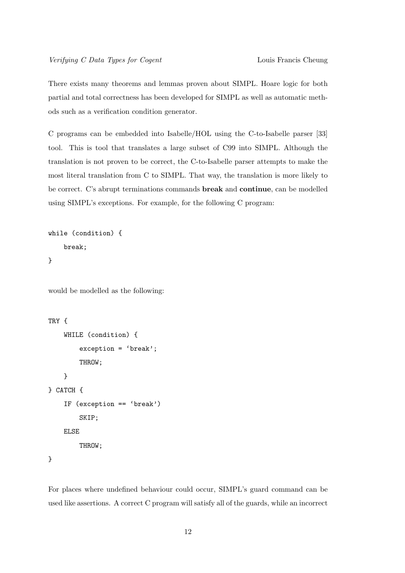There exists many theorems and lemmas proven about SIMPL. Hoare logic for both partial and total correctness has been developed for SIMPL as well as automatic methods such as a verification condition generator.

C programs can be embedded into Isabelle/HOL using the C-to-Isabelle parser [\[33\]](#page-54-3) tool. This is tool that translates a large subset of C99 into SIMPL. Although the translation is not proven to be correct, the C-to-Isabelle parser attempts to make the most literal translation from C to SIMPL. That way, the translation is more likely to be correct. C's abrupt terminations commands break and continue, can be modelled using SIMPL's exceptions. For example, for the following C program:

```
while (condition) {
    break;
}
```
would be modelled as the following:

```
TRY {
    WHILE (condition) {
        exception = 'break';
        THROW;
    }
} CATCH {
    IF (exception == 'break')
        SKIP;
    ELSE
        THROW;
```
}

For places where undefined behaviour could occur, SIMPL's guard command can be used like assertions. A correct C program will satisfy all of the guards, while an incorrect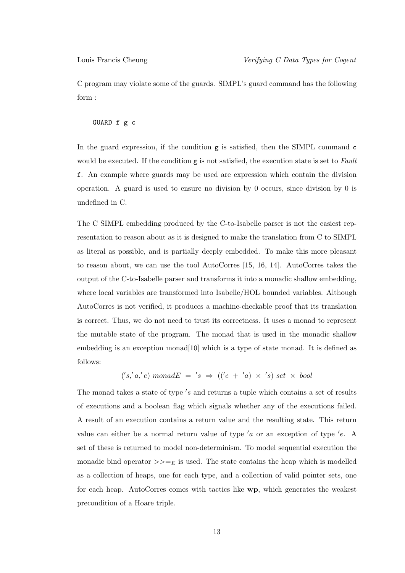C program may violate some of the guards. SIMPL's guard command has the following form :

#### GUARD f g c

In the guard expression, if the condition  $g$  is satisfied, then the SIMPL command  $c$ would be executed. If the condition g is not satisfied, the execution state is set to Fault f. An example where guards may be used are expression which contain the division operation. A guard is used to ensure no division by 0 occurs, since division by 0 is undefined in C.

The C SIMPL embedding produced by the C-to-Isabelle parser is not the easiest representation to reason about as it is designed to make the translation from C to SIMPL as literal as possible, and is partially deeply embedded. To make this more pleasant to reason about, we can use the tool AutoCorres [\[15,](#page-52-4) [16,](#page-52-5) [14\]](#page-52-6). AutoCorres takes the output of the C-to-Isabelle parser and transforms it into a monadic shallow embedding, where local variables are transformed into Isabelle/HOL bounded variables. Although AutoCorres is not verified, it produces a machine-checkable proof that its translation is correct. Thus, we do not need to trust its correctness. It uses a monad to represent the mutable state of the program. The monad that is used in the monadic shallow embedding is an exception monad $[10]$  which is a type of state monad. It is defined as follows:

$$
('s,'a,'e) monadE = 's \Rightarrow (('e + 'a) \times 's) set \times bool
$$

The monad takes a state of type  $'s$  and returns a tuple which contains a set of results of executions and a boolean flag which signals whether any of the executions failed. A result of an execution contains a return value and the resulting state. This return value can either be a normal return value of type  $'a$  or an exception of type  $'e$ . A set of these is returned to model non-determinism. To model sequential execution the monadic bind operator  $\gg_E$  is used. The state contains the heap which is modelled as a collection of heaps, one for each type, and a collection of valid pointer sets, one for each heap. AutoCorres comes with tactics like wp, which generates the weakest precondition of a Hoare triple.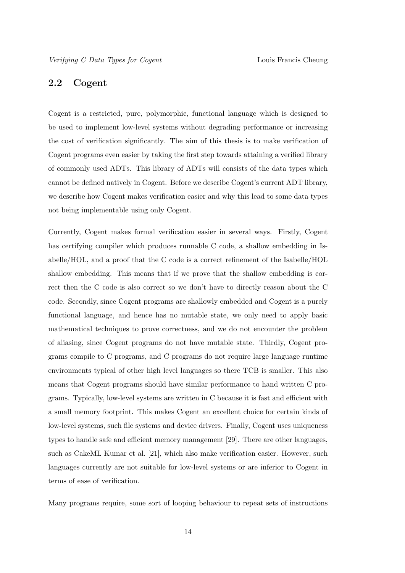### <span id="page-19-0"></span>2.2 Cogent

Cogent is a restricted, pure, polymorphic, functional language which is designed to be used to implement low-level systems without degrading performance or increasing the cost of verification significantly. The aim of this thesis is to make verification of Cogent programs even easier by taking the first step towards attaining a verified library of commonly used ADTs. This library of ADTs will consists of the data types which cannot be defined natively in Cogent. Before we describe Cogent's current ADT library, we describe how Cogent makes verification easier and why this lead to some data types not being implementable using only Cogent.

Currently, Cogent makes formal verification easier in several ways. Firstly, Cogent has certifying compiler which produces runnable C code, a shallow embedding in Isabelle/HOL, and a proof that the C code is a correct refinement of the Isabelle/HOL shallow embedding. This means that if we prove that the shallow embedding is correct then the C code is also correct so we don't have to directly reason about the C code. Secondly, since Cogent programs are shallowly embedded and Cogent is a purely functional language, and hence has no mutable state, we only need to apply basic mathematical techniques to prove correctness, and we do not encounter the problem of aliasing, since Cogent programs do not have mutable state. Thirdly, Cogent programs compile to C programs, and C programs do not require large language runtime environments typical of other high level languages so there TCB is smaller. This also means that Cogent programs should have similar performance to hand written C programs. Typically, low-level systems are written in C because it is fast and efficient with a small memory footprint. This makes Cogent an excellent choice for certain kinds of low-level systems, such file systems and device drivers. Finally, Cogent uses uniqueness types to handle safe and efficient memory management [\[29\]](#page-54-4). There are other languages, such as CakeML Kumar et al. [\[21\]](#page-53-6), which also make verification easier. However, such languages currently are not suitable for low-level systems or are inferior to Cogent in terms of ease of verification.

Many programs require, some sort of looping behaviour to repeat sets of instructions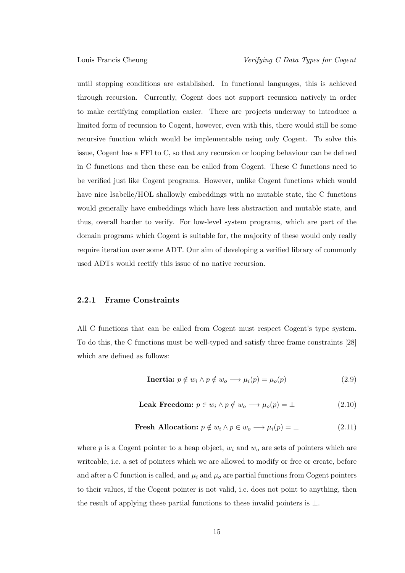until stopping conditions are established. In functional languages, this is achieved through recursion. Currently, Cogent does not support recursion natively in order to make certifying compilation easier. There are projects underway to introduce a limited form of recursion to Cogent, however, even with this, there would still be some recursive function which would be implementable using only Cogent. To solve this issue, Cogent has a FFI to C, so that any recursion or looping behaviour can be defined in C functions and then these can be called from Cogent. These C functions need to be verified just like Cogent programs. However, unlike Cogent functions which would have nice Isabelle/HOL shallowly embeddings with no mutable state, the C functions would generally have embeddings which have less abstraction and mutable state, and thus, overall harder to verify. For low-level system programs, which are part of the domain programs which Cogent is suitable for, the majority of these would only really require iteration over some ADT. Our aim of developing a verified library of commonly used ADTs would rectify this issue of no native recursion.

#### <span id="page-20-0"></span>2.2.1 Frame Constraints

All C functions that can be called from Cogent must respect Cogent's type system. To do this, the C functions must be well-typed and satisfy three frame constraints [\[28\]](#page-54-0) which are defined as follows:

**Inertia:** 
$$
p \notin w_i \land p \notin w_o \longrightarrow \mu_i(p) = \mu_o(p)
$$
 (2.9)

**Leak Freedom:** 
$$
p \in w_i \land p \notin w_o \longrightarrow \mu_o(p) = \bot
$$
 (2.10)

**Fresh Allocation:** 
$$
p \notin w_i \land p \in w_o \longrightarrow \mu_i(p) = \bot
$$
 (2.11)

where p is a Cogent pointer to a heap object,  $w_i$  and  $w_o$  are sets of pointers which are writeable, i.e. a set of pointers which we are allowed to modify or free or create, before and after a C function is called, and  $\mu_i$  and  $\mu_o$  are partial functions from Cogent pointers to their values, if the Cogent pointer is not valid, i.e. does not point to anything, then the result of applying these partial functions to these invalid pointers is  $\bot$ .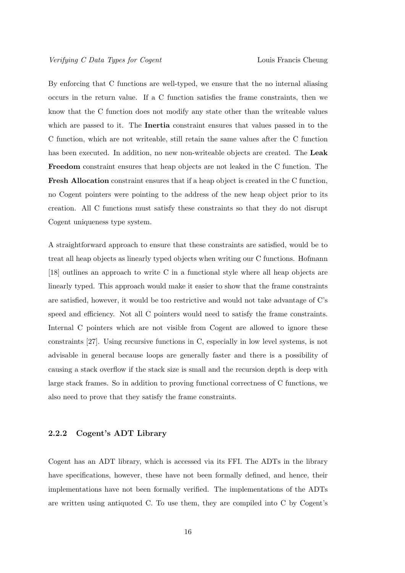By enforcing that C functions are well-typed, we ensure that the no internal aliasing occurs in the return value. If a C function satisfies the frame constraints, then we know that the C function does not modify any state other than the writeable values which are passed to it. The **Inertia** constraint ensures that values passed in to the C function, which are not writeable, still retain the same values after the C function has been executed. In addition, no new non-writeable objects are created. The Leak Freedom constraint ensures that heap objects are not leaked in the C function. The Fresh Allocation constraint ensures that if a heap object is created in the C function, no Cogent pointers were pointing to the address of the new heap object prior to its creation. All C functions must satisfy these constraints so that they do not disrupt Cogent uniqueness type system.

A straightforward approach to ensure that these constraints are satisfied, would be to treat all heap objects as linearly typed objects when writing our C functions. Hofmann [\[18\]](#page-53-7) outlines an approach to write C in a functional style where all heap objects are linearly typed. This approach would make it easier to show that the frame constraints are satisfied, however, it would be too restrictive and would not take advantage of C's speed and efficiency. Not all C pointers would need to satisfy the frame constraints. Internal C pointers which are not visible from Cogent are allowed to ignore these constraints [\[27\]](#page-53-8). Using recursive functions in C, especially in low level systems, is not advisable in general because loops are generally faster and there is a possibility of causing a stack overflow if the stack size is small and the recursion depth is deep with large stack frames. So in addition to proving functional correctness of C functions, we also need to prove that they satisfy the frame constraints.

#### <span id="page-21-0"></span>2.2.2 Cogent's ADT Library

Cogent has an ADT library, which is accessed via its FFI. The ADTs in the library have specifications, however, these have not been formally defined, and hence, their implementations have not been formally verified. The implementations of the ADTs are written using antiquoted C. To use them, they are compiled into C by Cogent's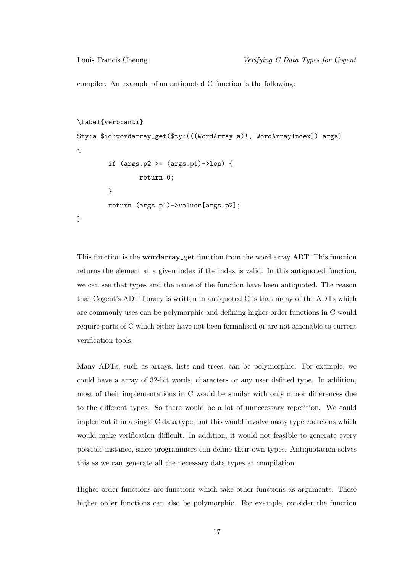compiler. An example of an antiquoted C function is the following:

```
\label{verb:anti}
$ty:a $id:wordarray_get($ty:(((WordArray a)!, WordArrayIndex)) args)
{
        if (\arg s.p2 \geq (\arg s.p1) - \lambda len) {
                 return 0;
        }
        return (args.p1)->values[args.p2];
}
```
This function is the wordarray get function from the word array ADT. This function returns the element at a given index if the index is valid. In this antiquoted function, we can see that types and the name of the function have been antiquoted. The reason that Cogent's ADT library is written in antiquoted C is that many of the ADTs which are commonly uses can be polymorphic and defining higher order functions in C would require parts of C which either have not been formalised or are not amenable to current verification tools.

Many ADTs, such as arrays, lists and trees, can be polymorphic. For example, we could have a array of 32-bit words, characters or any user defined type. In addition, most of their implementations in C would be similar with only minor differences due to the different types. So there would be a lot of unnecessary repetition. We could implement it in a single C data type, but this would involve nasty type coercions which would make verification difficult. In addition, it would not feasible to generate every possible instance, since programmers can define their own types. Antiquotation solves this as we can generate all the necessary data types at compilation.

Higher order functions are functions which take other functions as arguments. These higher order functions can also be polymorphic. For example, consider the function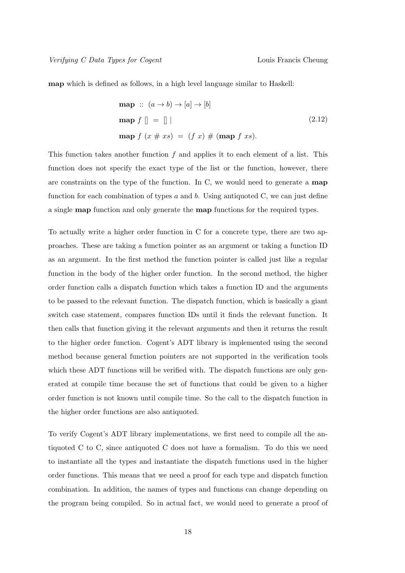map which is defined as follows, in a high level language similar to Haskell:

$$
\begin{aligned}\n\mathbf{map} &\ ::\ (a \to b) \to [a] \to [b] \\
\mathbf{map} &\ f \ [] = [] \ | \\
\mathbf{map} &\ f\ (x \# \ xs) = (f \ x) \# (\mathbf{map} \ f \ xs).\n\end{aligned} \tag{2.12}
$$

This function takes another function  $f$  and applies it to each element of a list. This function does not specify the exact type of the list or the function, however, there are constraints on the type of the function. In C, we would need to generate a map function for each combination of types  $a$  and  $b$ . Using antiquoted C, we can just define a single map function and only generate the map functions for the required types.

To actually write a higher order function in C for a concrete type, there are two approaches. These are taking a function pointer as an argument or taking a function ID as an argument. In the first method the function pointer is called just like a regular function in the body of the higher order function. In the second method, the higher order function calls a dispatch function which takes a function ID and the arguments to be passed to the relevant function. The dispatch function, which is basically a giant switch case statement, compares function IDs until it finds the relevant function. It then calls that function giving it the relevant arguments and then it returns the result to the higher order function. Cogent's ADT library is implemented using the second method because general function pointers are not supported in the verification tools which these ADT functions will be verified with. The dispatch functions are only generated at compile time because the set of functions that could be given to a higher order function is not known until compile time. So the call to the dispatch function in the higher order functions are also antiquoted.

To verify Cogent's ADT library implementations, we first need to compile all the antiquoted C to C, since antiquoted C does not have a formalism. To do this we need to instantiate all the types and instantiate the dispatch functions used in the higher order functions. This means that we need a proof for each type and dispatch function combination. In addition, the names of types and functions can change depending on the program being compiled. So in actual fact, we would need to generate a proof of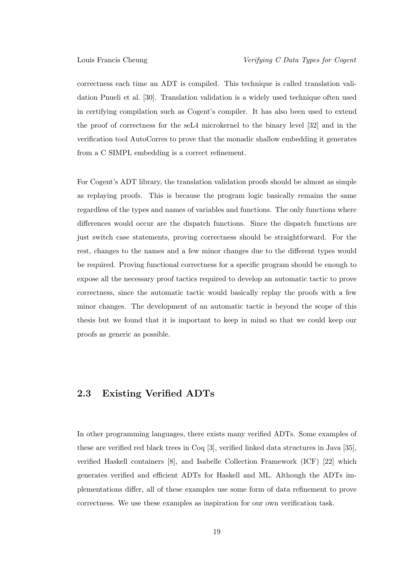correctness each time an ADT is compiled. This technique is called translation validation Pnueli et al. [\[30\]](#page-54-5). Translation validation is a widely used technique often used in certifying compilation such as Cogent's compiler. It has also been used to extend the proof of correctness for the seL4 microkernel to the binary level [\[32\]](#page-54-6) and in the verification tool AutoCorres to prove that the monadic shallow embedding it generates from a C SIMPL embedding is a correct refinement.

For Cogent's ADT library, the translation validation proofs should be almost as simple as replaying proofs. This is because the program logic basically remains the same regardless of the types and names of variables and functions. The only functions where differences would occur are the dispatch functions. Since the dispatch functions are just switch case statements, proving correctness should be straightforward. For the rest, changes to the names and a few minor changes due to the different types would be required. Proving functional correctness for a specific program should be enough to expose all the necessary proof tactics required to develop an automatic tactic to prove correctness, since the automatic tactic would basically replay the proofs with a few minor changes. The development of an automatic tactic is beyond the scope of this thesis but we found that it is important to keep in mind so that we could keep our proofs as generic as possible.

### <span id="page-24-0"></span>2.3 Existing Verified ADTs

In other programming languages, there exists many verified ADTs. Some examples of these are verified red black trees in Coq [\[3\]](#page-51-6), verified linked data structures in Java [\[35\]](#page-54-7), verified Haskell containers [\[8\]](#page-51-7), and Isabelle Collection Framework (ICF) [\[22\]](#page-53-9) which generates verified and efficient ADTs for Haskell and ML. Although the ADTs implementations differ, all of these examples use some form of data refinement to prove correctness. We use these examples as inspiration for our own verification task.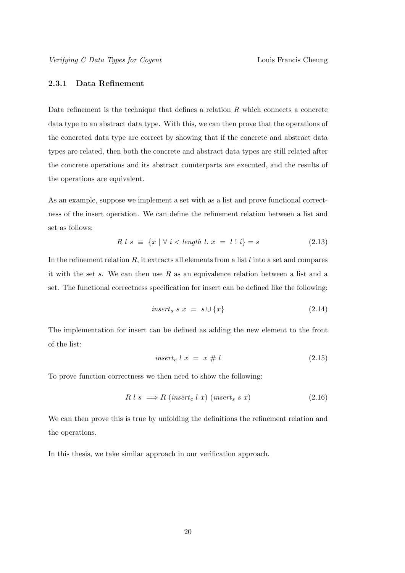#### <span id="page-25-0"></span>2.3.1 Data Refinement

Data refinement is the technique that defines a relation  $R$  which connects a concrete data type to an abstract data type. With this, we can then prove that the operations of the concreted data type are correct by showing that if the concrete and abstract data types are related, then both the concrete and abstract data types are still related after the concrete operations and its abstract counterparts are executed, and the results of the operations are equivalent.

As an example, suppose we implement a set with as a list and prove functional correctness of the insert operation. We can define the refinement relation between a list and set as follows:

$$
R l s \equiv \{x \mid \forall i < length l. x = l ! i\} = s \tag{2.13}
$$

In the refinement relation  $R$ , it extracts all elements from a list  $l$  into a set and compares it with the set  $s$ . We can then use  $R$  as an equivalence relation between a list and a set. The functional correctness specification for insert can be defined like the following:

$$
insert_s \ s \ x \ = \ s \cup \{x\} \tag{2.14}
$$

The implementation for insert can be defined as adding the new element to the front of the list:

$$
insert_c \; l \; x \; = \; x \; \# \; l \tag{2.15}
$$

To prove function correctness we then need to show the following:

$$
R l s \implies R \text{ (insert}_c l x) \text{ (insert}_s s x) \tag{2.16}
$$

We can then prove this is true by unfolding the definitions the refinement relation and the operations.

In this thesis, we take similar approach in our verification approach.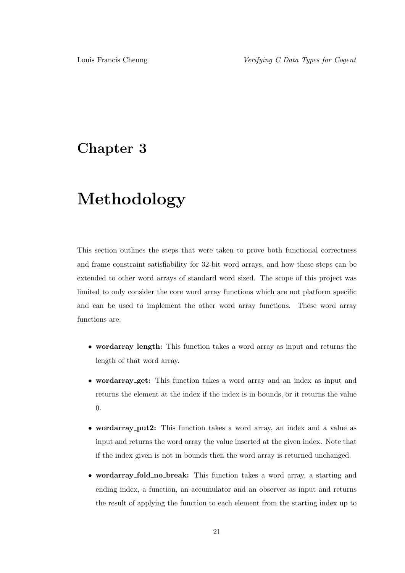## <span id="page-26-0"></span>Chapter 3

# Methodology

This section outlines the steps that were taken to prove both functional correctness and frame constraint satisfiability for 32-bit word arrays, and how these steps can be extended to other word arrays of standard word sized. The scope of this project was limited to only consider the core word array functions which are not platform specific and can be used to implement the other word array functions. These word array functions are:

- wordarray length: This function takes a word array as input and returns the length of that word array.
- wordarray get: This function takes a word array and an index as input and returns the element at the index if the index is in bounds, or it returns the value 0.
- wordarray\_put2: This function takes a word array, an index and a value as input and returns the word array the value inserted at the given index. Note that if the index given is not in bounds then the word array is returned unchanged.
- wordarray\_fold\_no\_break: This function takes a word array, a starting and ending index, a function, an accumulator and an observer as input and returns the result of applying the function to each element from the starting index up to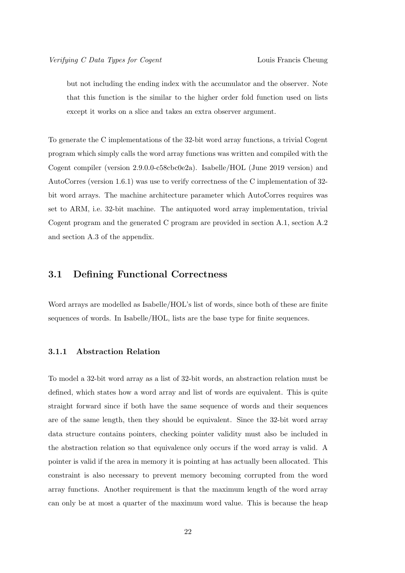but not including the ending index with the accumulator and the observer. Note that this function is the similar to the higher order fold function used on lists except it works on a slice and takes an extra observer argument.

To generate the C implementations of the 32-bit word array functions, a trivial Cogent program which simply calls the word array functions was written and compiled with the Cogent compiler (version 2.9.0.0-c58cbc0e2a). Isabelle/HOL (June 2019 version) and AutoCorres (version 1.6.1) was use to verify correctness of the C implementation of 32 bit word arrays. The machine architecture parameter which AutoCorres requires was set to ARM, i.e. 32-bit machine. The antiquoted word array implementation, trivial Cogent program and the generated C program are provided in [section A.1,](#page-55-1) [section A.2](#page-59-0) and [section A.3](#page-60-0) of the appendix.

### <span id="page-27-0"></span>3.1 Defining Functional Correctness

Word arrays are modelled as Isabelle/HOL's list of words, since both of these are finite sequences of words. In Isabelle/HOL, lists are the base type for finite sequences.

#### <span id="page-27-1"></span>3.1.1 Abstraction Relation

To model a 32-bit word array as a list of 32-bit words, an abstraction relation must be defined, which states how a word array and list of words are equivalent. This is quite straight forward since if both have the same sequence of words and their sequences are of the same length, then they should be equivalent. Since the 32-bit word array data structure contains pointers, checking pointer validity must also be included in the abstraction relation so that equivalence only occurs if the word array is valid. A pointer is valid if the area in memory it is pointing at has actually been allocated. This constraint is also necessary to prevent memory becoming corrupted from the word array functions. Another requirement is that the maximum length of the word array can only be at most a quarter of the maximum word value. This is because the heap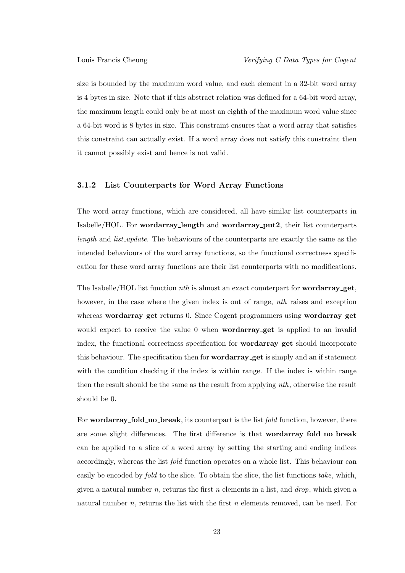size is bounded by the maximum word value, and each element in a 32-bit word array is 4 bytes in size. Note that if this abstract relation was defined for a 64-bit word array, the maximum length could only be at most an eighth of the maximum word value since a 64-bit word is 8 bytes in size. This constraint ensures that a word array that satisfies this constraint can actually exist. If a word array does not satisfy this constraint then it cannot possibly exist and hence is not valid.

#### <span id="page-28-0"></span>3.1.2 List Counterparts for Word Array Functions

The word array functions, which are considered, all have similar list counterparts in Isabelle/HOL. For wordarray length and wordarray put2, their list counterparts length and list update. The behaviours of the counterparts are exactly the same as the intended behaviours of the word array functions, so the functional correctness specification for these word array functions are their list counterparts with no modifications.

The Isabelle/HOL list function *nth* is almost an exact counterpart for **wordarray** get, however, in the case where the given index is out of range, *nth* raises and exception whereas wordarray\_get returns 0. Since Cogent programmers using wordarray\_get would expect to receive the value 0 when **wordarray get** is applied to an invalid index, the functional correctness specification for wordarray get should incorporate this behaviour. The specification then for **wordarray get** is simply and an if statement with the condition checking if the index is within range. If the index is within range then the result should be the same as the result from applying nth, otherwise the result should be 0.

For wordarray fold no break, its counterpart is the list fold function, however, there are some slight differences. The first difference is that wordarray fold no break can be applied to a slice of a word array by setting the starting and ending indices accordingly, whereas the list fold function operates on a whole list. This behaviour can easily be encoded by *fold* to the slice. To obtain the slice, the list functions take, which, given a natural number n, returns the first n elements in a list, and  $drop$ , which given a natural number  $n$ , returns the list with the first  $n$  elements removed, can be used. For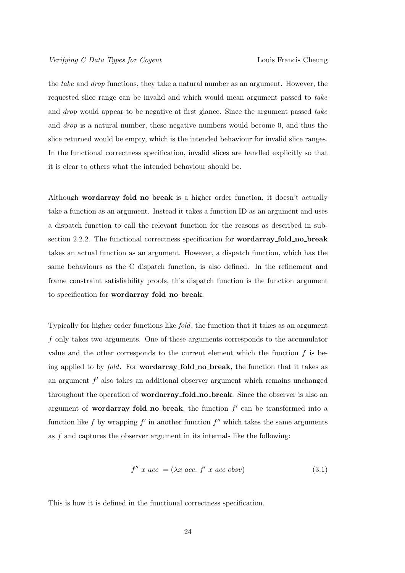the take and drop functions, they take a natural number as an argument. However, the requested slice range can be invalid and which would mean argument passed to take and drop would appear to be negative at first glance. Since the argument passed take and drop is a natural number, these negative numbers would become 0, and thus the slice returned would be empty, which is the intended behaviour for invalid slice ranges. In the functional correctness specification, invalid slices are handled explicitly so that it is clear to others what the intended behaviour should be.

Although wordarray fold no break is a higher order function, it doesn't actually take a function as an argument. Instead it takes a function ID as an argument and uses a dispatch function to call the relevant function for the reasons as described in [sub](#page-21-0)[section 2.2.2.](#page-21-0) The functional correctness specification for wordarray fold no break takes an actual function as an argument. However, a dispatch function, which has the same behaviours as the C dispatch function, is also defined. In the refinement and frame constraint satisfiability proofs, this dispatch function is the function argument to specification for wordarray\_fold\_no\_break.

Typically for higher order functions like fold, the function that it takes as an argument f only takes two arguments. One of these arguments corresponds to the accumulator value and the other corresponds to the current element which the function  $f$  is being applied to by *fold*. For **wordarray\_fold\_no\_break**, the function that it takes as an argument  $f'$  also takes an additional observer argument which remains unchanged throughout the operation of **wordarray fold no break**. Since the observer is also an argument of wordarray\_fold\_no\_break, the function  $f'$  can be transformed into a function like f by wrapping  $f'$  in another function  $f''$  which takes the same arguments as f and captures the observer argument in its internals like the following:

$$
f'' \; x \; acc = (\lambda x \; acc. \; f' \; x \; acc \; obsv) \tag{3.1}
$$

This is how it is defined in the functional correctness specification.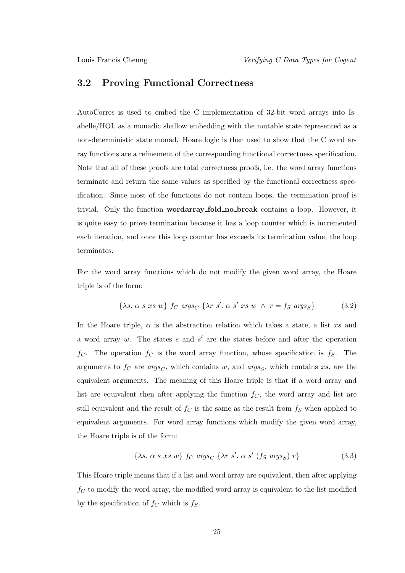### <span id="page-30-0"></span>3.2 Proving Functional Correctness

AutoCorres is used to embed the C implementation of 32-bit word arrays into Isabelle/HOL as a monadic shallow embedding with the mutable state represented as a non-deterministic state monad. Hoare logic is then used to show that the C word array functions are a refinement of the corresponding functional correctness specification. Note that all of these proofs are total correctness proofs, i.e. the word array functions terminate and return the same values as specified by the functional correctness specification. Since most of the functions do not contain loops, the termination proof is trivial. Only the function wordarray fold no break contains a loop. However, it is quite easy to prove termination because it has a loop counter which is incremented each iteration, and once this loop counter has exceeds its termination value, the loop terminates.

For the word array functions which do not modify the given word array, the Hoare triple is of the form:

$$
\{\lambda s. \ \alpha \ s \ xs \ w\} \ f_C \ args_C \ \{\lambda r \ s'. \ \alpha \ s' \ xs \ w \ \wedge \ r = f_S \ args_S \} \tag{3.2}
$$

In the Hoare triple,  $\alpha$  is the abstraction relation which takes a state, a list xs and a word array  $w$ . The states  $s$  and  $s'$  are the states before and after the operation  $f<sub>C</sub>$ . The operation  $f<sub>C</sub>$  is the word array function, whose specification is  $f<sub>S</sub>$ . The arguments to  $f_C$  are  $args_C$ , which contains w, and  $args_S$ , which contains xs, are the equivalent arguments. The meaning of this Hoare triple is that if a word array and list are equivalent then after applying the function  $f<sub>C</sub>$ , the word array and list are still equivalent and the result of  $f_C$  is the same as the result from  $f_S$  when applied to equivalent arguments. For word array functions which modify the given word array, the Hoare triple is of the form:

$$
\{\lambda s. \alpha s \; xs \; w\} \; fc \; args_C \; \{\lambda r \; s'. \; \alpha \; s' \; (fs \; args_S) \; r\} \tag{3.3}
$$

This Hoare triple means that if a list and word array are equivalent, then after applying  $f_C$  to modify the word array, the modified word array is equivalent to the list modified by the specification of  $f_C$  which is  $f_S$ .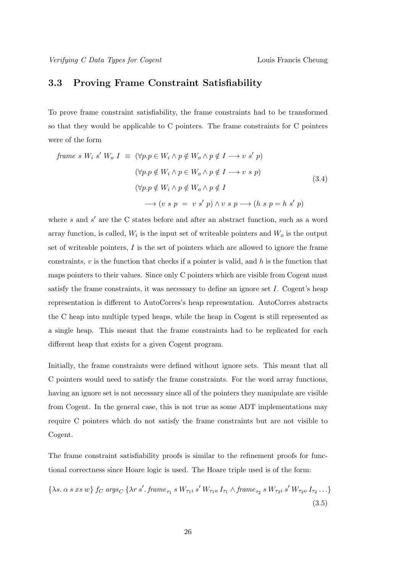### <span id="page-31-0"></span>3.3 Proving Frame Constraint Satisfiability

To prove frame constraint satisfiability, the frame constraints had to be transformed so that they would be applicable to C pointers. The frame constraints for C pointers were of the form

$$
frame \ s \ W_i \ s' \ W_o \ I \ \equiv \ (\forall p \ p \in W_i \land p \notin W_o \land p \notin I \longrightarrow v \ s' \ p)
$$
\n
$$
(\forall p \ p \notin W_i \land p \in W_o \land p \notin I \longrightarrow v \ s \ p)
$$
\n
$$
(\forall p \ p \notin W_i \land p \notin W_o \land p \notin I \longrightarrow v \ s \ p)
$$
\n
$$
(\forall p \ p \notin W_i \land p \notin W_o \land p \notin I \longrightarrow (h \ s \ p = h \ s' \ p)
$$
\n
$$
(3.4)
$$

where  $s$  and  $s'$  are the C states before and after an abstract function, such as a word array function, is called,  $W_i$  is the input set of writeable pointers and  $W_o$  is the output set of writeable pointers,  $I$  is the set of pointers which are allowed to ignore the frame constraints,  $v$  is the function that checks if a pointer is valid, and  $h$  is the function that maps pointers to their values. Since only C pointers which are visible from Cogent must satisfy the frame constraints, it was necessary to define an ignore set  $I$ . Cogent's heap representation is different to AutoCorres's heap representation. AutoCorres abstracts the C heap into multiple typed heaps, while the heap in Cogent is still represented as a single heap. This meant that the frame constraints had to be replicated for each different heap that exists for a given Cogent program.

Initially, the frame constraints were defined without ignore sets. This meant that all C pointers would need to satisfy the frame constraints. For the word array functions, having an ignore set is not necessary since all of the pointers they manipulate are visible from Cogent. In the general case, this is not true as some ADT implementations may require C pointers which do not satisfy the frame constraints but are not visible to Cogent.

The frame constraint satisfiability proofs is similar to the refinement proofs for functional correctness since Hoare logic is used. The Hoare triple used is of the form:

$$
\{\lambda s. \alpha s \, xs \, w\} \, f_C \, \, args_C \, \{\lambda r \, s'. \, frame_{\tau_1} \, s \, W_{\tau_1 i} \, s' \, W_{\tau_1 o} \, I_{\tau_1} \wedge frame_{\tau_2} \, s \, W_{\tau_2 i} \, s' \, W_{\tau_2 o} \, I_{\tau_2} \, \dots \}
$$
\n(3.5)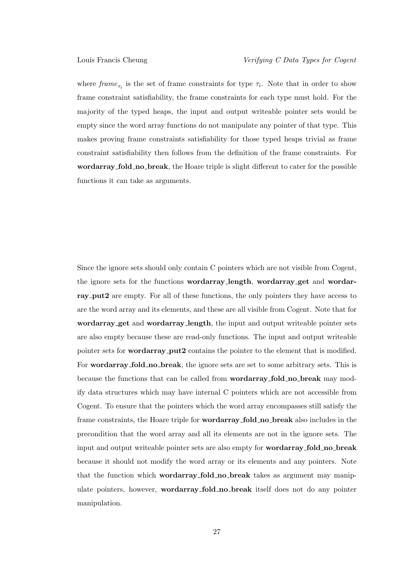where  $frame_{\tau_i}$  is the set of frame constraints for type  $\tau_i$ . Note that in order to show frame constraint satisfiability, the frame constraints for each type must hold. For the majority of the typed heaps, the input and output writeable pointer sets would be empty since the word array functions do not manipulate any pointer of that type. This makes proving frame constraints satisfiability for those typed heaps trivial as frame constraint satisfiability then follows from the definition of the frame constraints. For wordarray\_fold\_no\_break, the Hoare triple is slight different to cater for the possible functions it can take as arguments.

Since the ignore sets should only contain C pointers which are not visible from Cogent, the ignore sets for the functions wordarray length, wordarray get and wordarray put2 are empty. For all of these functions, the only pointers they have access to are the word array and its elements, and these are all visible from Cogent. Note that for wordarray\_get and wordarray\_length, the input and output writeable pointer sets are also empty because these are read-only functions. The input and output writeable pointer sets for **wordarray\_put2** contains the pointer to the element that is modified. For wordarray\_fold\_no\_break, the ignore sets are set to some arbitrary sets. This is because the functions that can be called from wordarray fold no break may modify data structures which may have internal C pointers which are not accessible from Cogent. To ensure that the pointers which the word array encompasses still satisfy the frame constraints, the Hoare triple for wordarray fold no break also includes in the precondition that the word array and all its elements are not in the ignore sets. The input and output writeable pointer sets are also empty for **wordarray\_fold\_no\_break** because it should not modify the word array or its elements and any pointers. Note that the function which **wordarray\_fold\_no\_break** takes as argument may manipulate pointers, however, wordarray\_fold\_no\_break itself does not do any pointer manipulation.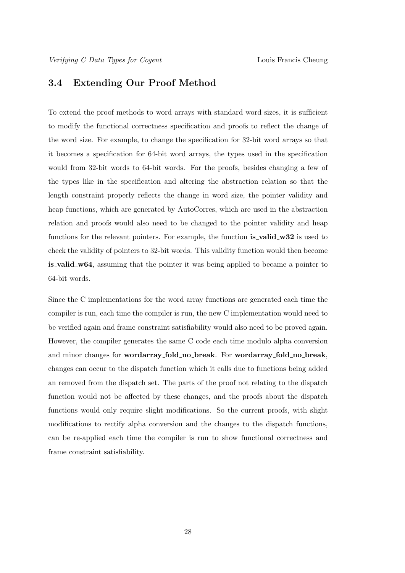### <span id="page-33-0"></span>3.4 Extending Our Proof Method

To extend the proof methods to word arrays with standard word sizes, it is sufficient to modify the functional correctness specification and proofs to reflect the change of the word size. For example, to change the specification for 32-bit word arrays so that it becomes a specification for 64-bit word arrays, the types used in the specification would from 32-bit words to 64-bit words. For the proofs, besides changing a few of the types like in the specification and altering the abstraction relation so that the length constraint properly reflects the change in word size, the pointer validity and heap functions, which are generated by AutoCorres, which are used in the abstraction relation and proofs would also need to be changed to the pointer validity and heap functions for the relevant pointers. For example, the function  $\mathbf{i} s$ -valid  $\mathbf{w}$  as used to check the validity of pointers to 32-bit words. This validity function would then become is valid w64, assuming that the pointer it was being applied to became a pointer to 64-bit words.

Since the C implementations for the word array functions are generated each time the compiler is run, each time the compiler is run, the new C implementation would need to be verified again and frame constraint satisfiability would also need to be proved again. However, the compiler generates the same C code each time modulo alpha conversion and minor changes for wordarray fold no break. For wordarray fold no break, changes can occur to the dispatch function which it calls due to functions being added an removed from the dispatch set. The parts of the proof not relating to the dispatch function would not be affected by these changes, and the proofs about the dispatch functions would only require slight modifications. So the current proofs, with slight modifications to rectify alpha conversion and the changes to the dispatch functions, can be re-applied each time the compiler is run to show functional correctness and frame constraint satisfiability.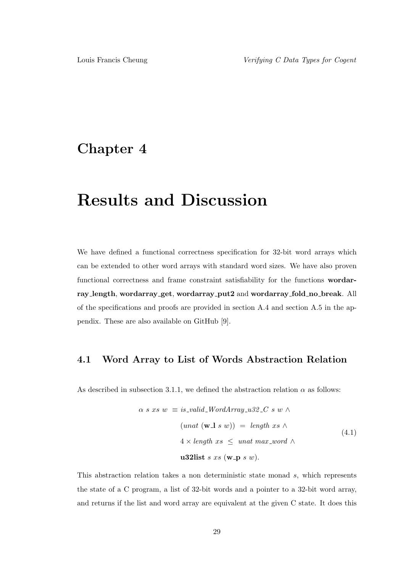## <span id="page-34-0"></span>Chapter 4

# Results and Discussion

We have defined a functional correctness specification for 32-bit word arrays which can be extended to other word arrays with standard word sizes. We have also proven functional correctness and frame constraint satisfiability for the functions wordarray\_length, wordarray\_get, wordarray\_put2 and wordarray\_fold\_no\_break. All of the specifications and proofs are provided in [section A.4](#page-70-0) and [section A.5](#page-79-0) in the appendix. These are also available on GitHub [\[9\]](#page-52-8).

### <span id="page-34-1"></span>4.1 Word Array to List of Words Abstraction Relation

As described in [subsection 3.1.1,](#page-27-1) we defined the abstraction relation  $\alpha$  as follows:

$$
\alpha \ s \ xs \ w \ \equiv \text{is\_valid\_WordArray\_u32\_C} \ s \ w \ \land
$$
\n
$$
(unat \ (\mathbf{w} \_1 \ s \ w)) \ = \ \text{length} \ xs \ \land
$$
\n
$$
4 \times \text{length} \ xs \ \le \ \text{unat} \ max \_\text{word} \ \land
$$
\n
$$
\mathbf{u32list} \ s \ xs \ (\mathbf{w} \_ \mathbf{p} \ s \ w).
$$
\n
$$
(4.1)
$$

This abstraction relation takes a non deterministic state monad s, which represents the state of a C program, a list of 32-bit words and a pointer to a 32-bit word array, and returns if the list and word array are equivalent at the given C state. It does this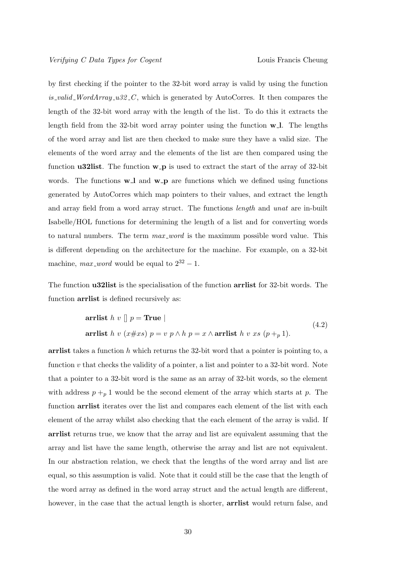by first checking if the pointer to the 32-bit word array is valid by using the function is valid WordArray  $u32$ , which is generated by AutoCorres. It then compares the length of the 32-bit word array with the length of the list. To do this it extracts the length field from the 32-bit word array pointer using the function  $\mathbf{w}$ . The lengths of the word array and list are then checked to make sure they have a valid size. The elements of the word array and the elements of the list are then compared using the function  $u32$ list. The function  $w_p$  is used to extract the start of the array of 32-bit words. The functions  $w_l$  and  $w_p$  are functions which we defined using functions generated by AutoCorres which map pointers to their values, and extract the length and array field from a word array struct. The functions *length* and *unat* are in-built Isabelle/HOL functions for determining the length of a list and for converting words to natural numbers. The term  $max\_word$  is the maximum possible word value. This is different depending on the architecture for the machine. For example, on a 32-bit machine, max\_word would be equal to  $2^{32} - 1$ .

The function u32list is the specialisation of the function arrlist for 32-bit words. The function arrlist is defined recursively as:

arrlist 
$$
h v \parallel p = \text{True}
$$
 |  
arrlist  $h v (x \# xs) p = v p \land h p = x \land \text{arrlist } h v xs (p +_p 1).$  (4.2)

arrlist takes a function h which returns the 32-bit word that a pointer is pointing to, a function  $v$  that checks the validity of a pointer, a list and pointer to a 32-bit word. Note that a pointer to a 32-bit word is the same as an array of 32-bit words, so the element with address  $p + p 1$  would be the second element of the array which starts at p. The function arrlist iterates over the list and compares each element of the list with each element of the array whilst also checking that the each element of the array is valid. If arrlist returns true, we know that the array and list are equivalent assuming that the array and list have the same length, otherwise the array and list are not equivalent. In our abstraction relation, we check that the lengths of the word array and list are equal, so this assumption is valid. Note that it could still be the case that the length of the word array as defined in the word array struct and the actual length are different, however, in the case that the actual length is shorter, **arrlist** would return false, and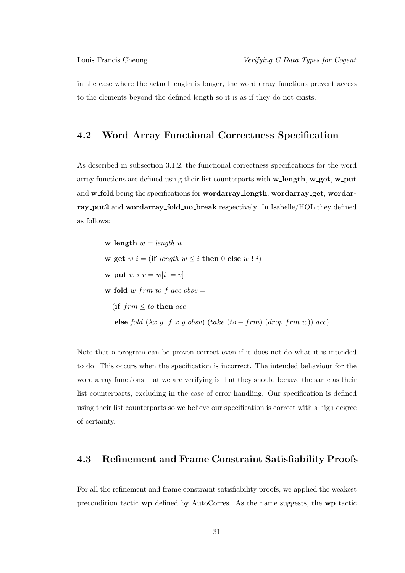in the case where the actual length is longer, the word array functions prevent access to the elements beyond the defined length so it is as if they do not exists.

### 4.2 Word Array Functional Correctness Specification

As described in [subsection 3.1.2,](#page-28-0) the functional correctness specifications for the word array functions are defined using their list counterparts with  $\mathbf{w}\_\mathbf{length}, \mathbf{w}\_\mathbf{get}, \mathbf{w}\_\mathbf{put}$ and w\_fold being the specifications for wordarray\_length, wordarray\_get, wordarray put2 and wordarray fold no break respectively. In Isabelle/HOL they defined as follows:

```
w length w = length ww get w i = (if length w \leq i then 0 else w ! i)w_put w i v = w[i := v]w_fold w frm to f acc obsv =(if frm \leq to then acc
   else fold (\lambda x y. f x y \text{ obs}v) (take (to - frm) (drop frm w)) acc)
```
Note that a program can be proven correct even if it does not do what it is intended to do. This occurs when the specification is incorrect. The intended behaviour for the word array functions that we are verifying is that they should behave the same as their list counterparts, excluding in the case of error handling. Our specification is defined using their list counterparts so we believe our specification is correct with a high degree of certainty.

### 4.3 Refinement and Frame Constraint Satisfiability Proofs

For all the refinement and frame constraint satisfiability proofs, we applied the weakest precondition tactic wp defined by AutoCorres. As the name suggests, the wp tactic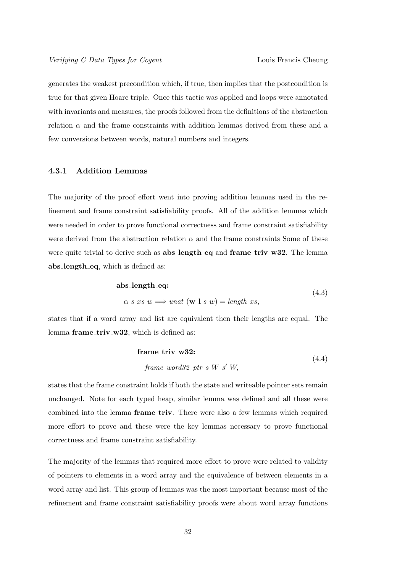generates the weakest precondition which, if true, then implies that the postcondition is true for that given Hoare triple. Once this tactic was applied and loops were annotated with invariants and measures, the proofs followed from the definitions of the abstraction relation  $\alpha$  and the frame constraints with addition lemmas derived from these and a few conversions between words, natural numbers and integers.

### <span id="page-37-0"></span>4.3.1 Addition Lemmas

The majority of the proof effort went into proving addition lemmas used in the refinement and frame constraint satisfiability proofs. All of the addition lemmas which were needed in order to prove functional correctness and frame constraint satisfiability were derived from the abstraction relation  $\alpha$  and the frame constraints Some of these were quite trivial to derive such as abs\_length\_eq and frame\_triv\_w32. The lemma abs\_length\_eq, which is defined as:

$$
\begin{aligned}\n\text{abs_length_eq:} \\
\alpha \ s \ xs \ w &\Longrightarrow unat \ (\mathbf{w} \mathbf{\_} s \ w) = \text{length} \ xs,\n\end{aligned} \tag{4.3}
$$

states that if a word array and list are equivalent then their lengths are equal. The lemma  $frame\_triv_w32$ , which is defined as:

$$
\begin{aligned} \textbf{frame\_triv\_w32:} \\ \textit{frame\_word32\_ptr} \ s \ W \ s' \ W, \end{aligned} \tag{4.4}
$$

states that the frame constraint holds if both the state and writeable pointer sets remain unchanged. Note for each typed heap, similar lemma was defined and all these were combined into the lemma frame\_triv. There were also a few lemmas which required more effort to prove and these were the key lemmas necessary to prove functional correctness and frame constraint satisfiability.

The majority of the lemmas that required more effort to prove were related to validity of pointers to elements in a word array and the equivalence of between elements in a word array and list. This group of lemmas was the most important because most of the refinement and frame constraint satisfiability proofs were about word array functions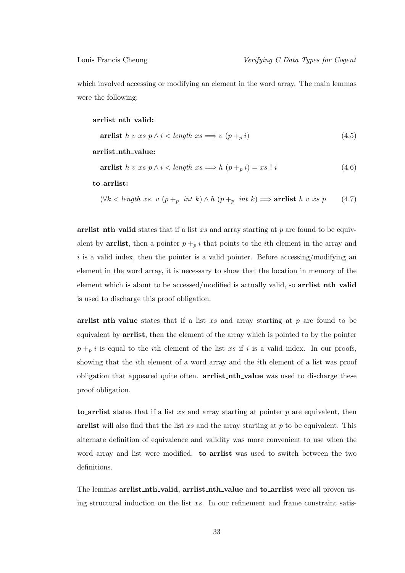which involved accessing or modifying an element in the word array. The main lemmas were the following:

arrlist\_nth\_valid:

$$
\text{arrlist } h \ v \ xs \ p \land i < length \ xs \Longrightarrow v \ (p +_p i) \tag{4.5}
$$

arrlist\_nth\_value:

$$
\text{arrlist } h \ v \ xs \ p \land i < length \ xs \Longrightarrow h \ (p +_p i) = xs \ ! \ i \tag{4.6}
$$

to arrlist:

 $(\forall k < length\ xs.\ v\ (p +_{p} \ int\ k) \land h\ (p +_{p} \ int\ k) \Longrightarrow$  arrlist  $h\ v\ xs\ p$  (4.7)

arrlist nth valid states that if a list xs and array starting at p are found to be equivalent by arrist, then a pointer  $p + p \, i$  that points to the *i*th element in the array and  $i$  is a valid index, then the pointer is a valid pointer. Before accessing/modifying an element in the word array, it is necessary to show that the location in memory of the element which is about to be accessed/modified is actually valid, so **arrlist\_nth\_valid** is used to discharge this proof obligation.

arrlist nth value states that if a list  $xs$  and array starting at  $p$  are found to be equivalent by arrlist, then the element of the array which is pointed to by the pointer  $p + p i$  is equal to the *i*th element of the list xs if i is a valid index. In our proofs, showing that the ith element of a word array and the ith element of a list was proof obligation that appeared quite often. **arrlist\_nth\_value** was used to discharge these proof obligation.

to arrist states that if a list xs and array starting at pointer  $p$  are equivalent, then arrlist will also find that the list  $xs$  and the array starting at  $p$  to be equivalent. This alternate definition of equivalence and validity was more convenient to use when the word array and list were modified. to arrlist was used to switch between the two definitions.

The lemmas arrlist\_nth\_valid, arrlist\_nth\_value and to\_arrlist were all proven using structural induction on the list  $xs$ . In our refinement and frame constraint satis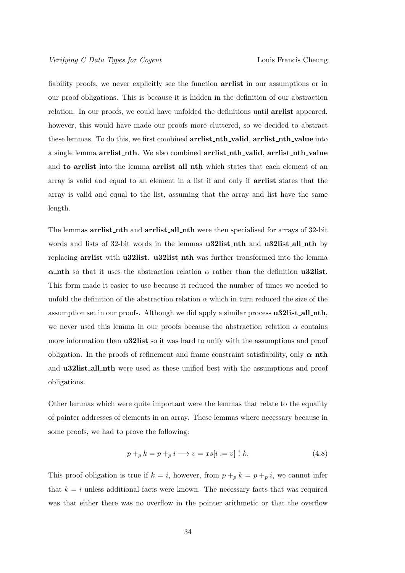fiability proofs, we never explicitly see the function arrlist in our assumptions or in our proof obligations. This is because it is hidden in the definition of our abstraction relation. In our proofs, we could have unfolded the definitions until arrlist appeared, however, this would have made our proofs more cluttered, so we decided to abstract these lemmas. To do this, we first combined **arrlist\_nth\_valid, arrlist\_nth\_value** into a single lemma arrlist\_nth. We also combined arrlist\_nth\_valid, arrlist\_nth\_value and to arrlist into the lemma arrlist all nth which states that each element of an array is valid and equal to an element in a list if and only if arrlist states that the array is valid and equal to the list, assuming that the array and list have the same length.

The lemmas **arrlist\_nth** and **arrlist\_all\_nth** were then specialised for arrays of 32-bit words and lists of 32-bit words in the lemmas **u32list\_nth** and **u32list\_all\_nth** by replacing arrlist with u32list. u32list nth was further transformed into the lemma  $\alpha$  nth so that it uses the abstraction relation  $\alpha$  rather than the definition u32list. This form made it easier to use because it reduced the number of times we needed to unfold the definition of the abstraction relation  $\alpha$  which in turn reduced the size of the assumption set in our proofs. Although we did apply a similar process **u32list all nth**, we never used this lemma in our proofs because the abstraction relation  $\alpha$  contains more information than **u32list** so it was hard to unify with the assumptions and proof obligation. In the proofs of refinement and frame constraint satisfiability, only  $\alpha$  nth and **u32list\_all\_nth** were used as these unified best with the assumptions and proof obligations.

Other lemmas which were quite important were the lemmas that relate to the equality of pointer addresses of elements in an array. These lemmas where necessary because in some proofs, we had to prove the following:

<span id="page-39-0"></span>
$$
p +_{p} k = p +_{p} i \longrightarrow v = xs[i := v] ! k.
$$
\n
$$
(4.8)
$$

This proof obligation is true if  $k = i$ , however, from  $p +_p k = p +_p i$ , we cannot infer that  $k = i$  unless additional facts were known. The necessary facts that was required was that either there was no overflow in the pointer arithmetic or that the overflow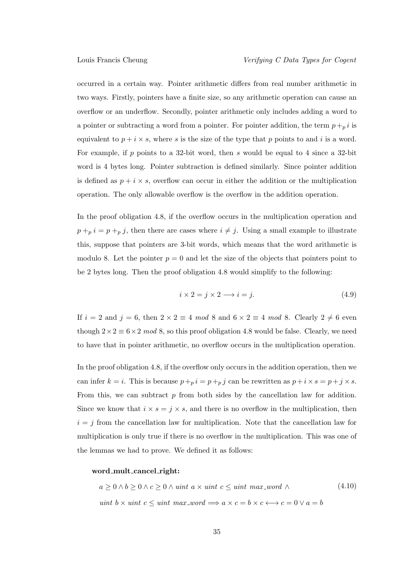occurred in a certain way. Pointer arithmetic differs from real number arithmetic in two ways. Firstly, pointers have a finite size, so any arithmetic operation can cause an overflow or an underflow. Secondly, pointer arithmetic only includes adding a word to a pointer or subtracting a word from a pointer. For pointer addition, the term  $p + p i$  is equivalent to  $p + i \times s$ , where s is the size of the type that p points to and i is a word. For example, if p points to a 32-bit word, then s would be equal to 4 since a 32-bit word is 4 bytes long. Pointer subtraction is defined similarly. Since pointer addition is defined as  $p + i \times s$ , overflow can occur in either the addition or the multiplication operation. The only allowable overflow is the overflow in the addition operation.

In the proof obligation [4.8,](#page-39-0) if the overflow occurs in the multiplication operation and  $p + p i = p + p j$ , then there are cases where  $i \neq j$ . Using a small example to illustrate this, suppose that pointers are 3-bit words, which means that the word arithmetic is modulo 8. Let the pointer  $p = 0$  and let the size of the objects that pointers point to be 2 bytes long. Then the proof obligation [4.8](#page-39-0) would simplify to the following:

$$
i \times 2 = j \times 2 \longrightarrow i = j. \tag{4.9}
$$

If  $i = 2$  and  $j = 6$ , then  $2 \times 2 \equiv 4 \mod 8$  and  $6 \times 2 \equiv 4 \mod 8$ . Clearly  $2 \neq 6$  even though  $2 \times 2 \equiv 6 \times 2 \mod 8$ , so this proof obligation [4.8](#page-39-0) would be false. Clearly, we need to have that in pointer arithmetic, no overflow occurs in the multiplication operation.

In the proof obligation [4.8,](#page-39-0) if the overflow only occurs in the addition operation, then we can infer  $k = i$ . This is because  $p + p i = p + p j$  can be rewritten as  $p + i \times s = p + j \times s$ . From this, we can subtract p from both sides by the cancellation law for addition. Since we know that  $i \times s = j \times s$ , and there is no overflow in the multiplication, then  $i = j$  from the cancellation law for multiplication. Note that the cancellation law for multiplication is only true if there is no overflow in the multiplication. This was one of the lemmas we had to prove. We defined it as follows:

### word\_mult\_cancel\_right:

$$
a \ge 0 \land b \ge 0 \land c \ge 0 \land \text{uint } a \times \text{uint } c \le \text{uint } \max\text{-word } \land \tag{4.10}
$$
\n
$$
\text{uint } b \times \text{uint } c \le \text{uint } \max\text{-word} \implies a \times c = b \times c \longleftrightarrow c = 0 \lor a = b
$$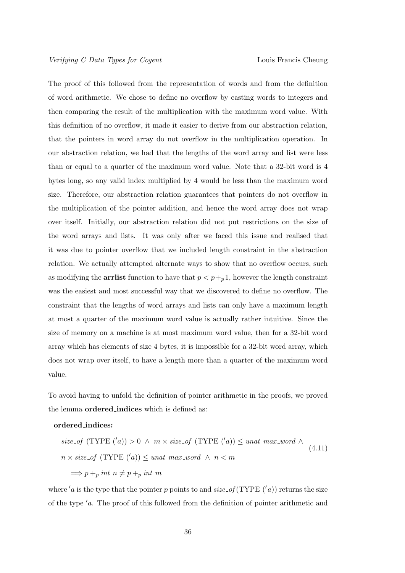The proof of this followed from the representation of words and from the definition of word arithmetic. We chose to define no overflow by casting words to integers and then comparing the result of the multiplication with the maximum word value. With this definition of no overflow, it made it easier to derive from our abstraction relation, that the pointers in word array do not overflow in the multiplication operation. In our abstraction relation, we had that the lengths of the word array and list were less than or equal to a quarter of the maximum word value. Note that a 32-bit word is 4 bytes long, so any valid index multiplied by 4 would be less than the maximum word size. Therefore, our abstraction relation guarantees that pointers do not overflow in the multiplication of the pointer addition, and hence the word array does not wrap over itself. Initially, our abstraction relation did not put restrictions on the size of the word arrays and lists. It was only after we faced this issue and realised that it was due to pointer overflow that we included length constraint in the abstraction relation. We actually attempted alternate ways to show that no overflow occurs, such as modifying the **arrlist** function to have that  $p < p+p$  1, however the length constraint was the easiest and most successful way that we discovered to define no overflow. The constraint that the lengths of word arrays and lists can only have a maximum length at most a quarter of the maximum word value is actually rather intuitive. Since the size of memory on a machine is at most maximum word value, then for a 32-bit word array which has elements of size 4 bytes, it is impossible for a 32-bit word array, which does not wrap over itself, to have a length more than a quarter of the maximum word value.

To avoid having to unfold the definition of pointer arithmetic in the proofs, we proved the lemma ordered indices which is defined as:

### ordered indices:

size\_of (TYPE ('a)) > 0 
$$
\wedge
$$
 m  $\times$  size\_of (TYPE ('a))  $\leq$  unat max-word  $\wedge$   
\nn  $\times$  size\_of (TYPE ('a))  $\leq$  unat max-word  $\wedge$  n  $<$ m  $\Rightarrow$  p +<sub>p</sub> int n  $\neq$  p +<sub>p</sub> int m

where 'a is the type that the pointer p points to and  $size\_of(TYPE('a))$  returns the size of the type  $a$ . The proof of this followed from the definition of pointer arithmetic and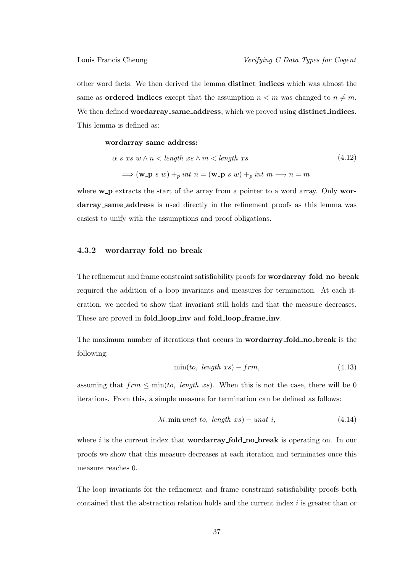other word facts. We then derived the lemma distinct indices which was almost the same as **ordered indices** except that the assumption  $n < m$  was changed to  $n \neq m$ . We then defined wordarray\_same\_address, which we proved using distinct\_indices. This lemma is defined as:

#### wordarray same address:

$$
\alpha s \, xs \, w \land n < length \, xs \land m < length \, xs \tag{4.12}
$$
\n
$$
\implies (\mathbf{w} \cdot \mathbf{p} \, s \, w) +_{p} int \, n = (\mathbf{w} \cdot \mathbf{p} \, s \, w) +_{p} int \, m \longrightarrow n = m
$$

where  $w_p$  extracts the start of the array from a pointer to a word array. Only wordarray same address is used directly in the refinement proofs as this lemma was easiest to unify with the assumptions and proof obligations.

### <span id="page-42-0"></span>4.3.2 wordarray fold no break

The refinement and frame constraint satisfiability proofs for **wordarray\_fold\_no\_break** required the addition of a loop invariants and measures for termination. At each iteration, we needed to show that invariant still holds and that the measure decreases. These are proved in fold loop inv and fold loop frame inv.

The maximum number of iterations that occurs in **wordarray\_fold\_no\_break** is the following:

$$
\min(to, length xs) - frm,
$$
\n(4.13)

assuming that  $f_{rm} \leq \min(to, length xs)$ . When this is not the case, there will be 0 iterations. From this, a simple measure for termination can be defined as follows:

$$
\lambda i. \min unat \ to, \ length \ xs) - unat \ i,
$$
\n
$$
(4.14)
$$

where  $i$  is the current index that **wordarray\_fold\_no\_break** is operating on. In our proofs we show that this measure decreases at each iteration and terminates once this measure reaches 0.

The loop invariants for the refinement and frame constraint satisfiability proofs both contained that the abstraction relation holds and the current index i is greater than or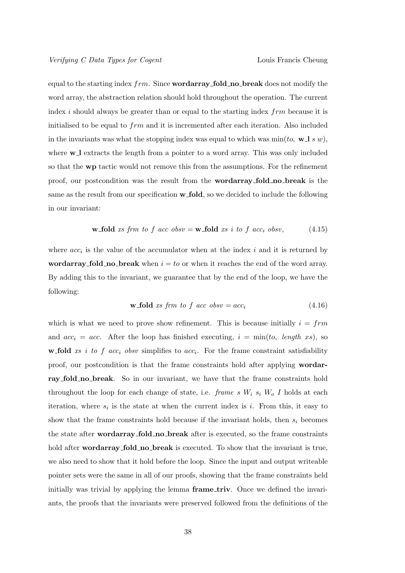equal to the starting index  $f$ *rm*. Since **wordarray fold no break** does not modify the word array, the abstraction relation should hold throughout the operation. The current index i should always be greater than or equal to the starting index  $f$ rm because it is initialised to be equal to  $f$ rm and it is incremented after each iteration. Also included in the invariants was what the stopping index was equal to which was  $min(to, w_l s w)$ , where  $w_l$  extracts the length from a pointer to a word array. This was only included so that the wp tactic would not remove this from the assumptions. For the refinement proof, our postcondition was the result from the wordarray fold no break is the same as the result from our specification **w\_fold**, so we decided to include the following in our invariant:

**w\_fold** *xs frm to f acc obsv* = **w\_fold** *xs i to f acc<sub>i</sub> *obsv*, 
$$
(4.15)
$$*

where  $acc_i$  is the value of the accumulator when at the index i and it is returned by wordarray fold no break when  $i = to$  or when it reaches the end of the word array. By adding this to the invariant, we guarantee that by the end of the loop, we have the following:

**w-fold** *xs frm to f acc obsv* = *acc<sub>i</sub>* 
$$
(4.16)
$$

which is what we need to prove show refinement. This is because initially  $i = frm$ and  $acc_i = acc$ . After the loop has finished executing,  $i = \min(to, length xs)$ , so **w** fold xs i to f acc<sub>i</sub> obsv simplifies to acc<sub>i</sub>. For the frame constraint satisfiability proof, our postcondition is that the frame constraints hold after applying wordarray fold no break. So in our invariant, we have that the frame constraints hold throughout the loop for each change of state, i.e. frame s  $W_i$  s<sub>i</sub>  $W_o$  I holds at each iteration, where  $s_i$  is the state at when the current index is i. From this, it easy to show that the frame constraints hold because if the invariant holds, then  $s_i$  becomes the state after wordarray fold no break after is executed, so the frame constraints hold after wordsarray\_fold\_no\_break is executed. To show that the invariant is true, we also need to show that it hold before the loop. Since the input and output writeable pointer sets were the same in all of our proofs, showing that the frame constraints held initially was trivial by applying the lemma **frame\_triv**. Once we defined the invariants, the proofs that the invariants were preserved followed from the definitions of the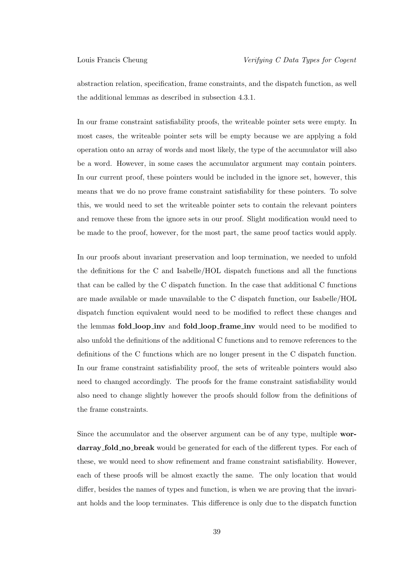abstraction relation, specification, frame constraints, and the dispatch function, as well the additional lemmas as described in [subsection 4.3.1.](#page-37-0)

In our frame constraint satisfiability proofs, the writeable pointer sets were empty. In most cases, the writeable pointer sets will be empty because we are applying a fold operation onto an array of words and most likely, the type of the accumulator will also be a word. However, in some cases the accumulator argument may contain pointers. In our current proof, these pointers would be included in the ignore set, however, this means that we do no prove frame constraint satisfiability for these pointers. To solve this, we would need to set the writeable pointer sets to contain the relevant pointers and remove these from the ignore sets in our proof. Slight modification would need to be made to the proof, however, for the most part, the same proof tactics would apply.

In our proofs about invariant preservation and loop termination, we needed to unfold the definitions for the C and Isabelle/HOL dispatch functions and all the functions that can be called by the C dispatch function. In the case that additional C functions are made available or made unavailable to the C dispatch function, our Isabelle/HOL dispatch function equivalent would need to be modified to reflect these changes and the lemmas fold loop inv and fold loop frame inv would need to be modified to also unfold the definitions of the additional C functions and to remove references to the definitions of the C functions which are no longer present in the C dispatch function. In our frame constraint satisfiability proof, the sets of writeable pointers would also need to changed accordingly. The proofs for the frame constraint satisfiability would also need to change slightly however the proofs should follow from the definitions of the frame constraints.

Since the accumulator and the observer argument can be of any type, multiple wordarray fold no break would be generated for each of the different types. For each of these, we would need to show refinement and frame constraint satisfiability. However, each of these proofs will be almost exactly the same. The only location that would differ, besides the names of types and function, is when we are proving that the invariant holds and the loop terminates. This difference is only due to the dispatch function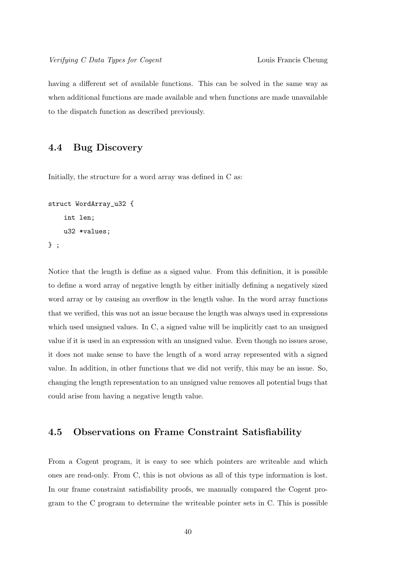having a different set of available functions. This can be solved in the same way as when additional functions are made available and when functions are made unavailable to the dispatch function as described previously.

### 4.4 Bug Discovery

Initially, the structure for a word array was defined in C as:

```
struct WordArray_u32 {
    int len;
    u32 *values;
} ;
```
Notice that the length is define as a signed value. From this definition, it is possible to define a word array of negative length by either initially defining a negatively sized word array or by causing an overflow in the length value. In the word array functions that we verified, this was not an issue because the length was always used in expressions which used unsigned values. In C, a signed value will be implicitly cast to an unsigned value if it is used in an expression with an unsigned value. Even though no issues arose, it does not make sense to have the length of a word array represented with a signed value. In addition, in other functions that we did not verify, this may be an issue. So, changing the length representation to an unsigned value removes all potential bugs that could arise from having a negative length value.

### <span id="page-45-0"></span>4.5 Observations on Frame Constraint Satisfiability

From a Cogent program, it is easy to see which pointers are writeable and which ones are read-only. From C, this is not obvious as all of this type information is lost. In our frame constraint satisfiability proofs, we manually compared the Cogent program to the C program to determine the writeable pointer sets in C. This is possible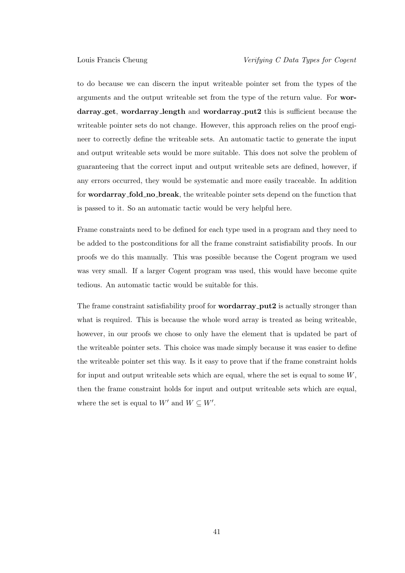to do because we can discern the input writeable pointer set from the types of the arguments and the output writeable set from the type of the return value. For wordarray get, wordarray length and wordarray put2 this is sufficient because the writeable pointer sets do not change. However, this approach relies on the proof engineer to correctly define the writeable sets. An automatic tactic to generate the input and output writeable sets would be more suitable. This does not solve the problem of guaranteeing that the correct input and output writeable sets are defined, however, if any errors occurred, they would be systematic and more easily traceable. In addition for wordarray fold no break, the writeable pointer sets depend on the function that is passed to it. So an automatic tactic would be very helpful here.

Frame constraints need to be defined for each type used in a program and they need to be added to the postconditions for all the frame constraint satisfiability proofs. In our proofs we do this manually. This was possible because the Cogent program we used was very small. If a larger Cogent program was used, this would have become quite tedious. An automatic tactic would be suitable for this.

The frame constraint satisfiability proof for **wordarray\_put2** is actually stronger than what is required. This is because the whole word array is treated as being writeable, however, in our proofs we chose to only have the element that is updated be part of the writeable pointer sets. This choice was made simply because it was easier to define the writeable pointer set this way. Is it easy to prove that if the frame constraint holds for input and output writeable sets which are equal, where the set is equal to some  $W$ , then the frame constraint holds for input and output writeable sets which are equal, where the set is equal to  $W'$  and  $W \subseteq W'$ .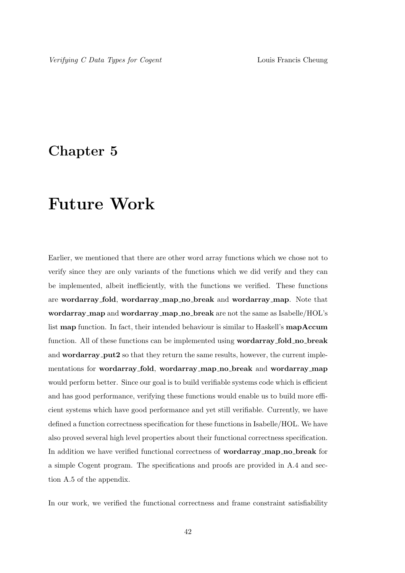## Chapter 5

## Future Work

Earlier, we mentioned that there are other word array functions which we chose not to verify since they are only variants of the functions which we did verify and they can be implemented, albeit inefficiently, with the functions we verified. These functions are wordarray fold, wordarray map no break and wordarray map. Note that wordarray map and wordarray map no break are not the same as Isabelle/HOL's list map function. In fact, their intended behaviour is similar to Haskell's mapAccum function. All of these functions can be implemented using **wordarray\_fold\_no\_break** and **wordarray\_put2** so that they return the same results, however, the current implementations for wordarray fold, wordarray map no break and wordarray map would perform better. Since our goal is to build verifiable systems code which is efficient and has good performance, verifying these functions would enable us to build more efficient systems which have good performance and yet still verifiable. Currently, we have defined a function correctness specification for these functions in Isabelle/HOL. We have also proved several high level properties about their functional correctness specification. In addition we have verified functional correctness of **wordarray map no break** for a simple Cogent program. The specifications and proofs are provided in [A.4](#page-70-0) and [sec](#page-79-0)[tion A.5](#page-79-0) of the appendix.

In our work, we verified the functional correctness and frame constraint satisfiability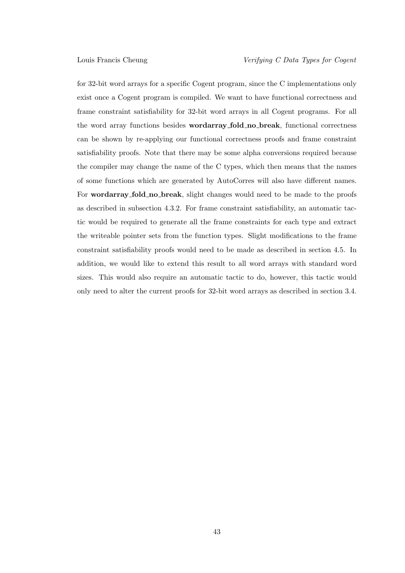for 32-bit word arrays for a specific Cogent program, since the C implementations only exist once a Cogent program is compiled. We want to have functional correctness and frame constraint satisfiability for 32-bit word arrays in all Cogent programs. For all the word array functions besides wordarray fold no break, functional correctness can be shown by re-applying our functional correctness proofs and frame constraint satisfiability proofs. Note that there may be some alpha conversions required because the compiler may change the name of the C types, which then means that the names of some functions which are generated by AutoCorres will also have different names. For wordsarray fold no break, slight changes would need to be made to the proofs as described in [subsection 4.3.2.](#page-42-0) For frame constraint satisfiability, an automatic tactic would be required to generate all the frame constraints for each type and extract the writeable pointer sets from the function types. Slight modifications to the frame constraint satisfiability proofs would need to be made as described in [section 4.5.](#page-45-0) In addition, we would like to extend this result to all word arrays with standard word sizes. This would also require an automatic tactic to do, however, this tactic would only need to alter the current proofs for 32-bit word arrays as described in [section 3.4.](#page-33-0)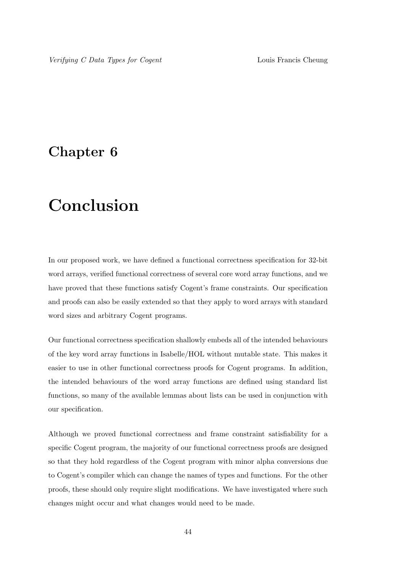## Chapter 6

# Conclusion

In our proposed work, we have defined a functional correctness specification for 32-bit word arrays, verified functional correctness of several core word array functions, and we have proved that these functions satisfy Cogent's frame constraints. Our specification and proofs can also be easily extended so that they apply to word arrays with standard word sizes and arbitrary Cogent programs.

Our functional correctness specification shallowly embeds all of the intended behaviours of the key word array functions in Isabelle/HOL without mutable state. This makes it easier to use in other functional correctness proofs for Cogent programs. In addition, the intended behaviours of the word array functions are defined using standard list functions, so many of the available lemmas about lists can be used in conjunction with our specification.

Although we proved functional correctness and frame constraint satisfiability for a specific Cogent program, the majority of our functional correctness proofs are designed so that they hold regardless of the Cogent program with minor alpha conversions due to Cogent's compiler which can change the names of types and functions. For the other proofs, these should only require slight modifications. We have investigated where such changes might occur and what changes would need to be made.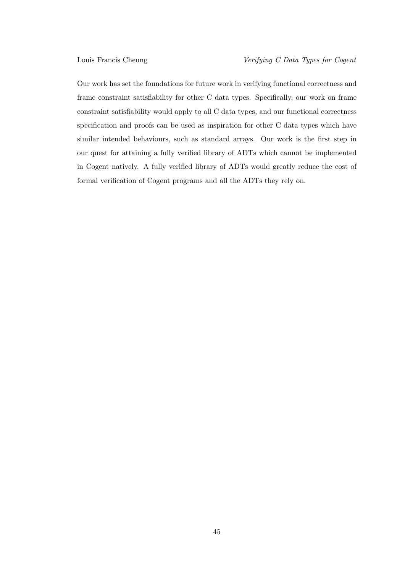Our work has set the foundations for future work in verifying functional correctness and frame constraint satisfiability for other C data types. Specifically, our work on frame constraint satisfiability would apply to all C data types, and our functional correctness specification and proofs can be used as inspiration for other C data types which have similar intended behaviours, such as standard arrays. Our work is the first step in our quest for attaining a fully verified library of ADTs which cannot be implemented in Cogent natively. A fully verified library of ADTs would greatly reduce the cost of formal verification of Cogent programs and all the ADTs they rely on.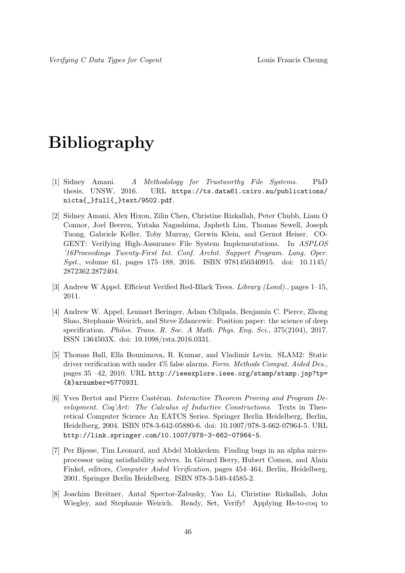# Bibliography

- [1] Sidney Amani. A Methodology for Trustworthy File Systems. PhD thesis, UNSW, 2016. URL [https://ts.data61.csiro.au/publications/](https://ts.data61.csiro.au/publications/nicta{_}full{_}text/9502.pdf) [nicta{\\_}full{\\_}text/9502.pdf](https://ts.data61.csiro.au/publications/nicta{_}full{_}text/9502.pdf).
- [2] Sidney Amani, Alex Hixon, Zilin Chen, Christine Rizkallah, Peter Chubb, Liam O Connor, Joel Beeren, Yutaka Nagashima, Japheth Lim, Thomas Sewell, Joseph Tuong, Gabriele Keller, Toby Murray, Gerwin Klein, and Gernot Heiser. CO-GENT: Verifying High-Assurance File System Implementations. In ASPLOS '16Proceedings Twenty-First Int. Conf. Archit. Support Program. Lang. Oper. Syst., volume 61, pages 175–188, 2016. ISBN 9781450340915. doi: 10.1145/ 2872362.2872404.
- [3] Andrew W Appel. Efficient Verified Red-Black Trees. Library (Lond)., pages 1–15, 2011.
- [4] Andrew W. Appel, Lennart Beringer, Adam Chlipala, Benjamin C. Pierce, Zhong Shao, Stephanie Weirich, and Steve Zdancewic. Position paper: the science of deep specification. Philos. Trans. R. Soc. A Math. Phys. Eng. Sci., 375(2104), 2017. ISSN 1364503X. doi: 10.1098/rsta.2016.0331.
- [5] Thomas Ball, Ella Bounimova, R. Kumar, and Vladimir Levin. SLAM2: Static driver verification with under 4% false alarms. Form. Methods Comput. Aided Des., pages 35 –42, 2010. URL [http://ieeexplore.ieee.org/stamp/stamp.jsp?tp=](http://ieeexplore.ieee.org/stamp/stamp.jsp?tp={&}arnumber=5770931) [{&}arnumber=5770931](http://ieeexplore.ieee.org/stamp/stamp.jsp?tp={&}arnumber=5770931).
- [6] Yves Bertot and Pierre Castéran. Interactive Theorem Proving and Program Development. Coq'Art: The Calculus of Inductive Constructions. Texts in Theoretical Computer Science An EATCS Series. Springer Berlin Heidelberg, Berlin, Heidelberg, 2004. ISBN 978-3-642-05880-6. doi: 10.1007/978-3-662-07964-5. URL <http://link.springer.com/10.1007/978-3-662-07964-5>.
- [7] Per Bjesse, Tim Leonard, and Abdel Mokkedem. Finding bugs in an alpha microprocessor using satisfiability solvers. In G´erard Berry, Hubert Comon, and Alain Finkel, editors, Computer Aided Verification, pages 454–464, Berlin, Heidelberg, 2001. Springer Berlin Heidelberg. ISBN 978-3-540-44585-2.
- [8] Joachim Breitner, Antal Spector-Zabusky, Yao Li, Christine Rizkallah, John Wiegley, and Stephanie Weirich. Ready, Set, Verify! Applying Hs-to-coq to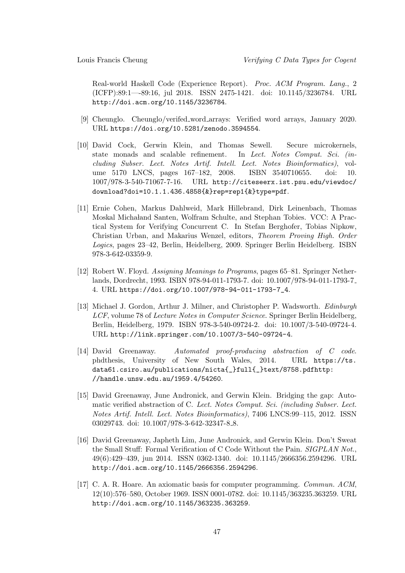Real-world Haskell Code (Experience Report). Proc. ACM Program. Lang., 2 (ICFP):89:1—-89:16, jul 2018. ISSN 2475-1421. doi: 10.1145/3236784. URL <http://doi.acm.org/10.1145/3236784>.

- [9] Cheunglo. Cheunglo/verifed word arrays: Verified word arrays, January 2020. URL <https://doi.org/10.5281/zenodo.3594554>.
- [10] David Cock, Gerwin Klein, and Thomas Sewell. Secure microkernels, state monads and scalable refinement. In Lect. Notes Comput. Sci. (including Subser. Lect. Notes Artif. Intell. Lect. Notes Bioinformatics), volume 5170 LNCS, pages 167–182, 2008. ISBN 3540710655. doi: 10. 1007/978-3-540-71067-7-16. URL [http://citeseerx.ist.psu.edu/viewdoc/](http://citeseerx.ist.psu.edu/viewdoc/download?doi=10.1.1.436.4858{&}rep=rep1{&}type=pdf) [download?doi=10.1.1.436.4858{&}rep=rep1{&}type=pdf](http://citeseerx.ist.psu.edu/viewdoc/download?doi=10.1.1.436.4858{&}rep=rep1{&}type=pdf).
- [11] Ernie Cohen, Markus Dahlweid, Mark Hillebrand, Dirk Leinenbach, Thomas Moskal Michałand Santen, Wolfram Schulte, and Stephan Tobies. VCC: A Practical System for Verifying Concurrent C. In Stefan Berghofer, Tobias Nipkow, Christian Urban, and Makarius Wenzel, editors, Theorem Proving High. Order Logics, pages 23–42, Berlin, Heidelberg, 2009. Springer Berlin Heidelberg. ISBN 978-3-642-03359-9.
- [12] Robert W. Floyd. Assigning Meanings to Programs, pages 65–81. Springer Netherlands, Dordrecht, 1993. ISBN 978-94-011-1793-7. doi: 10.1007/978-94-011-1793-7 4. URL [https://doi.org/10.1007/978-94-011-1793-7\\_4](https://doi.org/10.1007/978-94-011-1793-7_4).
- [13] Michael J. Gordon, Arthur J. Milner, and Christopher P. Wadsworth. Edinburgh LCF, volume 78 of Lecture Notes in Computer Science. Springer Berlin Heidelberg, Berlin, Heidelberg, 1979. ISBN 978-3-540-09724-2. doi: 10.1007/3-540-09724-4. URL <http://link.springer.com/10.1007/3-540-09724-4>.
- [14] David Greenaway. Automated proof-producing abstraction of C code. phdthesis, University of New South Wales, 2014. URL [https://ts.](https://ts.data61.csiro.au/publications/nicta{_}full{_}text/8758.pdf http://handle.unsw.edu.au/1959.4/54260) [data61.csiro.au/publications/nicta{\\_}full{\\_}text/8758.pdfhttp:](https://ts.data61.csiro.au/publications/nicta{_}full{_}text/8758.pdf http://handle.unsw.edu.au/1959.4/54260) [//handle.unsw.edu.au/1959.4/54260](https://ts.data61.csiro.au/publications/nicta{_}full{_}text/8758.pdf http://handle.unsw.edu.au/1959.4/54260).
- [15] David Greenaway, June Andronick, and Gerwin Klein. Bridging the gap: Automatic verified abstraction of C. Lect. Notes Comput. Sci. (including Subser. Lect. Notes Artif. Intell. Lect. Notes Bioinformatics), 7406 LNCS:99–115, 2012. ISSN 03029743. doi: 10.1007/978-3-642-32347-8<sub>-</sub>8.
- [16] David Greenaway, Japheth Lim, June Andronick, and Gerwin Klein. Don't Sweat the Small Stuff: Formal Verification of C Code Without the Pain. SIGPLAN Not., 49(6):429–439, jun 2014. ISSN 0362-1340. doi: 10.1145/2666356.2594296. URL <http://doi.acm.org/10.1145/2666356.2594296>.
- [17] C. A. R. Hoare. An axiomatic basis for computer programming. Commun. ACM, 12(10):576–580, October 1969. ISSN 0001-0782. doi: 10.1145/363235.363259. URL <http://doi.acm.org/10.1145/363235.363259>.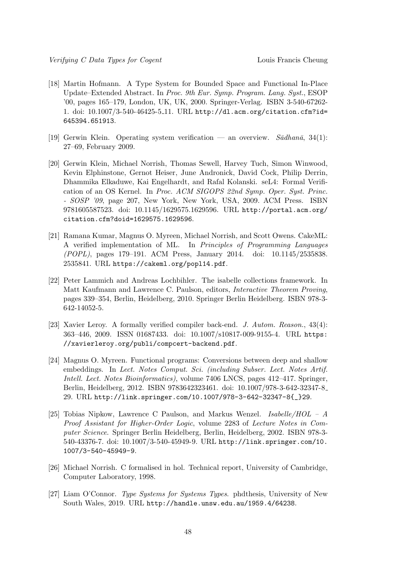- [18] Martin Hofmann. A Type System for Bounded Space and Functional In-Place Update–Extended Abstract. In Proc. 9th Eur. Symp. Program. Lang. Syst., ESOP '00, pages 165–179, London, UK, UK, 2000. Springer-Verlag. ISBN 3-540-67262- 1. doi: 10.1007/3-540-46425-5 11. URL [http://dl.acm.org/citation.cfm?id=](http://dl.acm.org/citation.cfm?id=645394.651913) [645394.651913](http://dl.acm.org/citation.cfm?id=645394.651913).
- [19] Gerwin Klein. Operating system verification an overview.  $S\bar{a}dhan\bar{a}$ , 34(1): 27–69, February 2009.
- [20] Gerwin Klein, Michael Norrish, Thomas Sewell, Harvey Tuch, Simon Winwood, Kevin Elphinstone, Gernot Heiser, June Andronick, David Cock, Philip Derrin, Dhammika Elkaduwe, Kai Engelhardt, and Rafal Kolanski. seL4: Formal Verification of an OS Kernel. In Proc. ACM SIGOPS 22nd Symp. Oper. Syst. Princ. - SOSP '09, page 207, New York, New York, USA, 2009. ACM Press. ISBN 9781605587523. doi: 10.1145/1629575.1629596. URL [http://portal.acm.org/](http://portal.acm.org/citation.cfm?doid=1629575.1629596) [citation.cfm?doid=1629575.1629596](http://portal.acm.org/citation.cfm?doid=1629575.1629596).
- [21] Ramana Kumar, Magnus O. Myreen, Michael Norrish, and Scott Owens. CakeML: A verified implementation of ML. In Principles of Programming Languages (POPL), pages 179–191. ACM Press, January 2014. doi: 10.1145/2535838. 2535841. URL <https://cakeml.org/popl14.pdf>.
- [22] Peter Lammich and Andreas Lochbihler. The isabelle collections framework. In Matt Kaufmann and Lawrence C. Paulson, editors, Interactive Theorem Proving, pages 339–354, Berlin, Heidelberg, 2010. Springer Berlin Heidelberg. ISBN 978-3- 642-14052-5.
- [23] Xavier Leroy. A formally verified compiler back-end. J. Autom. Reason., 43(4): 363–446, 2009. ISSN 01687433. doi: 10.1007/s10817-009-9155-4. URL [https:](https://xavierleroy.org/publi/compcert-backend.pdf) [//xavierleroy.org/publi/compcert-backend.pdf](https://xavierleroy.org/publi/compcert-backend.pdf).
- [24] Magnus O. Myreen. Functional programs: Conversions between deep and shallow embeddings. In Lect. Notes Comput. Sci. (including Subser. Lect. Notes Artif. Intell. Lect. Notes Bioinformatics), volume 7406 LNCS, pages 412–417. Springer, Berlin, Heidelberg, 2012. ISBN 9783642323461. doi: 10.1007/978-3-642-32347-8 29. URL [http://link.springer.com/10.1007/978-3-642-32347-8{\\_}29](http://link.springer.com/10.1007/978-3-642-32347-8{_}29).
- [25] Tobias Nipkow, Lawrence C Paulson, and Markus Wenzel. Isabelle/HOL A Proof Assistant for Higher-Order Logic, volume 2283 of Lecture Notes in Computer Science. Springer Berlin Heidelberg, Berlin, Heidelberg, 2002. ISBN 978-3- 540-43376-7. doi: 10.1007/3-540-45949-9. URL [http://link.springer.com/10.](http://link.springer.com/10.1007/3-540-45949-9) [1007/3-540-45949-9](http://link.springer.com/10.1007/3-540-45949-9).
- [26] Michael Norrish. C formalised in hol. Technical report, University of Cambridge, Computer Laboratory, 1998.
- [27] Liam O'Connor. Type Systems for Systems Types. phdthesis, University of New South Wales, 2019. URL <http://handle.unsw.edu.au/1959.4/64238>.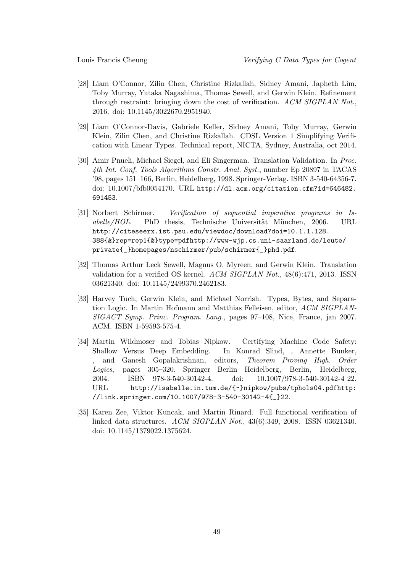- [28] Liam O'Connor, Zilin Chen, Christine Rizkallah, Sidney Amani, Japheth Lim, Toby Murray, Yutaka Nagashima, Thomas Sewell, and Gerwin Klein. Refinement through restraint: bringing down the cost of verification. ACM SIGPLAN Not., 2016. doi: 10.1145/3022670.2951940.
- [29] Liam O'Connor-Davis, Gabriele Keller, Sidney Amani, Toby Murray, Gerwin Klein, Zilin Chen, and Christine Rizkallah. CDSL Version 1 Simplifying Verification with Linear Types. Technical report, NICTA, Sydney, Australia, oct 2014.
- [30] Amir Pnueli, Michael Siegel, and Eli Singerman. Translation Validation. In Proc. 4th Int. Conf. Tools Algorithms Constr. Anal. Syst., number Ep 20897 in TACAS '98, pages 151–166, Berlin, Heidelberg, 1998. Springer-Verlag. ISBN 3-540-64356-7. doi: 10.1007/bfb0054170. URL [http://dl.acm.org/citation.cfm?id=646482.](http://dl.acm.org/citation.cfm?id=646482.691453) [691453](http://dl.acm.org/citation.cfm?id=646482.691453).
- [31] Norbert Schirmer. Verification of sequential imperative programs in Isabelle/HOL. PhD thesis, Technische Universität München, 2006. URL [http://citeseerx.ist.psu.edu/viewdoc/download?doi=10.1.1.128.](http://citeseerx.ist.psu.edu/viewdoc/download?doi=10.1.1.128.388{&}rep=rep1{&}type=pdf http://www-wjp.cs.uni-saarland.de/leute/private{_}homepages/nschirmer/pub/schirmer{_}phd.pdf) [388{&}rep=rep1{&}type=pdfhttp://www-wjp.cs.uni-saarland.de/leute/](http://citeseerx.ist.psu.edu/viewdoc/download?doi=10.1.1.128.388{&}rep=rep1{&}type=pdf http://www-wjp.cs.uni-saarland.de/leute/private{_}homepages/nschirmer/pub/schirmer{_}phd.pdf) [private{\\_}homepages/nschirmer/pub/schirmer{\\_}phd.pdf](http://citeseerx.ist.psu.edu/viewdoc/download?doi=10.1.1.128.388{&}rep=rep1{&}type=pdf http://www-wjp.cs.uni-saarland.de/leute/private{_}homepages/nschirmer/pub/schirmer{_}phd.pdf).
- [32] Thomas Arthur Leck Sewell, Magnus O. Myreen, and Gerwin Klein. Translation validation for a verified OS kernel. ACM SIGPLAN Not., 48(6):471, 2013. ISSN 03621340. doi: 10.1145/2499370.2462183.
- [33] Harvey Tuch, Gerwin Klein, and Michael Norrish. Types, Bytes, and Separation Logic. In Martin Hofmann and Matthias Felleisen, editor, ACM SIGPLAN-SIGACT Symp. Princ. Program. Lang., pages 97–108, Nice, France, jan 2007. ACM. ISBN 1-59593-575-4.
- [34] Martin Wildmoser and Tobias Nipkow. Certifying Machine Code Safety: Shallow Versus Deep Embedding. In Konrad Slind, , Annette Bunker, , and Ganesh Gopalakrishnan, editors, Theorem Proving High. Order Logics, pages 305–320. Springer Berlin Heidelberg, Berlin, Heidelberg, 2004. ISBN 978-3-540-30142-4. doi: 10.1007/978-3-540-30142-4 22. URL [http://isabelle.in.tum.de/{~}nipkow/pubs/tphols04.pdfhttp:](http://isabelle.in.tum.de/{~}nipkow/pubs/tphols04.pdf http://link.springer.com/10.1007/978-3-540-30142-4{_}22) [//link.springer.com/10.1007/978-3-540-30142-4{\\_}22](http://isabelle.in.tum.de/{~}nipkow/pubs/tphols04.pdf http://link.springer.com/10.1007/978-3-540-30142-4{_}22).
- [35] Karen Zee, Viktor Kuncak, and Martin Rinard. Full functional verification of linked data structures. ACM SIGPLAN Not., 43(6):349, 2008. ISSN 03621340. doi: 10.1145/1379022.1375624.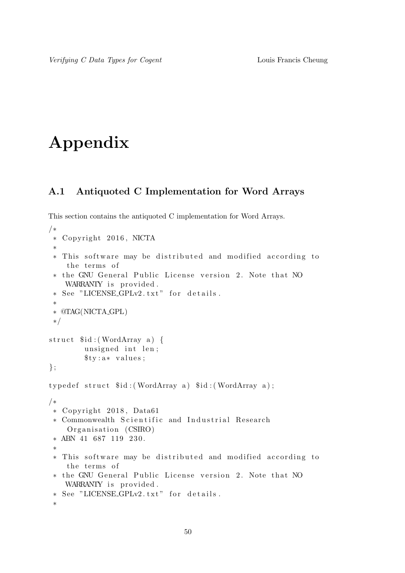# Appendix

### A.1 Antiquoted C Implementation for Word Arrays

This section contains the antiquoted C implementation for Word Arrays.

```
/∗
∗ Copy righ t 2 0 1 6 , NICTA
 ∗
 * This software may be distributed and modified according to
    the terms of
 * the GNU General Public License version 2. Note that NO
   WARRANTY is provided.
 ∗ See "LICENSE GPLv2 . t x t " f o r d e t a i l s .
 ∗
 ∗ @TAG(NICTA GPL)
 ∗/
struct \sid : (WordArray \ a) \ \{unsigned int len;
        $ty : a∗ v al u e s ;
\};
try pedef struct fi: (WordArray a) fi: (WordArray a);
/∗
 ∗ Copy righ t 2 0 1 8 , Data61
 ∗ Commonwealth S c i e n t i f i c and I n d u s t r i a l Re sea rch
    Organisation (CSIRO)
 ∗ ABN 41 687 119 2 3 0.
 ∗
 ∗ This software may be distributed and modified according to
    the terms of
 * the GNU General Public License version 2. Note that NO
    WARRANTY is provided.
 * See "LICENSE_GPLv2.txt" for details.
```
∗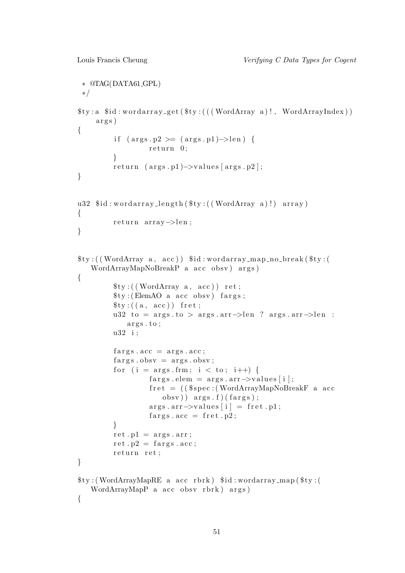```
∗ @TAG(DATA61 GPL)
 ∗/
$ty: a $id: wordarray.get({$ty:((WordArray a)!, WordArrayIndex))}a r g s )
{
          if (\arg s \cdot p2 \geq (\arg s \cdot p1) \rightarrow \text{len}) {
                    return 0:
          }
          return (args.p1) \rightarrowvalues [args.p2];}
u32 \text{sid}: word array_length (\text{fty}: ((\text{WordArray } a)!) array)
{
          return array→len;
}
f(y: ((WordArray a, acc)) \id:wordarray_map_no_break(f(y: ((gamma a, acc)))WordArrayMapNoBreakP a acc obsv) args)
{
          f(y: ((WordArray a, acc)) ret;f(y:(ElemAO \text{ a } acc \text{ obs } v) fargs;
          $ty: ((a, acc)) fret;
          u32 to = args.to > args.arr\rightarrowlen ? args.arr\rightarrowlen :
              args.to;
          u32 i ;
          fargs \cdot acc = args \cdot acc;
          fargs. obsv = args. obsv;for (i = args.frm; i < to; i++) {
                    fargs. elem = args. arr \rightarrow values[i];fret = (($spec: (WordArrayMapNoBreakF a acc
                        obsv)) args. f) (fargs);args. arr \rightarrow values[i] = fret.p1;fargs \cdot acc = fret \cdot p2;}
          ret. pl = args. arr;ret. p2 = fargs. acc;return ret;
}
\text{fty}: (WordArrayMapRE a acc rbrk) \text{fid}: wordarray_map (\text{fty}: (
   WordArrayMapP a acc obsv rbrk) args){
```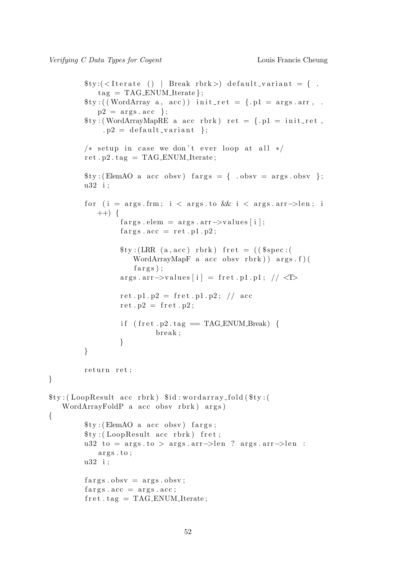}

 $\{$ 

```
\text{sty}: (<i>Iterate</i>) | <i>Break</i> <i>rbrk</i>) defined <math>\text{default\_variant} = \{.</math>tag = TAG_ENUM_Iterate ;
          \text{fty}: ((\text{WordArray a}, \text{acc})) \text{init_ret } = \{ .p1 = \text{args.array} \}.
             p2 = \arg s \cdot \arcc };
          %ty: (WordArrayMapRE a acc rbrk) ret = {.p1 = init_ret,
               .p2 = default\_variant ;
          /* setup in case we don't ever loop at all */
          ret.p2.tag = TAG_ENUM_Iterate;\text{sty}: (ElemAO a acc obsv) \text{ fargs} = \{ \text{.obsv} = \text{args} . \text{obsv} \};u32 i ;
          for (i = \arg s. frm; i < \arg s. to && i < \arg s. arr ->len; i
             ++) {
                    fargs. elem = args. arr \rightarrow values[i];fargs \cdot acc = ret \cdot p1 \cdot p2;
                    %ty: (LRR (a.acc) rbrk) fret = ((%spec: (
                        WordArrayMapF a acc obsv rbrk)) args.f)(
                        fargs);args. arr \rightarrow values[i] = fret.p1.p1; // <b>T</b>ret. pl. p2 = fret. pl. p2; // accret.p2 = fret.p2;if (f ret . p2 . tag = TAG_ENUM_Break) {
                              break ;
                    }
          }
          return ret;
$ty:(LoopResult acc rbrk) $id:wordarray_fold ($t y:(WordArrayFoldP a acc obsv rbrk) args)$ty:(ElemAO a acc obsv) fargs;f(y:(LoopResult \tacc \trbrk) fret;
          u32 to = args to > args . arr ->len ? args . arr ->len :
             args. to;u32 i ;
          fargs. obsv = args. obsv;fargs \cdot acc = args \cdot acc;
          fret . tag = TAG_FNUM_Iterate;
```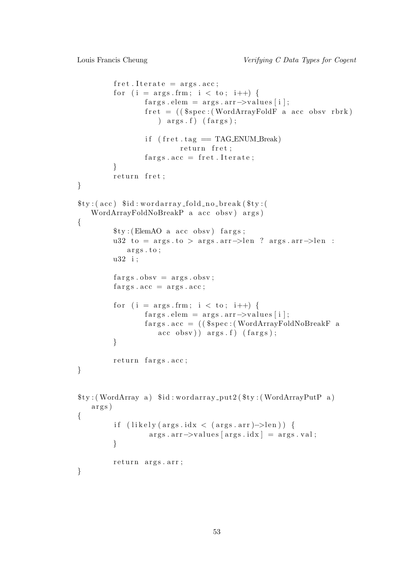```
fret. Iterate = args. acc;
           for (i = \arg s. frm; i < \infty; i++) {
                    fargs. elem = args. arr \rightarrow values[i];fret = (($spec: (WordArrayFoldF a acc obsv rbrk)
                        ) args.f) (fargs);if (\text{fret.tag} = \text{TAG} \text{ENUM} \cdot \text{Break})return fret;
                    fargs \cdot acc = fret \cdot Iterate ;}
           return fret;
}
$ty:(acc) $id:wordarray-fold-no-breaking ($ty:(WordArrayFoldNoBreakP a acc obsv) args)
{
           fty:(ElemAO a acc obsv) fargs;u32 to = args.to > args.array-\n= 2 \text{ erg } s \cdot arr \rightarrow len ? args.array-\n= 2 \text{ erg } s \cdot 2 \cdot 2args.to:u32 i ;
           fargs. obsv = args. obsv;fargs \cdot acc = args \cdot acc ;for (i = \arg s. frm; i < \infty; i++) {
                    fargs. elem = args. arr \rightarrow values[i];fargs \cdot acc = (($spec:(WordArrayFoldNoBreakF aacc \; obsv) ) args \; . \; f) \; (fargs);
           }
           return fargs.acc;
}
%ty : (WordArray a) %id : wordarray_put2 (%ty : (WordArrayPutP a)
    arg s){
           if (likely (\arg s \cdot \text{idx} < (\arg s \cdot \text{arr}) \rightarrow \text{len})) {
                      args. arr \rightarrow values [args. idx] = args. val;}
           return args.arr;
}
```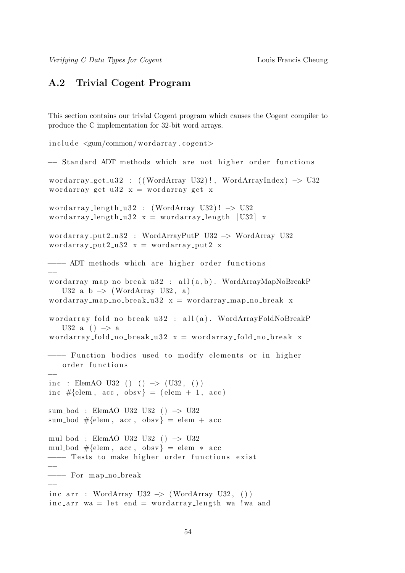### A.2 Trivial Cogent Program

This section contains our trivial Cogent program which causes the Cogent compiler to produce the C implementation for 32-bit word arrays.

 $include \textless\textless\, (quantum/common/wordarray.cogent>$ 

−− Standard ADT methods which are not higher order functions wordarray\_get\_u32 :  $((WordArray U32)!, WordArrayIndex) \rightarrow U32$ wordarray\_get\_u32  $x = wordarray.get x$ wordarray\_length\_u32 : (WordArray U32)!  $\rightarrow$  U32 wordarray\_length\_u32  $x = wordarray.length [U32] x$ w o rd a r r a y pu t 2 u 3 2 : WordArrayPutP U32 −> WordArray U32 wordarray\_put $2_u32_x = wordarray_put2_x$ −−−− ADT methods which are higher order functions −−  $\text{wordarray_map\_no\_break\_u32} \; : \; \; \text{all}\; (\text{a}, \text{b}) \,. \; \; \text{WordArrayMapNoBreakP}$ U32 a b  $\rightarrow$  (WordArray U32, a) wordarray\_map\_no\_break\_u32  $x = wordarray_m$ ap\_no\_break x wordarray\_fold\_no\_break\_u32 : all(a). WordArrayFoldNoBreakP U32 a ( $) \rightarrow a$ wordarray\_fold\_no\_break\_u32  $x = wordarray_fold.no_break x$ −−−− Function bodies used to modify elements or in higher order functions −− inc : ElemAO U32 ( ) ( )  $\rightarrow$  (U32, ( ) ) inc #{elem,  $acc$ ,  $obsv$ } = ( $elem + 1$ ,  $acc$ ) sum\_bod : ElemAO U32 U32 () -> U32 sum\_bod  $#{elem}$ ,  $acc$ ,  $obsv$ } = elem + acc mul bod : ElemAO U32 U32 ( ) −> U32 mul\_bod  $#{elem}$ ,  $acc$ ,  $obsv$ } = elem  $*$  acc −−− Tests to make higher order functions exist −− −−−− For map no break −−  $\texttt{inc\_arr}$  : WordArray U32 −> (WordArray U32, ())  $inc_arr$  wa = let end = wordarray\_length wa ! wa and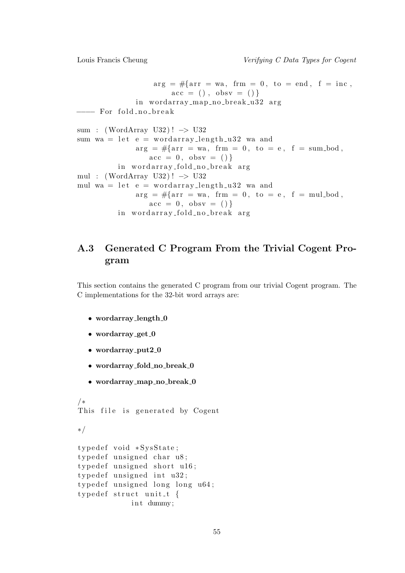$\arg = \#\{arr = wa, \text{ fm} = 0, \text{ to } = end, \text{ f} = \text{inc}, \text{ }$  $\text{acc} = ()$ ,  $\text{obsv} = ()$ in wordarray\_map\_no\_break\_u32 arg −−−− For f o l d n o b r e a k sum : (WordArray U32)! -> U32 sum wa = let  $e = wordarray.length_132$  wa and  $\arg = \#\{arr = wa, \text{ fm } = 0, \text{ to } = e, \text{ f } = \text{sum\_bod}, \text{ }$  $\text{acc} = 0, \text{ obsv} = ()$ in wordarray\_fold\_no\_break arg mul : (WordArray U32)!  $\rightarrow$  U32 mul wa = let  $e$  = wordarray\_length\_u32 wa and  $\arg = \#\{arr = wa, \text{ fm } = 0, \text{ to } = e, \text{ f } = mul\_bod,$  $\sec = 0$ ,  $\cosh y = ()$ in wordarray\_fold\_no\_break arg

## A.3 Generated C Program From the Trivial Cogent Program

This section contains the generated C program from our trivial Cogent program. The C implementations for the 32-bit word arrays are:

- wordarray  $length_0$
- wordarray\_get\_0
- wordarray\_put $2_0$
- wordarray\_fold\_no\_break\_0
- wordarray\_map\_no\_break\_0

```
/∗
This file is generated by Cogent
∗/
typedef void ∗SysState;
typedef unsigned char u8;
typedef unsigned short u16;
typedef unsigned int u32;
typedef unsigned long long u64;
try pedef struct unit_t {
            int dummy;
```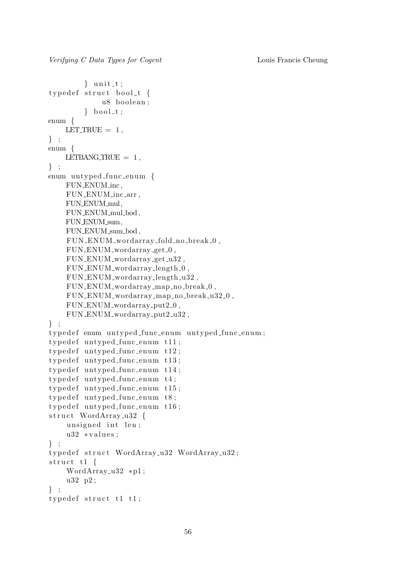```
\} unit_t;
typedef struct bool_t {
            u8 boolean;
        \} bool_t;
enum {
    LET_TRUE = 1,} ;
enum {
    LETBANG TRUE = 1,
} ;
enum untyped func enum {
    FUN_ENUM_inc,
    FUN_ENUM_inc_arr,
    FUN ENUM mul,
    FUN_ENUM_mul_bod,
    FUN ENUM sum,
    FUN_ENUM_sum_bod,
    FUN_ENUM_wordarray_fold_no_break_0,
    FUN_ENUM_wordarray_set_0.
    FUN_ENUM_wordarray_get_u32,
    FUN_ENUM_wordarray_length_0,
    FUN_ENUM_wordarray_length_u32,
    FUN_ENUM_wordarray_map_no_break_0,
    FUN_ENUM_wordarray_map_no_break_u32_0,
    FUN_ENUM_wordarray_put2_0,
    FUN_ENUM_wordarray_put2_u32,
} ;
typedef enum untyped_func_enum untyped_func_enum;
try pedef untyped_func_enum t11;
try pedef untyped_func_enum t12;
typedef untyped_func_enum t13;
try pedef untyped_func_enum t14;
try pedef untyped_func_enum t4;
typedef untyped_func_enum t15;
typedef untyped_func_enum t8;
try pedef untyped_func_enum t16;
struct WordArray_u32 \{unsigned int len;
    u32 ∗values;
} ;
typedef struct WordArray_u32 WordArray_u32;
struct t1 \{WordArray u32 ∗p1 ;
    u32 p2 ;
} ;
try pedef struct t1 t1;
```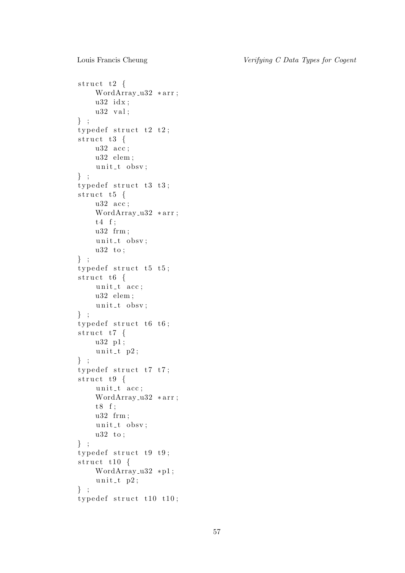Louis Francis Cheung Verifying C Data Types for Cogent

```
struct t2 {
    WordArray_u32 ∗arr;
    u32 idx;
    u32 v al ;
} ;
\tt type def struct t2 t2;struct t3 \{u32 acc ;
    u32 elem ;
    unit_t obsv;
} ;
typedef struct t3 t3;
struct t5 \{u32 acc ;
    WordArray_u32 ∗arr;
    t4 \text{ f};
    u32 frm ;
    unit_t obsv;
    u32 to:
} ;
typedef struct t5 t5;
struct t6 {
    unit_t acc;
    u32 elem ;
    unit_t obsv;
} ;
try pedef struct t6 t6;
struct t7 {
    u32 p1 ;
    unit_t p2;
} ;
try pedef struct t7 t7;
struct t9 \{unit_t acc;
    WordArray<sub>-</sub>u32 ∗arr;
    t8 \text{ f};
    u32 frm ;
    unit_t obsv;
    u32 to;
} ;
typedef struct t9 t9;
struct t10 \{WordArray u32 ∗p1 ;
    unit_t p2;
} ;
try pedef struct t10 t10;
```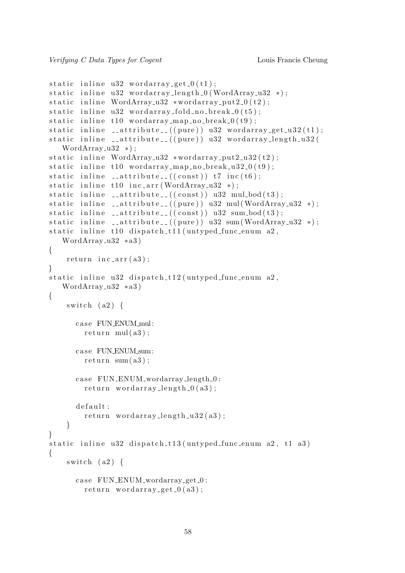```
static in line u32 wordarray_get_0(t1);static in line u32 wordarray_length_0 (WordArray_u32 *);
static inline WordArray_u32 *wordarray_put2_0(t2);
static in line u32 wordarray_fold_no_break_0(t5);
static in line t 10 word array map no break 0(t9);
static inline \text{1} \text{1} \text{1} \text{1} \text{1} \text{1} \text{1} \text{1} \text{1} \text{1} \text{1} \text{1} \text{1} \text{1} \text{1} \text{1} \text{1} \text{1} \text{1} \text{1} \text{1} \text{1} \text{1} \text{1} \text{1} \text{1}static in line \text{-} attribute\text{-} ((pure)) u32 word array-length \text{-}u32(
     WordArray_u32 * ;
static in line WordArray_u32 *wordarray_put2_-u32(t2);
static inline t10 wordarray_map_no_break_u32_0(t9);
static inline \text{1} \text{1} \text{1} \text{1} \text{1} \text{1} \text{1} \text{1} \text{1} \text{1} \text{1} \text{1} \text{1} \text{1} \text{1} \text{1} \text{1} \text{1} \text{1} \text{1} \text{1} \text{1} \text{1} \text{1} \text{1} \text{1}static in line t10 inc_arr (WordArray_u32 *);
static inline \text{...}attribute\text{...}((\text{const})) u32 mul\text{!}bod(\text{t3});
static in line \text{I} -attribute\text{I} ((pure)) u32 mul (WordArray_u32 *);
static in line \text{1} \text{1} \text{1} \text{1} \text{1} \text{1} \text{1} \text{1} \text{1} \text{1} \text{1} \text{1} \text{1} \text{1} \text{1} \text{1} \text{1} \text{1} \text{1} \text{1} \text{1} \text{1} \text{1} \text{1} \text{1} \text{1}static inline \text{\_} attribute \text{\_}((pure)) u32 sum (WordArray \text{\_}32 *);
static in line t10 dispatch_t11(untyped_func_enum a2,
     WordArray_u32 *a3)
{
      return inc_arr(a3);
}
static inline u32 dispatch_t12(untyped_func_enum a2,
    WordArray_u32 *a3)
{
      switch (a2) {
         case FUN_ENUM_mul:
            return \text{mul}(a3);case FUN ENUM sum:
            return sum(a3);case FUN_ENUM_wordarray_length_0:
            return wordarray_length_0(a3);
         default:
            return wordarray_length_u32(a3);
      }
}
static in line u32 dispatch_t13 (untyped_func_enum a2, t1 a3)
{
      switch (a2) {
         case FUN_ENUM_wordarray_get_0:
            return wordarray.get_0(a3);
```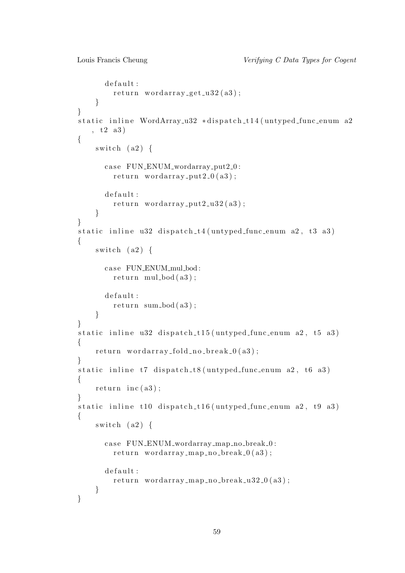```
default:return wordarray_get_u32(a3);
    }
}
static inline WordArray_u32 *dispatch_t14(untyped_func_enum a2
   , t2 a3){
    switch (a2) {
      case FUN_ENUM_wordarray_put2_0:
        return wordarray_put2_0(a3);
      default:
        return wordarray\_put2\_u32(a3);}
}
static in line u32 dispatch_t4 (untyped_func_enum a2, t3 a3)
{
    switch (a2) {
      case FUN_ENUM_mul_bod:
        return \text{mul-body}(a3);default:
        return sum\_bod(a3);}
}
static in line u32 dispatch_t15 (untyped_func_enum a2, t5 a3)
{
    return wordarray_fold_no_break_0(a3);
}
static in line t7 dispatch_t8 (untyped_func_enum a2, t6 a3)
\{return inc(a3);
}
static in line t10 dispatch_t16 (untyped_func_enum a2, t9 a3)
\{switch (a2) {
      case FUN_ENUM_wordarray_map_no_break_0:
        return wordarray_map_no_break_0(a3);
      default:
        return wordarray_map_no_break_u32_0(a3);
    }
}
```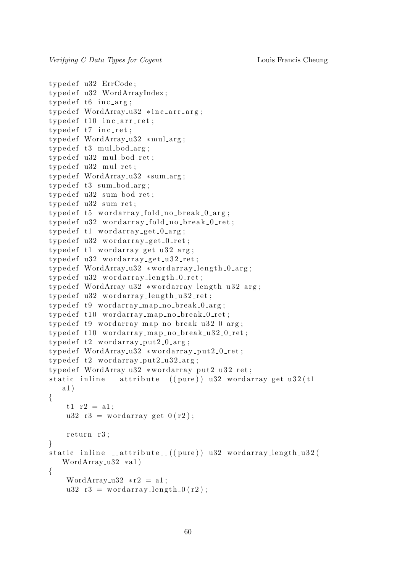```
tvpedef u32 ErrCode;
typedef u32 WordArrayIndex;
try pedef  t6 inc_arg ;type def WordArray_u32 *inc_arr_arg;
\tt type def t10 inc.array_ret;\tt type def t7 inc_ret;t v p e d e f WordArray_u32 ∗ mul_arg :
try pedef t3 mul_bod_arg;
try pedef u32 mul_bod_ret;
typedef u32 mul_ret;
typedef WordArray_u32 ∗sum_arg;
try pedef t3 sum-body_arg;type def u32 sum bod_ret;
typedef u32 sum_ret;
typedef t5 wordarray_fold_no_break_0_arg;
typedef u32 wordarray_fold_no_break_0_ret;
try pedef t1 word array.get_0_arg;trypedef u32 word array.get_0_ret;t v p e d e f t1 w ordarray get_u32_ arg :
try pedef u32 wordarray_get_u32_ret;
try pedef WordArray_u32 * wordarray.length_0_arg;typedef u32 wordarray_length_0_ret;
try pedef WordArray_u32 *wordarray_length_u32_arg;try pedef u32 word array_length_u32_ret;typedef t9 wordarray_map_no_break_0_arg;
try pedef t10 word array_map-no_break_0_ret;try pedef_1 9 word array_map.no_break_u32_0_arg;typedef t10 wordarray_map_no_break_u32_0_ret;
try pedef t2 word array.put2_0_arg;typedef WordArray_u32 *wordarray_put2_0_ret;
type def t2 wordarray.put2_u32_args;typedef WordArray_u32 *wordarray_put2_u32_ret;
static in line \text{-}-attribute\text{-} ((pure)) u32 w ord array get \text{-}u32(t1)
   a1 )
{
    t1 r2 = a1;u32 r3 = wordarray.get_0(r2);return r3;}
static in line \text{I} -attribute\text{I} ( pure ) ) u32 word array length \text{I} u32 (
   WordArray \mu32 ∗a1)
{
    WordArray_u32 *r2 = a1;
    u32 r3 = wordarray.length_0(r2);
```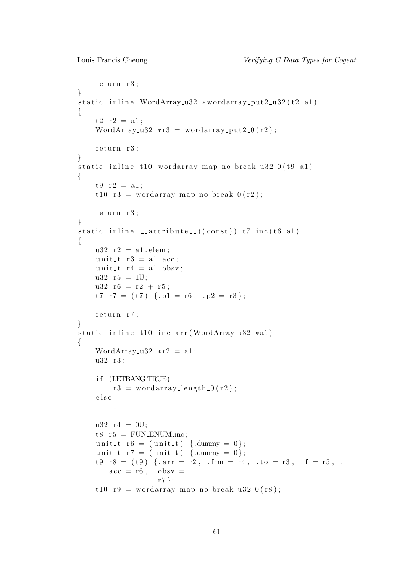```
return r3;
}
static in line WordArray_u32 *wordarray_put2_-u32(t2-a1){
    t2 r2 = a1:
    WordArray_u32 *r3 = wordarray\_put2_0(r2);return r3;}
static inline t10 wordarray_map_no_break_u32_0(t9 a1)
\{t9 r2 = a1;t10 r3 = wordarray-map.no为real_0(r2);return r3;
}
static inline \text{...}attribute\text{...}((\text{const})) t7 inc(\text{t6 a1})\{u32 r2 = a1. elem :
    unit_t r3 = a1. acc;
    unit_t r4 = a1.obsv;
    u32 r5 = 1U;
    u32 r 6 = r 2 + r 5;
    t7 \t r7 = (t7) \{ .p1 = r6, .p2 = r3 \};return r7;
}
static inline t10 inc_arr (WordArray_u32 *a1)
{
    WordArray_u32 *r2 = a1;u32 r3;
    i f (LETBANG TRUE)
        r3 = wordarray_length_0(r2);e l s e
         ;
    u32 r4 = 0U;
    t8 r 5 = FUN_ENUM_inc;
    unit_t r6 = (unit_t) {.dummy = 0};
    unit_t r7 = (unit_t) \{ .dummy = 0 \};t9 r8 = (t9) {.arr = r2, .frm = r4, .to = r3, .f = r5, .
        \mathrm{acc} = \mathrm{r6}, . \mathrm{obsv} =r7 };
    t10 r9 = wordarray_map.no_break_u32_0(r8);
```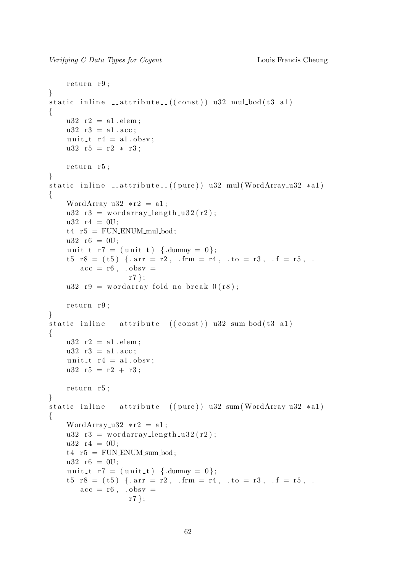```
return r9;
}
static in line \text{1} \text{1} \text{1} \text{1} \text{1} \text{1} \text{1} \text{1} \text{1} \text{1} \text{1} \text{1} \text{1} \text{1} \text{1} \text{1} \text{1} \text{1} \text{1} \text{1} \text{1} \text{1} \text{1} \text{1} \text{1} \text{1}{
       u32 r2 = a1. elem;
       u32 r3 = a1 \cdot acc;unit_t r4 = a1.obsv:
       u32 r5 = r2 * r3:
       return r5;
}
static in line \text{-}-attribute\text{-} ((pure)) u32 mul (WordArray u32 *a1)
{
       WordArray_u32 *r2 = a1;
       u32 r3 = wordarray.length_ u32(r2);u32 r 4 = 0U;
       t4 r 5 = FUN_ENUM_mul_bod;
       u32 r6 = 0U;
       unit_t r7 = (unit_t) \{ .dummy = 0 \};t5 \text{ r8} = (t5) \{.\text{arr} = r2, .\text{ frm} = r4, .\text{to} = r3, .\text{f} = r5, .\mathrm{acc} = \mathrm{r6}, . \mathrm{obsv} =r 7 };
       u32 r9 = wordarray-fold-no-breaking(68);return r9;}
static in line \text{1} \text{1} \text{1} \text{1} \text{1} \text{1} \text{1} \text{1} \text{1} \text{1} \text{1} \text{1} \text{1} \text{1} \text{1} \text{1} \text{1} \text{1} \text{1} \text{1} \text{1} \text{1} \text{1} \text{1} \text{1} \text{1}{
       u32 r2 = a1. elem;
       u32 r3 = a1 \cdot acc;unit_t r4 = a1.obsv;
       u32 r5 = r2 + r3;
       return r5;
}
static in line \text{I} attribute\text{I} ((pure)) u32 sum (WordArray_u32 *a1)
\{WordArray_u32 *r2 = a1;
       u32 r3 = wordarray_length_u32(r2);u32 r4 = 0U;
       t4 r 5 = FUN ENUM sum bod;
       u32 r6 = 0U;
       unit_t r7 = (unit_t) \{ .dummy = 0 \};t5 \text{ r8} = (t5) \text{ } \{.\text{arr } = \text{r2}, \text{ } .\text{frm } = \text{r4}, \text{ } .\text{to } = \text{r3}, \text{ } .\text{f } = \text{r5}, \text{ } .\mathrm{acc} = \mathrm{r6}, . \mathrm{obsv} =r 7 };
```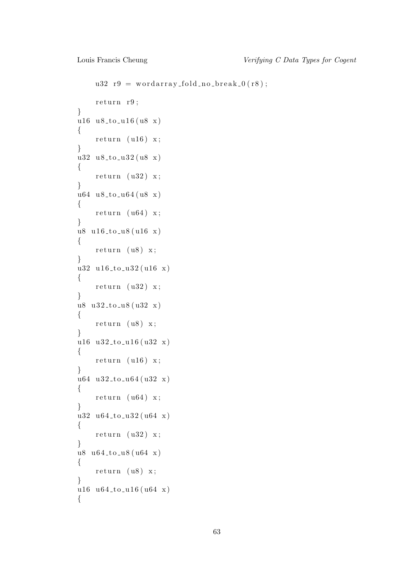```
u32 r9 = wordarray-fold-no-breaking(68);return r9;}
u16 u8_t0_u16(u8 x){
    return (u16) x;}
u32 u8_to_u32(u8 x)
{
    return (u32) x;}
u64 u8_to_u64(u8 x)
\{return (u64) x;}
u8 u16_t to_u8 (u16 x)\{return (u8) x;}
u32 u16_to_u32(u16 x)
{
    return (u32) x;}
u8 u32_to_us( u32 x){
    return (u8) x;}
u16 u32_to_u16(u32 x)
\left\{ \right.return (u16) x;}
u64 u32_t0_u64( u32 x)\{return (u64) x;}
u32 u64_to_u32(u64 x)
\{return (u32) x;}
u8 u64_to_u8(u64 x)
\left\{ \right.return (u8) x;}
u16 u64_to_u16(u64 x)
{
```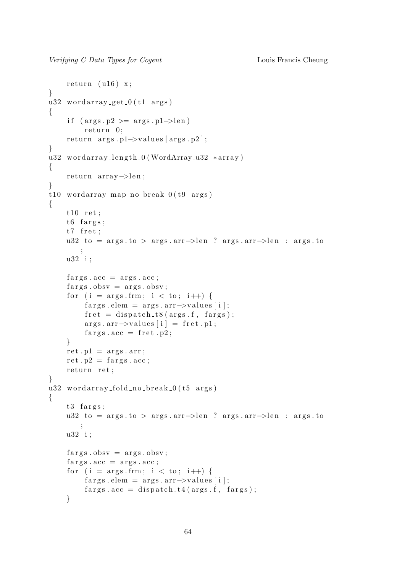```
return (u16) x;}
u32 wordarray\_get\_0 (t1 args)
{
     if (\arg s \cdot p2 \geq \arg s \cdot p1 \rightarrow \text{len})return 0;return args.p1 \rightarrow values [args.p2];}
u32 wordarray_length_0 (WordArray_u32 ∗array)
{
    return array->len;
}
t10 wordarray_map_no_break_0(t9 args)
{
    t10 ret;
    t6 fargs;
     t7 fret;
     u32 to = args.to > args.arr ->len ? args.arr ->len : args.to
         ;
    u32 i ;
     fargs. acc = args. acc;fargs. obsv = args. obsv;for (i = args.frm; i < to; i++)fargs. elem = args. arr \rightarrow values[i];fret = dispatch_t8(args.f, fargs);args. arr \rightarrow values[i] = fret. pl;fargs \cdot acc = fret \cdot p2;}
     ret. p1 = args. arr;ret.p2 = fargs.acc;return ret;
}
u32 wordarray_fold_no_break_0(t5 args)
{
     t3 fargs;
     u32 to = args.to > args.arr ->len ? args.arr ->len : args.to
        ;
     u32 i ;
     fargs. obsv = args. obsv;fargs \cdot acc = args \cdot acc;
     for (i = args.frm; i < to; i++) {
         fargs. elem = args. arr \rightarrow values[i];fargs \cdot acc = dispatch_t4(args.f, fargs);}
```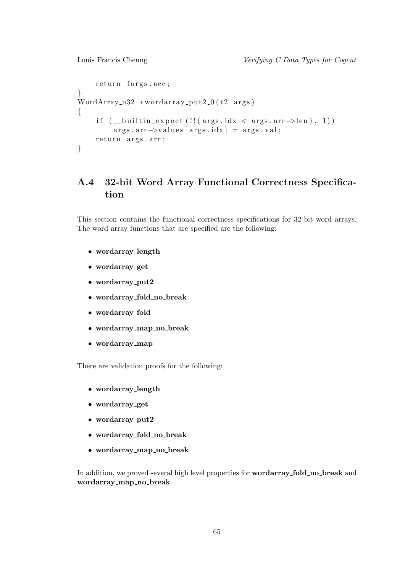```
return fargs.acc;
}
WordArray_u32 *wordarray_put2_0(t2 arg){
    if (--builtin expect (!! (args.idx < args.arr ->len), 1))
         args. arr \rightarrow values [args. idx] = args. val;return args.arr;
}
```
## <span id="page-70-0"></span>A.4 32-bit Word Array Functional Correctness Specification

This section contains the functional correctness specifications for 32-bit word arrays. The word array functions that are specified are the following:

- wordarray length
- wordarray get
- wordarray\_put2
- wordarray\_fold\_no\_break
- wordarray fold
- wordarray\_map\_no\_break
- $\bullet$  wordarray\_map

There are validation proofs for the following:

- wordarray length
- wordarray\_get
- $\bullet$  wordarray\_put2
- wordarray\_fold\_no\_break
- wordarray\_map\_no\_break

In addition, we proved several high level properties for **wordarray\_fold\_no\_break** and wordarray\_map\_no\_break.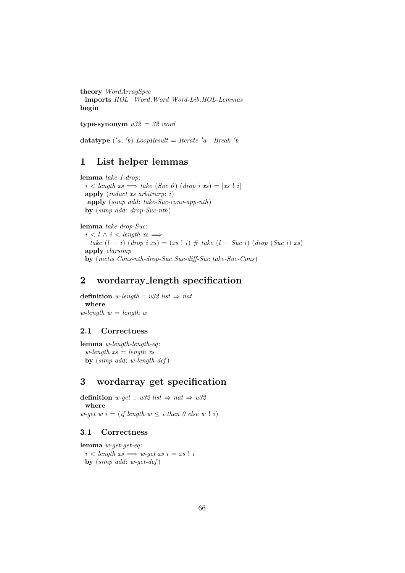theory WordArraySpec imports HOL−Word.Word Word-Lib.HOL-Lemmas begin

type-synonym  $u32 = 32$  word

datatype  $(a, b)$  LoopResult = Iterate 'a | Break 'b

### 1 List helper lemmas

lemma take-1-drop:  $i < length\ xs \implies take\ (Suc\ 0)\ (drop\ i\ xs) = [xs\ !\ i]$ apply (*induct xs arbitrary: i*) apply (simp add: take-Suc-conv-app-nth) by (simp add: drop-Suc-nth)

lemma take-drop-Suc:  $i < l \wedge i <$  length  $xs \implies$ take  $(l - i)$   $(drop \, i \, xs) = (xs \, ! \, i) \#$  take  $(l - Succ \, i)$   $(drop \, (Suc \, i) \, xs)$ apply clarsimp by (metis Cons-nth-drop-Suc Suc-diff-Suc take-Suc-Cons)

### 2 wordarray length specification

definition w-length :: u32 list  $\Rightarrow$  nat where w-length  $w = length w$ 

### 2.1 Correctness

lemma w-length-length-eq: w-length  $xs = length\ xs$ by (simp add: w-length-def )

## 3 wordarray get specification

definition w-get :: u32 list  $\Rightarrow$  nat  $\Rightarrow$  u32 where w-get w  $i = (if length w \leq i then 0 else w ! i)$ 

### 3.1 Correctness

lemma w-get-get-eq:  $i < length\ xs \implies w\text{-}get\ xs\ i = xs\ !\ i$ by  $(simp \ add: w\text{-}get\text{-}def)$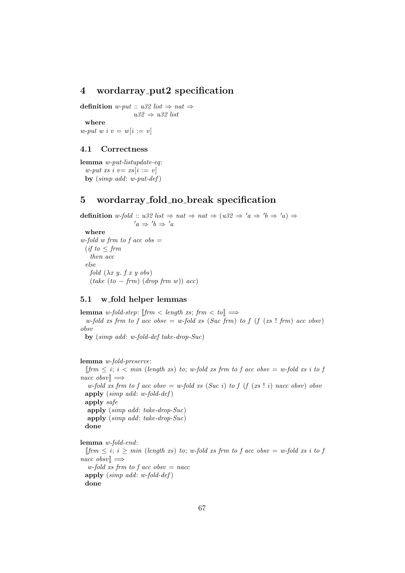## 4 wordarray put2 specification

definition w-put :: u32 list  $\Rightarrow$  nat  $\Rightarrow$ 

 $u32 \Rightarrow u32$  list

where w-put w i  $v = w[i := v]$ 

### 4.1 Correctness

```
lemma w-put-listupdate-eq:
 w-put xs i v = xs[i := v]by (simp \ add: w-put\text{-}def)
```
## 5 wordarray fold no break specification

definition w-fold :: u32 list  $\Rightarrow$  nat  $\Rightarrow$  nat  $\Rightarrow$   $(u32 \Rightarrow 'a \Rightarrow 'b \Rightarrow 'a) \Rightarrow$  $a \Rightarrow b \Rightarrow a$ where w-fold w frm to f acc obs  $=$ (*if to*  $\leq fm$ then acc else fold  $(\lambda x y. f x y \text{ obs})$ (take  $(to - frm)$   $(drop frm w)$ ) acc)

## 5.1 w fold helper lemmas

lemma w-fold-step:  $\llbracket \text{frm} < \text{length} \text{xs}; \text{frm} < \text{to} \rrbracket \implies$ w-fold xs frm to f acc obsv = w-fold xs (Suc frm) to f (f (xs! frm) acc obsv) obsv by (simp add: w-fold-def take-drop-Suc)

```
lemma w-fold-preserve:
```
 $[$ frm  $\leq i$ ;  $i < min$  (length xs) to; w-fold xs frm to f acc obsv = w-fold xs i to f nacc obsv $\mathbb{R} \Longrightarrow$ w-fold xs frm to f acc obsv = w-fold xs (Suc i) to f (f (xs! i) nacc obsv) obsv apply  $(simp \ add: w-fold-def)$ apply safe apply (simp add: take-drop-Suc) apply (simp add: take-drop-Suc) done

lemma w-fold-end:

 $[$ frm  $\leq i; i \geq min$  (length xs) to; w-fold xs frm to f acc obsv = w-fold xs i to f nacc obsv $\mathbb{I}$  ⇒ w-fold xs frm to f acc obsv  $= nacc$ apply  $(simp \ add: w-fold-def)$ done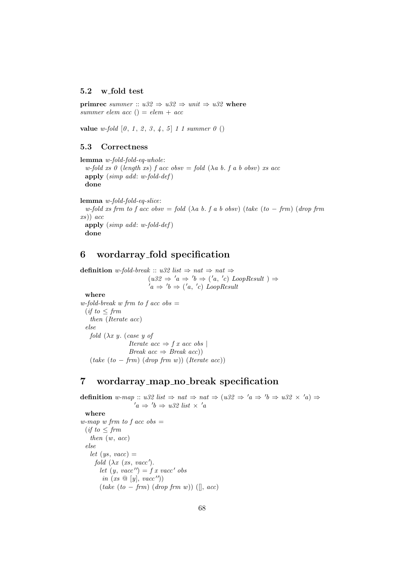### 5.2 w fold test

primrec summer ::  $u32 \Rightarrow u32 \Rightarrow unit \Rightarrow u32$  where summer elem  $acc$  () = elem +  $acc$ 

value w-fold  $[0, 1, 2, 3, 4, 5]$  1 1 summer 0  $()$ 

#### 5.3 Correctness

```
lemma w-fold-fold-eq-whole:
 w-fold xs 0 (length xs) f acc obsv = fold (\lambda a b. f a b \text{ obs} v) xs acc
 apply (simp \ add: w-fold-def)done
```

```
lemma w-fold-fold-eq-slice:
 w-fold xs frm to f acc obsv = fold (\lambda a b. f a b b s v) (take (to - frm) (drop frm
xs)) acc
 apply (simp \ add: w-fold-def)done
```
# 6 wordarray fold specification

definition w-fold-break :: u32 list  $\Rightarrow$  nat  $\Rightarrow$  nat  $\Rightarrow$  $( u32 \Rightarrow 'a \Rightarrow 'b \Rightarrow ('a, 'c) LoopResult ) \Rightarrow$  $a \Rightarrow b \Rightarrow (a, 'c) \; LoopResult$ where

w-fold-break w frm to f acc obs  $=$  $(if to < frm$ then (Iterate acc) else fold  $(\lambda x, y)$ . (case y of Iterate  $acc \Rightarrow fx \; acc \; obs$  $Break \;acc \Rightarrow \; Break \; acc)$  $(take (to - frm) (drop frm w)) (Iterate acc))$ 

## 7 wordarray map no break specification

definition w-map :: u32 list  $\Rightarrow$  nat  $\Rightarrow$  nat  $\Rightarrow$   $(u32 \Rightarrow 'a \Rightarrow 'b \Rightarrow u32 \times 'a) \Rightarrow$  $a \Rightarrow b \Rightarrow u32$  list  $\times a$ where w-map w frm to f acc obs  $=$ (*if to*  $\leq$  *frm* then (w, acc) else let (ys, vacc)  $=$ fold  $(\lambda x \ (xs, \ vac').$ let  $(y, vac'') = f x vac'$  obs in  $(xs \mathbin{@} [y], vacc'')$ (take  $(to - frm)$  (drop frm w)) ([], acc)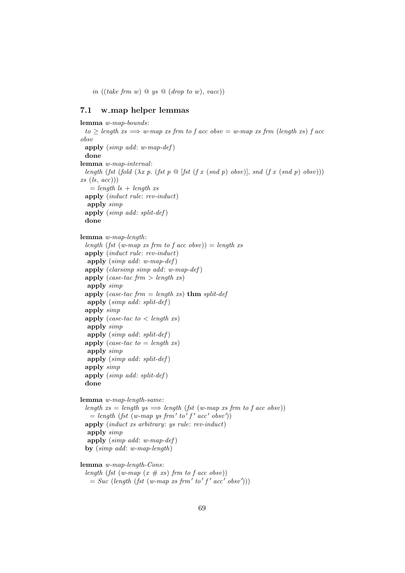in ((take frm w)  $\mathcal Q$  ys  $\mathcal Q$  (drop to w), vacc))

#### 7.1 w\_map helper lemmas

lemma w-map-bounds:  $to \geq$  length  $xs \implies w$ -map xs frm to f acc obsv = w-map xs frm (length xs) f acc obsv apply  $(simp \ add: w-map-def)$ done lemma w-map-internal: length (fst (fold  $(\lambda x \ p.$  (fst  $p \ @$  [fst  $(f x \ (snd \ p) \ obs v)$ ], snd  $(f x \ (snd \ p) \ obs v))$ )  $xs (ls, acc))$  $=$  length  $ls + length xs$ apply (induct rule: rev-induct) apply simp apply  $(simp \ add: split-def)$ done lemma w-map-length: length (fst (w-map xs frm to f acc obsv)) = length xs apply (induct rule: rev-induct) apply  $(simp \ add: w-map-def)$ apply (clarsimp simp add: w-map-def) apply (case-tac frm  $>$  length xs) apply simp apply (case-tac frm = length xs) thm split-def apply (simp add: split-def) apply simp apply (case-tac to  $\langle$  length xs) apply simp apply  $(simp \ add: split-def)$ apply (case-tac to  $=$  length xs) apply simp apply (simp add: split-def) apply simp apply (simp add: split-def) done lemma w-map-length-same: length  $xs = length ys \implies length (fst (w-map xs from to face obsv))$  $=$  length (fst (w-map ys frm' to' f' acc' obsv')) apply (induct xs arbitrary: ys rule: rev-induct) apply simp apply  $(simp \ add: w-map-def)$ by (simp add: w-map-length) lemma w-map-length-Cons: length (fst (w-map  $(x \# xs)$  frm to f acc obsv))  $= Suc \ (length \ (fst \ (w-map \ xs \ firm' \ to' f' \ acc' \ obsv')) )$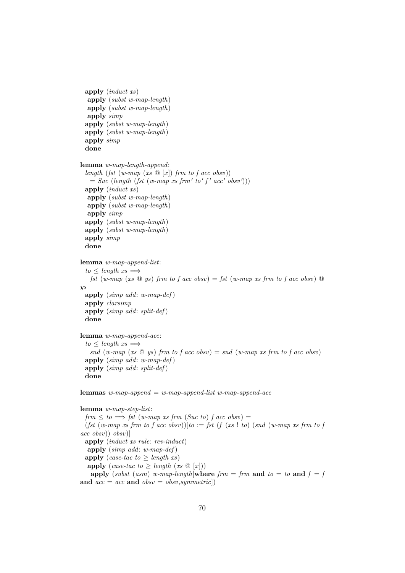```
apply (induct xs)
apply (subst w-map-length)
apply (subst w-map-length)
apply simp
apply (subst w-map-length)
apply (subst w-map-length)
apply simp
done
```

```
lemma w-map-length-append:
 length (fst (w-map (xs \t\& [x]) frm to f acc obsv))
   = Suc \ (length \ (fst \ (w-map \ xs \ firm' \ to' f' \ acc' \ obsv')) )apply (induct xs)
  apply (subst w-map-length)apply (subst w-map-length)
  apply simp
 apply (subst w-map-length)
 apply (subst w-map-length)
 apply simp
```

```
done
```
lemma w-map-append-list:

 $to \langle \text{length} x \text{ s} \implies$ fst (w-map (xs  $\circledcirc$  ys) frm to f acc obsv) = fst (w-map xs frm to f acc obsv)  $\circledcirc$ ys apply  $(simp \ add: w-map-def)$ apply clarsimp apply  $(simp \ add: split-def)$ done

```
lemma w-map-append-acc:
 to \leq length \, xs \impliessnd (w-map (xs \& vs) from to f acc obsv) = snd (w-map xs from to f acc obsv)apply (simp \ add: w-map-def)apply (simp \ add: split-def)done
```
lemmas  $w$ -map-append = w-map-append-list w-map-append-acc

lemma w-map-step-list:  $frm \leq to \Longrightarrow \textit{fst}$  (w-map xs frm (Suc to) f acc obsv) = (fst (w-map xs frm to f acc obsv))[to  $:=$  fst (f (xs ! to) (snd (w-map xs frm to f acc obsv)) obsv)] apply (induct xs rule: rev-induct) apply  $(simp \ add: w-map-def)$ apply (case-tac to  $\geq$  length xs) apply (case-tac to  $\geq$  length (xs  $\circledcirc$  [x])) apply (subst (asm) w-map-length where  $\lim_{m \to \infty} f$  and  $\lim_{m \to \infty} f$  and  $f = f$ and  $acc = acc$  and  $obsv = obsv, symmetric$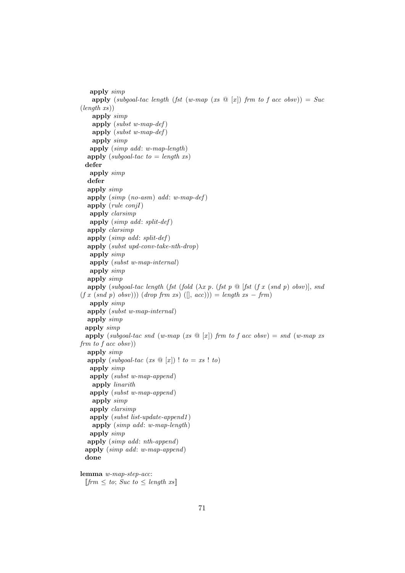```
apply simp
   apply (subgoal-tac length (fst (w-map (xs \mathcal{Q} [x]) frm to f acc obsv)) = Suc
(length xs))
   apply simp
   apply (subst w-map-def)apply (subst w-map-def)apply simp
   apply (simp add: w-map-length)
  apply (subgoal-tac to = length xs)
 defer
   apply simp
  defer
  apply simp
  apply (simp (no-asm) add: w-map-def)apply (rule conjI)
   apply clarsimp
   apply (simp \ add: split-def)apply clarsimp
  apply (simp \ add: split-def)apply (subst upd-conv-take-nth-drop)
   apply simp
   apply (subst w-map-internal)
   apply simp
  apply simp
  apply (subgoal-tac length (fst (fold (\lambda x \ p. (fst p \ Q [fst (f x (snd p) obsv)], snd
(f x (snd p) obsv))) (drop from xs) ([], acc))) = length xs - frm)apply simp
  apply (subst w-map-internal)
  apply simp
 apply simp
 apply (subgoal-tac snd (w-map (xs \mathcal{Q} [x]) frm to f acc obsv) = snd (w-map xs
frm to f acc obsv))
  apply simp
  apply (subgoal-tac (xs \mathbin@ [x]) ! to = xs ! to)
   apply simp
   apply (subst w-map-append)
   apply linarith
   apply (subst w-map-append)
   apply simp
   apply clarsimp
   apply (subst list-update-append1 )
   apply (simp add: w-map-length)
   apply simp
  apply (simp add: nth-append)
 apply (simp add: w-map-append)
 done
```
lemma w-map-step-acc:  $[$ *frm*  $\leq$  *to*; *Suc to*  $\leq$  *length xs* $]$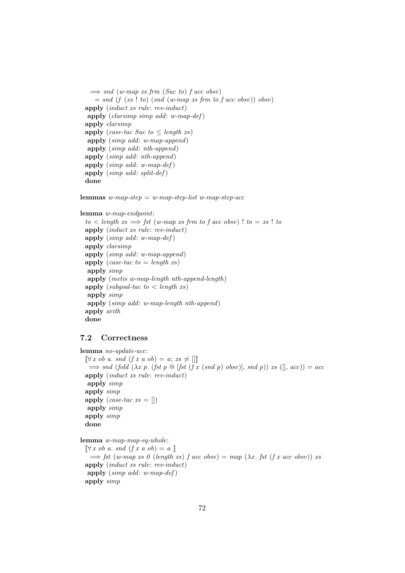```
\implies snd (w-map xs frm (Suc to) f acc obsv)
   = snd (f (xs!to) (snd (w-map xs frm to f acc obsv)) obsv)
apply (induct xs rule: rev-induct)
apply (clarsimp simp add: w-map-def)
apply clarsimp
apply (case-tac Suc to \leq length xs)
apply (simp add: w-map-append)
apply (simp add: nth-append)
apply (simp add: nth-append)
apply (simp \ add: w-map-def)apply (simp add: split-def)
done
```
lemmas  $w$ -map-step =  $w$ -map-step-list w-map-step-acc

lemma w-map-endpoint:

```
to < length xs \implies \text{fst} (w-map xs frm to f acc obsv) ! to = xs ! to
apply (induct xs rule: rev-induct)
apply (simp \ add: w-map-def)apply clarsimp
apply (simp add: w-map-append)
apply (case-tac to = length xs)
apply simp
apply (metis w-map-length nth-append-length)
apply (subgoal-tac to \langle length xs)
apply simp
apply (simp add: w-map-length nth-append)
apply arith
done
```
#### 7.2 Correctness

```
lemma no-update-acc:
  [\forall x \space ob \space a \ldots \space snd \space (f \space x \space a \space ob) = a; \space xs \neq [\cdot]]\Rightarrow snd (fold (\lambda x \ p. (fst p \ @ [fst (f x \ (snd \ p) \ obs v)], snd p)) xs ([], acc)) = acc
  apply (induct xs rule: rev-induct)
   apply simp
  apply simp
  apply (case-tac xs = [])
   apply simp
  apply simp
  done
```
lemma w-map-map-eq-whole:

```
[\forall x \space ob \space a \space and \space (f \space x \space a \space ob) = a \; ]\Rightarrow fst (w-map xs 0 (length xs) f acc obsv) = map (\lambda x. fst (f x acc obsv)) xs
apply (induct xs rule: rev-induct)
apply (simp \ add: w-map-def)apply simp
```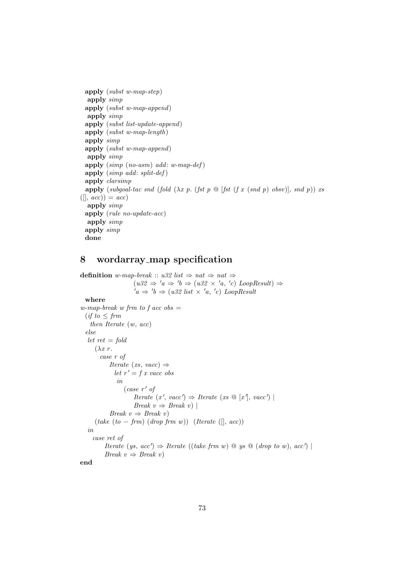```
apply (subst w-map-step)
  apply simp
 apply (subst w-map-append)
  apply simp
 apply (subst list-update-append)
 apply (subst w-map-length)
 apply simp
 apply (subst w-map-append)
  apply simp
 apply (simp (no-asm) add: w-map-def)apply (simp add: split-def)
 apply clarsimp
 apply (subgoal-tac snd (fold (\lambda x \ p. (fst p \ @ [fst (f x (snd p) obsv)], snd p)) xs
(|, acc) = acc)apply simp
 apply (rule no-update-acc)
  apply simp
 apply simp
 done
```
## 8 wordarray map specification

definition w-map-break :: u32 list  $\Rightarrow$  nat  $\Rightarrow$  nat  $\Rightarrow$  $( u32 \Rightarrow 'a \Rightarrow 'b \Rightarrow (u32 \times 'a, 'c) \text{ LoopResult}) \Rightarrow$  $a \Rightarrow b \Rightarrow (u32 \text{ list } \times 'a, 'c) \text{ LoopResult}$ where  $w$ -map-break w frm to f acc obs  $=$ (*if to*  $\leq$  *frm* then Iterate (w, acc) else  $let ret = fold$  $(\lambda x r)$ . case r of Iterate (xs, vacc)  $\Rightarrow$ let  $r' = f x$  vacc obs in (case  $r'$  of Iterate  $(x', vac) \Rightarrow$  Iterate  $(xs \tQ [x'], vac')$ Break  $v \Rightarrow$  Break v) | Break  $v \Rightarrow$  Break v) (take  $(to - frm)$  (drop frm w)) (Iterate ([], acc)) in case ret of Iterate  $(ys, acc') \Rightarrow$  Iterate  $((take\; from\; w) \; @\; ys \; @\; (drop\; to\; w), acc')$ Break  $v \Rightarrow$  Break v) end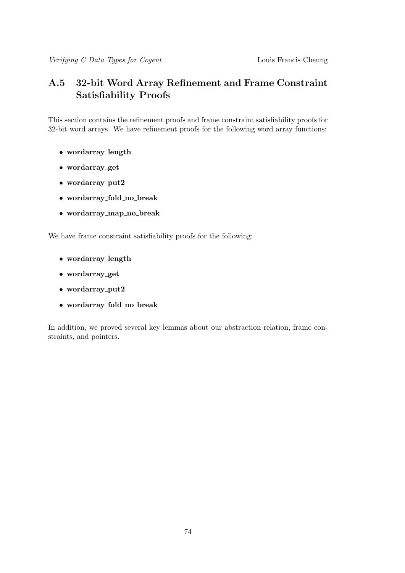# A.5 32-bit Word Array Refinement and Frame Constraint Satisfiability Proofs

This section contains the refinement proofs and frame constraint satisfiability proofs for 32-bit word arrays. We have refinement proofs for the following word array functions:

- wordarray length
- wordarray get
- $\bullet$  wordarray\_put2
- wordarray\_fold\_no\_break
- wordarray\_map\_no\_break

We have frame constraint satisfiability proofs for the following:

- wordarray length
- wordarray\_get
- wordarray\_put2
- wordarray\_fold\_no\_break

In addition, we proved several key lemmas about our abstraction relation, frame constraints, and pointers.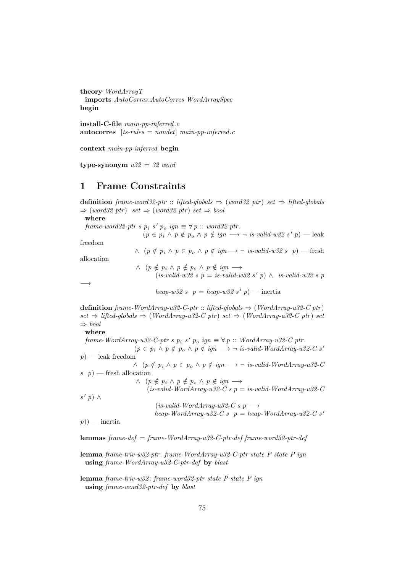theory WordArrayT imports AutoCorres.AutoCorres WordArraySpec begin

install-C-file main-pp-inferred.c autocorres  $[ts-rules = nondet]$  main-pp-inferred.c

context main-pp-inferred begin

type-synonym  $u32 = 32$  word

## 1 Frame Constraints

definition frame-word32-ptr :: lifted-globals  $\Rightarrow$  (word32 ptr) set  $\Rightarrow$  lifted-globals  $\Rightarrow$  (word32 ptr) set  $\Rightarrow$  (word32 ptr) set  $\Rightarrow$  bool

where

 $\emph{frame-word32-ptr} \emph{s } \emph{p}_i \emph{s }' \emph{p}_o \emph{ ign } \equiv \forall \emph{p }::word32 \emph{ptr}.$ 

 $(p \in p_i \land p \notin p_o \land p \notin ign \rightarrow \neg \ is\text{-}valid\text{-}w32 \ s' p)$  — leak

freedom

 $\wedge$  (p  $\notin p_i \wedge p \in p_o \wedge p \notin ign \longrightarrow \neg$  is-valid-w32 s p) — fresh

allocation

 $\wedge$  ( $p \notin p_i \wedge p \notin p_o \wedge p \notin ign \longrightarrow$  $(is-valid-w32 s p = is-valid-w32 s' p) \wedge is-valid-w32 s p$ 

−→

heap-w32 s  $p = heap-w32 s' p$ ) — inertia

definition frame-WordArray-u32-C-ptr :: lifted-globals  $\Rightarrow$  (WordArray-u32-C ptr)  $set \Rightarrow lifted-globals \Rightarrow (WordArray- u32-Cptr) set \Rightarrow (WordArray- u32-Cptr) set$  $\Rightarrow$  bool

where

frame-WordArray-u32-C-ptr s  $p_i$  s'  $p_o$  ign  $\equiv \forall p :: WordArray$ -u32-C ptr.  $(p \in p_i \land p \notin p_o \land p \notin ign \rightarrow \neg \ is\text{-}valid\text{-}WordArray\text{-}u32\text{-}Cs'$  $p$ ) — leak freedom  $∧ (p \notin p_i ∧ p \in p_o ∧ p \notin ign \rightarrow \neg$  is-valid-WordArray-u32-C  $(s \, p)$  — fresh allocation  $\wedge$   $(p \notin p_i \wedge p \notin p_o \wedge p \notin ign \longrightarrow$  $(is-valid-WordArray-u32-Cs p = is-valid-WordArray-u32-C)$  $s'p) \wedge$  $(is-valid-WordArray-u32-C \, s \, p \rightarrow$ heap-WordArray-u32-C s  $p = heap-WordArray-u32-C s'$ 

 $p)$ ) — inertia

lemmas frame-def = frame-WordArray-u32-C-ptr-def frame-word32-ptr-def

lemma frame-triv-w32-ptr : frame-WordArray-u32-C-ptr state P state P ign using frame-WordArray-u32-C-ptr-def by blast

lemma frame-triv-w32 : frame-word32-ptr state P state P ign using frame-word32-ptr-def by blast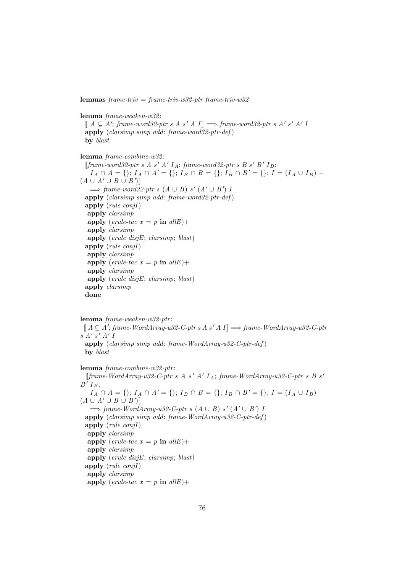lemmas  $frame-triv = frame-triv-w32$ -ptr frame-triv-w32

lemma frame-weaken-w32 :

 $\llbracket A \subseteq A';$  frame-word32-ptr s A s' A I $\rrbracket \implies$  frame-word32-ptr s A' s' A' i  $apply$  (clarsimp simp add: frame-word 32-ptr-def) by blast

lemma frame-combine-w32 :

 $[frame-word32-ptr s A s' A' I<sub>A</sub>; frame-word32-ptr s B s' B' I<sub>B</sub>;$  $I_A \cap A = \{\}; I_A \cap A' = \{\}; I_B \cap B = \{\}; I_B \cap B' = \{\}; I = (I_A \cup I_B)$  $(A \cup A' \cup B \cup B')$  $\implies$  frame-word32-ptr s (A ∪ B) s' (A' ∪ B') 1 apply (clarsimp simp add: frame-word32-ptr-def ) apply (rule conjI) apply clarsimp apply (erule-tac  $x = p$  in allE)+ apply clarsimp apply (erule disjE; clarsimp; blast) apply  $(\text{rule }conj])$ apply clarsimp apply (erule-tac  $x = p$  in allE)+ apply clarsimp apply (erule disjE; clarsimp; blast) apply clarsimp done

lemma frame-weaken-w32-ptr :

 $\llbracket A \subseteq A';$  frame-WordArray-u32-C-ptr s A s' A I $\rrbracket \Longrightarrow$  frame-WordArray-u32-C-ptr  $s A' s' A' I$ apply (clarsimp simp add: frame-WordArray-u32-C-ptr-def ) by blast

#### lemma frame-combine-w32-ptr :

 $[frame-WordArray- u32-C-ptr\ s\ A\ s'\ A'\ I_A; frame-WordArray- u32-C-ptr\ s\ B\ s'$  $B' I_B;$  $I_A \cap A = \{\}; I_A \cap A' = \{\}; I_B \cap B = \{\}; I_B \cap B' = \{\}; I = (I_A \cup I_B)$  $(A \cup A' \cup B \cup B')$  $\implies$  frame-WordArray-u32-C-ptr s (A ∪ B) s' (A' ∪ B') 1 apply (clarsimp simp add: frame-WordArray-u32-C-ptr-def ) apply (rule conjI) apply clarsimp apply (erule-tac  $x = p$  in allE)+ apply clarsimp apply (erule disjE; clarsimp; blast) apply  $(\text{rule } \text{conj})$ apply *clarsimp* apply (erule-tac  $x = p$  in all E)+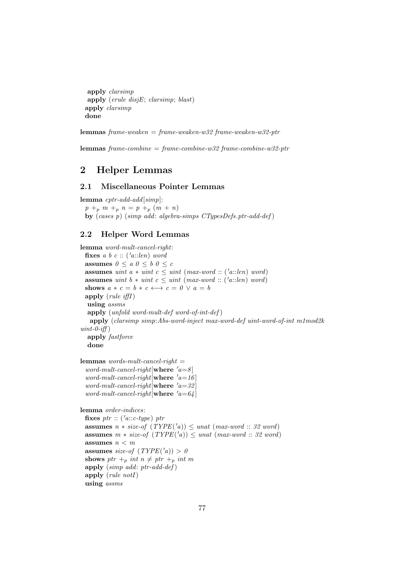```
apply clarsimp
apply (erule disjE; clarsimp; blast)
apply clarsimp
done
```
lemmas  $frame\text{-}weaken = frame\text{-}weaken\text{-}w32$  frame-weaken-w32-ptr

lemmas frame-combine = frame-combine-w32 frame-combine-w32-ptr

## 2 Helper Lemmas

### 2.1 Miscellaneous Pointer Lemmas

lemma cptr-add-add[simp]:

 $p +_p m +_p n = p +_p (m + n)$ by (cases p) (simp add: algebra-simps CTypesDefs.ptr-add-def )

## 2.2 Helper Word Lemmas

lemma word-mult-cancel-right: fixes a b  $c::('a::len) word$ assumes  $0 \le a \le b \le c$ assumes uint  $a * u$ int  $c \leq u$ int (max-word :: ('a::len) word) assumes uint  $b * u$ int  $c \leq u$ int (max-word :: ('a::len) word) shows  $a * c = b * c \longleftrightarrow c = 0 \vee a = b$ apply  $(\text{rule if}I)$ using assms apply (unfold word-mult-def word-of-int-def ) apply (clarsimp simp:Abs-word-inject max-word-def uint-word-of-int m1mod2k  $uint-0-iff)$ apply fastforce done lemmas words-mult-cancel-right  $=$ word-mult-cancel-right [where  $'a=8$  ] word-mult-cancel-right [where  $'a=16$  ] word-mult-cancel-right [where  $a=32$ ] word-mult-cancel-right where  $a=64$ lemma order-indices: fixes  $ptr$  :: ('a::c-type) ptr  $\textbf{assumes}\; n * size-of\; (TYPE('a)) \leq unat\; (max-word:: 32\; word)$  $\textbf{assumes} \ m \ * \ size\text{-}of \ (TYPE('a)) \leq unat \ (max-word :: 32 \ word)$ assumes  $n < m$ **assumes** size-of  $(TYPE('a)) > 0$ shows ptr  $+_p$  int  $n \neq ptr +_p int m$ apply  $(simp \ add:ptr-add\text{-}def)$ apply (rule notI) using assms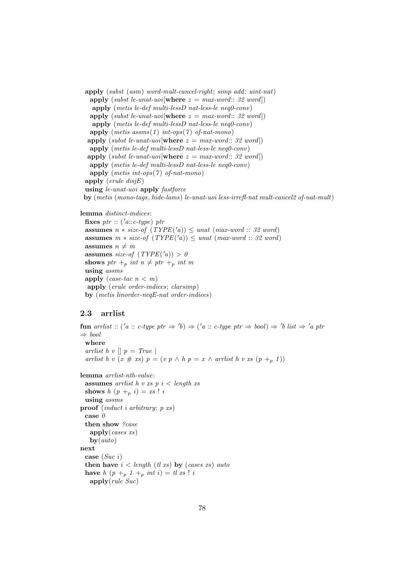apply (subst (asm) word-mult-cancel-right; simp add: uint-nat) apply (subst le-unat-uoi[where  $z = max$ -word:: 32 word]) apply (metis le-def multi-lessD nat-less-le neq0-conv) apply (subst le-unat-uoi[where  $z = max$ -word:: 32 word]) apply (metis le-def multi-lessD nat-less-le neq $0$ -conv) apply (metis  $assms(1)$  int-ops(7) of-nat-mono) apply (subst le-unat-uoi[where  $z = max$ -word:: 32 word]) apply (metis le-def multi-lessD nat-less-le neq0-conv) apply (subst le-unat-uoi[where  $z = max$ -word:: 32 word]) apply (metis le-def multi-lessD nat-less-le neq $0$ -conv) apply (metis int-ops(7) of-nat-mono) apply (erule  $disjE$ ) using *le-unat-uoi* apply *fastforce* by (metis (mono-tags, hide-lams) le-unat-uoi less-irrefl-nat mult-cancel2 of-nat-mult)

#### lemma distinct-indices:

fixes ptr ::  $({'a::c-type})$  ptr  $\textbf{assumes}\; n * size-of\; (TYPE('a)) \leq unat\; (max-word:: 32\; word)$ assumes  $m * size-of (TYPE('a)) \leq unat (max-word :: 32 word)$ assumes  $n \neq m$ **assumes** size-of  $(TYPE('a)) > 0$ shows ptr +<sub>p</sub> int  $n \neq ptr$  +<sub>p</sub> int m using assms apply (case-tac  $n < m$ ) apply (erule order-indices; clarsimp) by (metis linorder-neqE-nat order-indices)

### 2.3 arrlist

fun arrlist :: ('a :: c-type ptr  $\Rightarrow$  'b)  $\Rightarrow$  ('a :: c-type ptr  $\Rightarrow$  bool)  $\Rightarrow$  'b list  $\Rightarrow$  'a ptr  $\Rightarrow$  bool where arrlist h v  $\parallel p = True \parallel$ arrlist h v  $(x \# xs)$   $p = (v p \land h p = x \land arrlist h v xs (p + p 1))$ 

#### lemma arrlist-nth-value:

```
assumes arrlist h v xs p i \lt length xs
 shows h (p + p i) = xs \cdot iusing assms
proof (induct i arbitrary: p xs)
 case \thetathen show ?case
   apply(cases xs)by(auto)next
 case (Suc i)then have i < length (tl xs) by (cases xs) autohave h (p + p 1 + p int i) = tl xs! i
   apply(\text{rule} Suc)
```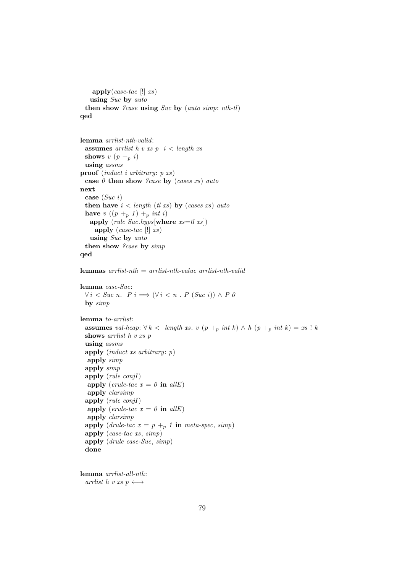```
apply(case-tac [!] xs)using Suc by auto
 then show ?case using Suc by (auto simp: nth-tl)
qed
```

```
lemma arrlist-nth-valid:
 assumes arrlist h v xs p \, i < length xs
 shows v (p + p i)using assms
proof (induct i arbitrary: p xs)
 case \theta then show ?case by (cases xs) auto
next
 case (Suc i)then have i < length (tl xs) by (cases xs) auto
 have v((p +_p 1) +_p int i)apply (rule Suc.hyps[where xs=tl xs])
    apply (case-tac [!] xs)using Suc by auto
 then show ?case by simp
qed
```
lemmas  $\text{arrli}st\text{-}nth = \text{arrli}st\text{-}nth\text{-}value \text{ }artlist\text{-}nth\text{-}valid$ 

```
lemma case-Suc:
 \forall i \leq \textit{Suc~} n. \ \ P \ i \Longrightarrow (\forall i \leq n \ \ P \ (\textit{Suc~} i)) \land P \ 0by simp
lemma to-arrlist:
 assumes val-heap: ∀ k < length xs. v (p + p int k) ∧ h (p + p int k) = xs ! k
 shows arrlist h v xs p
 using assms
 apply (induct\; xs\; arbitrary: \; p)apply simp
 apply simp
 apply (rule conjI)
  apply (erule-tac x = 0 in allE)
  apply clarsimp
 apply (\text{rule }conjI)apply (erule-tac x = 0 in allE)
  apply clarsimp
 apply (drule-tac x = p + p 1 in meta-spec, simp)
 apply (case-tac xs, simp)
 apply (drule case-Suc, simp)
 done
```

```
lemma arrlist-all-nth:
  arrlist h v xs p \leftrightarrow
```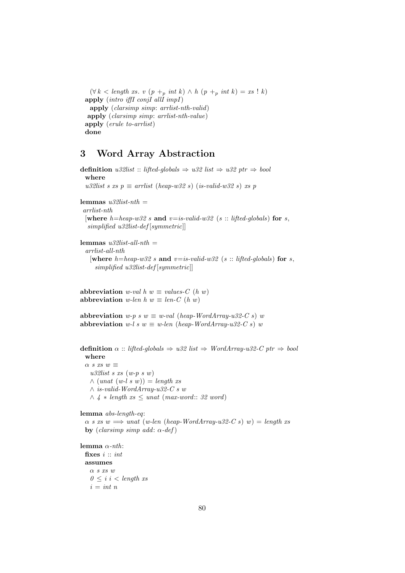$(\forall k < length \; xs. \; v \; (p + p \; int \; k) \land h \; (p + p \; int \; k) = xs \; ! \; k)$ apply (intro iffI conjI allI impI) apply (clarsimp simp: arrlist-nth-valid) apply (clarsimp simp: arrlist-nth-value) apply (erule to-arrlist) done

## 3 Word Array Abstraction

definition u32list :: lifted-globals  $\Rightarrow u32$  list  $\Rightarrow u32$  ptr  $\Rightarrow$  bool where u32list s xs  $p \equiv$  arrlist (heap-w32 s) (is-valid-w32 s) xs p lemmas  $u32list-nth =$ arrlist-nth [where  $h=heap-w32$  s and  $v=is-valid-w32$  (s :: lifted-globals) for s, simplified u32list-def [symmetric]] lemmas  $u32list-all-nth =$ arrlist-all-nth [where  $h=heap-w32$  s and  $v=is-valid-w32$  (s :: lifted-globals) for s, simplified u32list-def [symmetric]] abbreviation w-val h  $w \equiv$  values-C (h w) abbreviation w-len h  $w \equiv len - C$  (h w) abbreviation w-p s  $w \equiv w$ -val (heap-WordArray-u32-C s) w abbreviation w-l s  $w \equiv w$ -len (heap-WordArray-u32-C s) w definition  $\alpha$  :: lifted-globals  $\Rightarrow u32$  list  $\Rightarrow WordArray- u32-C$  ptr  $\Rightarrow bool$ where  $\alpha$  s xs  $w \equiv$ u32list s xs  $(w-p \ s \ w)$  $\wedge$  (unat (w-l s w)) = length xs  $\wedge$  is-valid-WordArray-u32-C s w  $\land$  4  $*$  length  $xs \le$  unat (max-word:: 32 word) lemma abs-length-eq:  $\alpha$  s xs w  $\implies$  unat (w-len (heap-WordArray-u32-C s) w) = length xs by (clarsimp simp add:  $\alpha$ -def) lemma  $α$ -nth: fixes  $i :: int$ assumes  $\alpha$  s xs  $w$  $0 \leq i \leq length \, xs$  $i = int n$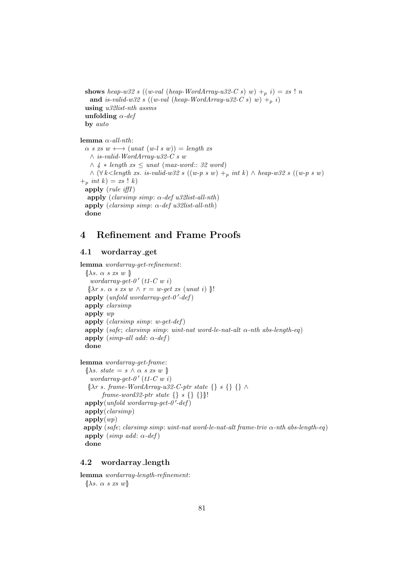shows heap-w32 s ((w-val (heap-WordArray-u32-C s) w) + pi) = xs ! n and is-valid-w32 s ((w-val (heap-WordArray-u32-C s) w) + pi) using u32list-nth assms unfolding  $\alpha$ -def by *auto* 

lemma  $\alpha$ -all-nth:

 $\alpha$  s xs w  $\longleftrightarrow$  (unat (w-l s w)) = length xs ∧ is-valid-WordArray-u32-C s w  $\land$  4  $*$  length  $xs \le$  unat (max-word:: 32 word)  $\wedge$  (∀ k<length xs. is-valid-w32 s ((w-p s w) +p int k)  $\wedge$  heap-w32 s ((w-p s w)  $+_p$  int k) = xs ! k) apply (rule iffI) apply (clarsimp simp:  $\alpha$ -def u32list-all-nth) apply (clarsimp simp:  $\alpha$ -def u32list-all-nth) done

## 4 Refinement and Frame Proofs

#### 4.1 wordarray get

```
lemma wordarray-get-refinement:
  \{\lambda s. \alpha s \text{ is } w\}wordarray.get-0' (t1-C w i)\{\lambda r \ s. \ \alpha \ s \ xs \ w \ \wedge \ r = \ w\text{-}get \ xs \ (unat \ i) \ \}!apply (unfold wordarray-get-0'-def)
 apply clarsimp
 apply wp
 apply (clarsimp simp: w\text{-}get\text{-}def)
 apply (safe; clarsimp simp: uint-nat word-le-nat-alt \alpha-nth abs-length-eq)
 apply (simp-all add: \alpha-def)
 done
lemma wordarray-get-frame:
  \{\lambda s. \; state = s \wedge \alpha \; s \; xs \; w \;\}
```

```
wordarray.get-0' (t1-C w i){\{\lambda r s. frame-WordArray-u32-C-ptr state \{\}} s {\{\}} {\{\}} \wedgeframe-word 32-ptr state \{\}\ s \{\}\ \{\}\!
\mathbf{apply}(\text{unfold}~wordarray\text{-}get\text{-}0'\text{-}def)apply(clarsimp)
apply(wp)apply (safe; clarsimp simp: uint-nat word-le-nat-alt frame-triv \alpha-nth abs-length-eq)
apply (simp add: \alpha-def)
done
```
### 4.2 wordarray length

```
lemma wordarray-length-refinement:
  \{\lambda s. \alpha s \; xs \; w\}
```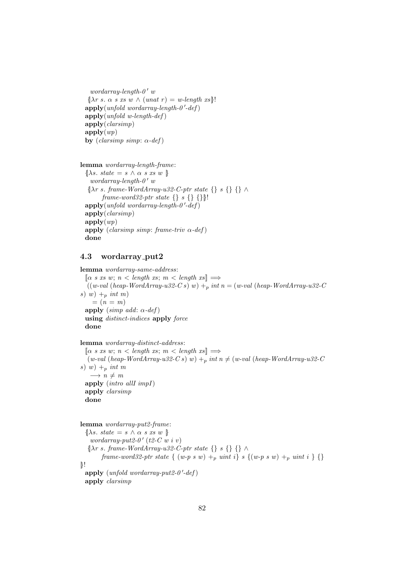```
wordarray-length-0' w
 \{\lambda r \ s. \ \alpha \ s \ xs \ w \ \wedge (unat \ r) = w\-\text{length} \ xs\}!\mathbf{apply}(\text{unfold wordarray-length-0'-def})apply(unfold w-length-def)apply(clarsimp)apply(wp)by (clarsimp simp: \alpha-def)
```

```
lemma wordarray-length-frame:
  \{\lambda s. \; state = s \wedge \alpha \; s \; xs \; w \;\}wordarray-length-0' w
   {\text{Var } s. \; frame\text{-}WordArray- u32-C-ptr \; state \; {\}} s {\text{}} {\text{}} \; {\text{}}frame-word 32-ptr state \{\}\ s \{\}\ \{\}\!
  \mathbf{apply}(\text{unfold wordarray-length-0'-def})apply(clarsimp)apply(wp)apply (clarsimp simp: frame-triv \alpha-def)
  done
```
## 4.3 wordarray put2

lemma wordarray-same-address:  $[\alpha \ s \ xs \ w; \ n \lt length \ xs; \ m \lt length \ xs] \Longrightarrow$  $((w\text{-}val (heap-WordArray- u32-C s) w) + p int n = (w\text{-}val (heap-WordArray- u32-C s))$ s) w)  $+_p$  int m)  $= (n = m)$ apply (simp add:  $\alpha$ -def) using *distinct-indices* apply force done lemma wordarray-distinct-address:  $[\alpha \, s \, xs \, w; \, n < \, length \, xs; \, m < \, length \, xs] \Longrightarrow$  $(w\text{-}val$  (heap-WordArray-u32-C s) w)  $+_p$  int  $n \neq (w\text{-}val$  (heap-WordArray-u32-C s) w)  $+_p$  int m  $\longrightarrow n \neq m$ apply (intro allI impI) apply clarsimp done lemma wordarray-put2-frame:  $\{\lambda s. \; state = s \land \alpha \; s \; xs \; w \;\}$  $wordarray-put2-0'$  (t2-C w i v)  $\{\lambda r \ s. \ frame\ WordArray- u32-C-ptr state \ {\} s \ {\} \ {\} \ \wedge \$ 

|}!

 $\mathbf{apply}$  (unfold wordarray-put2-0'-def) apply clarsimp

frame-word32-ptr state {  $(w-p \, s \, w) + p \, uint \, i$  }  $s \, \{ (w-p \, s \, w) + p \, uint \, i \, \}$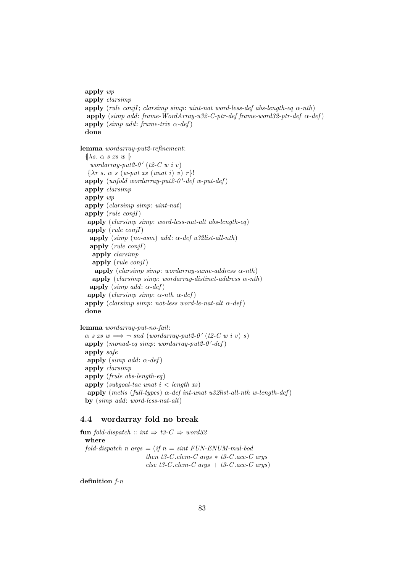apply wp apply clarsimp apply (rule conjI; clarsimp simp: uint-nat word-less-def abs-length-eq  $\alpha$ -nth) apply (simp add: frame-WordArray-u32-C-ptr-def frame-word32-ptr-def  $\alpha$ -def) apply (simp add: frame-triv  $\alpha$ -def) done

lemma wordarray-put2-refinement:

 $\{\lambda s. \alpha s \text{ is } w\}$  $wordarray-put2-0'$  (t2-C w i v)  $\{\lambda r \ s. \ \alpha \ s \ (w\text{-}put\ xs\ (unat\ i)\ v)\ r\}!$  $\mathbf{apply}$  (unfold wordarray-put2-0'-def w-put-def) apply clarsimp apply wp apply (clarsimp simp: uint-nat) apply  $(\text{rule } \text{conj})$ apply (clarsimp simp: word-less-nat-alt abs-length-eq) apply (rule conjI) apply  $(simp (no-asm) add: \alpha-def u32list-all-nth)$ apply (rule conjI) apply clarsimp apply (rule  $conjI)$ apply (clarsimp simp: wordarray-same-address  $\alpha$ -nth) apply (clarsimp simp: wordarray-distinct-address  $\alpha$ -nth) apply (simp add:  $\alpha$ -def) apply (clarsimp simp:  $\alpha$ -nth  $\alpha$ -def) apply (clarsimp simp: not-less word-le-nat-alt  $\alpha$ -def) done

lemma wordarray-put-no-fail:

 $\alpha$  s xs  $w \implies \neg$  snd (wordarray-put2-0' (t2-C w i v) s)  $\mathbf{apply}$  (monad-eq simp: wordarray-put2-0'-def) apply safe apply (simp add:  $\alpha$ -def) apply clarsimp apply (frule abs-length-eq) apply (subgoal-tac unat  $i <$  length xs) apply (metis (full-types)  $\alpha$ -def int-unat u32list-all-nth w-length-def) by (simp add: word-less-nat-alt)

### 4.4 wordarray fold no break

fun fold-dispatch :: int  $\Rightarrow$  t3-C  $\Rightarrow$  word32 where fold-dispatch n args  $=$  (if  $n =$  sint FUN-ENUM-mul-bod then  $t3$ -C .elem-C args  $*$  t3-C .acc-C args else t3-C .elem-C args + t3-C .acc-C args)

definition  $f-n$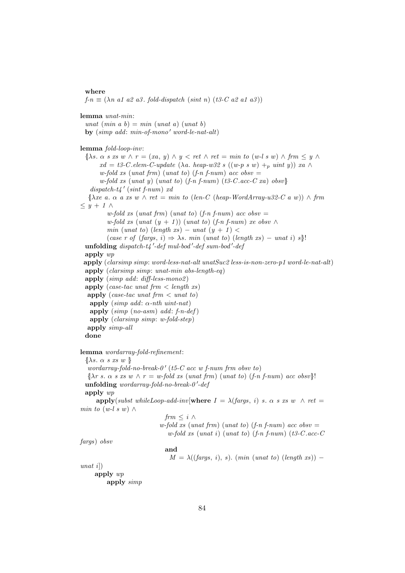#### where

 $f-n \equiv (\lambda n \ a1 \ a2 \ a3 \text{. fold-dispatch} \ (sint \ n) \ (t3-C \ a2 \ a1 \ a3))$ 

lemma unat-min: unat  $(min\ a\ b) = min\ (unat\ a)\ (unat\ b)$  $\mathbf{b}$ y (simp add: min-of-mono' word-le-nat-alt)

#### lemma fold-loop-inv:

 $\{\lambda s. \alpha s \text{ is } w \wedge r = (xa, y) \wedge y < ret \wedge ret = min to (w-l s w) \wedge frm \leq y \wedge r$  $xd = t3-C$ .elem-C-update (λa. heap-w32 s ((w-p s w) +<sub>p</sub> uint y)) xa  $\wedge$ w-fold xs (unat frm) (unat to) (f-n f-num) acc obsv = w-fold xs (unat y) (unat to)  $(f-n f\text{-} num)$   $(t3-C \text{.} acc-C \text{.} x)$  obsv  $dispatch-t/$  (sint f-num) xd  $\{\lambda x \in a \cdot \alpha \text{ a } x \in w \land \text{ ret } = \min \text{ to } (\text{len-}C \text{ (heap-WordArray-}u32-C a w)) \land \text{ frm}\}$  $\leq y + 1 \wedge$ w-fold xs (unat frm) (unat to) (f-n f-num) acc obsv = w-fold xs (unat  $(y + 1)$ ) (unat to) (f-n f-num) xe obsv ∧ min (unat to) (length xs) – unat  $(y + 1)$ (case r of (fargs, i)  $\Rightarrow$   $\lambda$ s. min (unat to) (length xs) – unat i) s||:  $\textbf{unfolding}$  dispatch-t4'-def mul-bod'-def sum-bod'-dej apply wp apply (clarsimp simp: word-less-nat-alt unatSuc2 less-is-non-zero-p1 word-le-nat-alt) apply (clarsimp simp: unat-min abs-length-eq) apply (simp add: diff-less-mono2) apply (case-tac unat  $f_{rm}$  < length xs) apply (case-tac unat  $\text{frm} <$  unat to) apply (simp add:  $\alpha$ -nth uint-nat) apply  $(simp (no-asm) add: f-n-def)$ apply (clarsimp simp: w-fold-step) apply simp-all done

lemma wordarray-fold-refinement:

 $\{\lambda s. \alpha s \text{ is } w\}$ 

 $wordarray-fold-no-breaking-O'(t5-C acc w f-num from obsv to)$  $\{\lambda r \ s. \ \alpha \ s \ xs \ w \ \wedge \ r = w\$ fold  $xs \ (unat \ from) \ (unat \ to) \ (f\text{-}n \ f\text{-}num) \ acc \ obsv \$ unfolding wordarray-fold-no-break- $0'$ -dej apply wp

apply(subst while Loop-add-inv [where  $I = \lambda(fargs, i)$  s.  $\alpha$  s xs w  $\wedge$  ret = min to  $(w-l s w) \wedge$ 

> $frm \leq i \wedge$ w-fold xs (unat frm) (unat to) (f-n f-num) acc obsv = w-fold xs (unat i) (unat to)  $(f-n f\text{-} num)$  (t3-C.acc-C

 $faras)$   $obsv$ 

#### and

 $M = \lambda((\text{fargs}, i), s)$ . (min (unat to) (length xs)) –

unat  $i$ )

apply wp apply simp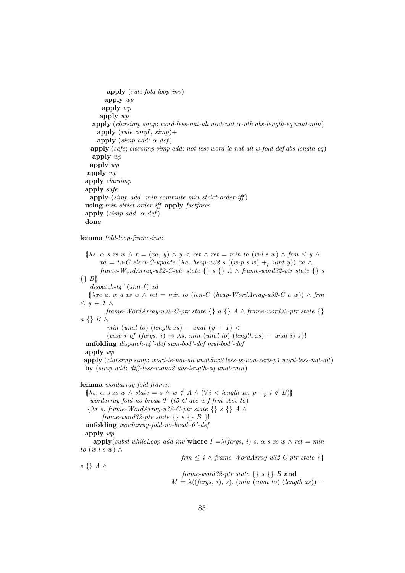```
apply (rule fold-loop-inv)
      apply wp
     apply wp
    apply wp
  apply (clarsimp simp: word-less-nat-alt uint-nat \alpha-nth abs-length-eq unat-min)
    apply (rule conjI, simp)+
    apply (simp add: \alpha-def)
 apply (safe; clarsimp simp add: not-less word-le-nat-alt w-fold-def abs-length-eq)
  apply wp
 apply wp
apply wp
apply clarsimp
apply safe
 apply (simp add: min.commute min.strict-order-iff )
using min.strict-order-iff apply fastforce
apply (simp add: \alpha-def)
done
```
lemma fold-loop-frame-inv :

 $\{\lambda s. \alpha s \text{ is } w \wedge r = (xa, y) \wedge y < ret \wedge ret = min to (w-l s w) \wedge frm \leq y \wedge r$  $xd = t3-C$ .elem-C-update (λa. heap-w32 s ((w-p s w) + p uint y)) xa  $\wedge$ frame-WordArray-u32-C-ptr state  $\{\}\$  s  $\{\}\$  A  $\land$  frame-word32-ptr state  $\{\}\$  s  $\{\}$  B  $dispatch-t4'$  (sint f) xd  $\{\lambda x \in a, \alpha \text{ a } x \in w \land \text{ ret } = \min \text{ to } (\text{len-}C \text{ } (\text{heap-}WordArray- u32-C \text{ } a \text{ } w)) \land \text{ frm}\}$  $\leq y + 1 \wedge$ frame-WordArray-u32-C-ptr state  $\{\}$  a  $\{\}$  A  $\wedge$  frame-word32-ptr state  $\{\}$ a {} B ∧ min (unat to) (length xs) – unat  $(y + 1)$ (case r of (fargs, i)  $\Rightarrow$   $\lambda s$ . min (unat to) (length xs) – unat i) s.  $\textbf{unfolding}$  dispatch-t4'-def sum-bod'-def mul-bod'-dej apply wp apply (clarsimp simp: word-le-nat-alt unatSuc2 less-is-non-zero-p1 word-less-nat-alt) by (simp add: diff-less-mono2 abs-length-eq unat-min) lemma wordarray-fold-frame:  $\{\lambda s. \ \alpha \ s \ xs \ w \wedge state = s \wedge w \notin A \wedge (\forall i < length \ xs. \ p + p \ i \notin B)\}$  $wordarray-fold-no-breaking-O' (t5-C acc w f from obsv to)$  ${\text{Var } s.$  frame-WordArray-u32-C-ptr state  ${\text{Var } s \in \mathbb{R}^d}$ frame-word32-ptr state  $\{\}\ s\ \{\}\ B\ \}\$ ! unfolding wordarray-fold-no-break- $0'$ -dej apply wp

 $\text{apply}(subset with the Loop-add-inv[\textbf{where } I = \lambda \text{ (fargs, } i) \text{ s. } \alpha \text{ s as } w \wedge ret = min$ to  $(w-l s w) \wedge$ 

 $f_{rm} < i \wedge frame\text{-}WordArray\text{-}u32\text{-}C\text{-}ptr state \{ \}$ 

s {} A ∧

frame-word32-ptr state  $\{ \} s \{ \} B$  and  $M = \lambda((\text{fargs}, i), s)$ . (min (unat to) (length xs)) –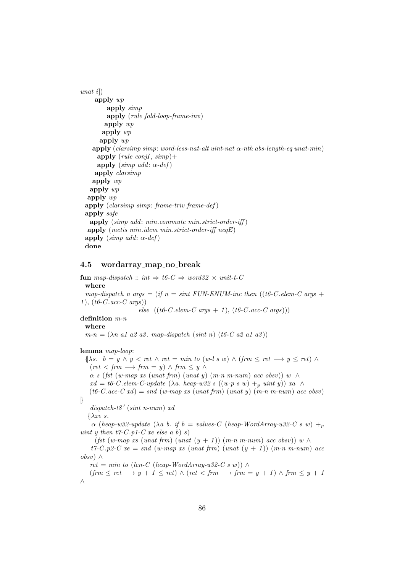```
unat i.
    apply wp
        apply simp
        apply (rule fold-loop-frame-inv )
        apply wp
       apply wp
      apply wp
    apply (clarsimp simp: word-less-nat-alt uint-nat \alpha-nth abs-length-eq unat-min)
     apply (rule conjI, simp)+
     apply (simp add: \alpha-def)
    apply clarsimp
   apply wp
   apply wp
  apply wp
 apply (clarsimp simp: frame-triv frame-def )
 apply safe
   apply (simp add: min.commute min.strict-order-iff )
  apply (metis min.idem min.strict-order-iff negE)
 apply (simp add: \alpha-def)
 done
```
### 4.5 wordarray map no break

fun map-dispatch :: int  $\Rightarrow$  t6-C  $\Rightarrow$  word32  $\times$  unit-t-C where map-dispatch n args = (if n = sint FUN-ENUM-inc then  $((t6-C. elem-C \, args +$ 1),  $(t6-C \cdot acc-C \cdot args))$ else  $((\text{t6-C.} elem-C\; args + 1), (\text{t6-C.} acc-C\; args)))$ 

### definition m-n

#### where

 $m-n = (\lambda n \text{ a}1 \text{ a}2 \text{ a}3 \text{ .} \text{ map-dispatch } (\text{sin}t \text{ n}) (\text{t6-C a}2 \text{ a}1 \text{ a}3))$ 

#### lemma map-loop:

 $\{\lambda s. \, b = y \wedge y \leq ret \wedge ret = min to (w-l s w) \wedge (frm \leq ret \longrightarrow y \leq ret) \wedge$  $(\text{ret} < \text{frm} \longrightarrow \text{frm} = y) \land \text{frm} \leq y \land$  $\alpha$  s (fst (w-map xs (unat frm) (unat y) (m-n m-num) acc obsv)) w  $\wedge$  $xd = t6$ -C .elem-C-update ( $\lambda a$ . heap-w32 s ((w-p s w) +<sub>p</sub> uint y)) xa  $\wedge$ 

 $(t6-C \tacc-C \txd) = \tand \tw-map \txs \t(unat \tfm) \t(unat \ty) \t(m-n \tnum) \tacc \tobsv)$ |}

 $dispatch-t8' (sint n-num) xa$  $\{\lambda x e s.$ 

 $\alpha$  (heap-w32-update ( $\lambda a$  b. if  $b = \text{values-}C$  (heap-WordArray-u32-C s w)  $+_p$ uint y then  $t\text{7-}C.p1-C$  xe else a b) s)

(fst (w-map xs (unat frm) (unat  $(y + 1)$ ) (m-n m-num) acc obsv)) w  $\wedge$ 

 $t^{\gamma}$ -C .p2-C xe = snd (w-map xs (unat frm) (unat  $(y + 1)$ ) (m-n m-num) acc obsv) ∧

 $ret = min to (len-C (heap-WordArray- u32-C s w)) \wedge$ 

 $(frm \leq ret \rightarrow y + 1 \leq ret) \wedge (ret < frm \rightarrow frm = y + 1) \wedge frm \leq y + 1$ ∧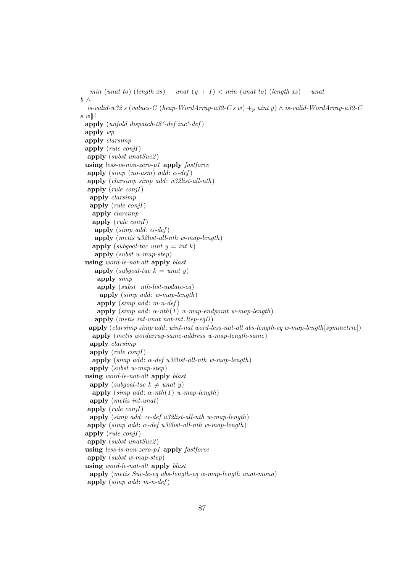```
min (unat to) (length xs) – unat (y + 1) < min (unat to) (length xs) – unat
b \wedgeis-valid-w32 s (values-C (heap-WordArray-u32-C s w) + p uint y) \wedge is-valid-WordArray-u32-C
s \, w | !
 apply (unfold dispatch-t8'-def inc'-def)
 apply wp
 apply clarsimp
 apply (\text{rule }conj])apply (subst unatSuc2)
 using less-is-non-zero-p1 apply fastforce
  apply (simp (no-asm) add: \alpha-def)apply (clarsimp simp add: u32list-all-nth)
  apply (rule conjI)
   apply clarsimp
   apply (rule conjI)
    apply clarsimp
    apply (rule conj)
    apply (simp add: \alpha-def)
    apply (metis u32list-all-nth w-map-length)
    apply (subgoal-tac uint y = int k)
    apply (subst w-map-step)
 using word-le-nat-alt apply blast
    apply (subgoal-tac k =unat y)
     apply simp
     apply (subst nth-list-update-eq)
      apply (simp \ add: w-map-length)apply (simp \ add: m-n-def)apply (simp add: \alpha-nth(1) w-map-endpoint w-map-length)
     apply (metis int-unat nat-int.Rep-eqD)
   apply (clarsimp simp add: uint-nat word-less-nat-alt abs-length-eq w-map-length[symmetric])
    apply (metis wordarray-same-address w-map-length-same)
   apply clarsimp
   apply (rule conjI)
   apply (simp add: \alpha-def u32list-all-nth w-map-length)
   apply (subst w-map-step)
 using word-le-nat-alt apply blast
   apply (subgoal-tac k \neq unat \ y)
   apply (simp add: \alpha-nth(1) w-map-length)
   apply (metis int-unat)
  apply (rule conjI)
   apply (simp \ add: \ \alpha-def u32list-all-nth w-map-length)
  apply (simp \ add: \ \alpha\text{-}def \ u32list-all-nth \ w-map-length)apply (\text{rule }conj])apply (subst unatSuc2)
 using less-is-non-zero-p1 apply fastforce
  apply (subst w-map-step)
 using word-le-nat-alt apply blast
   apply (metis Suc-le-eq abs-length-eq w-map-length unat-mono)
  apply (simp \ add: m-n-def)
```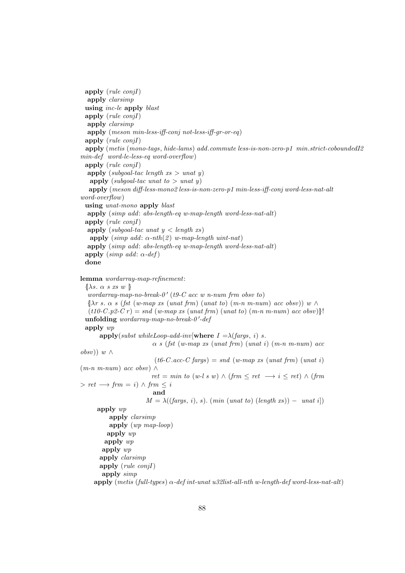```
apply (\text{rule }conj])apply clarsimp
 using inc-le apply blast
 apply (\text{rule }conj])apply clarsimp
  apply (meson min-less-iff-conj not-less-iff-gr-or-eq)
 apply (\text{rule }conj])apply (metis (mono-tags, hide-lams) add.commute less-is-non-zero-p1 min.strict-coboundedI2
min-def word-le-less-eq word-overflow)
 apply (\text{rule } \text{conj})apply (subgoal-tac length xs > unat y)
   apply (subgoal-tac unat to > unat y)
   apply (meson diff-less-mono2 less-is-non-zero-p1 min-less-iff-conj word-less-nat-alt
word-overflow)
 using unat-mono apply blast
  apply (simp add: abs-length-eq w-map-length word-less-nat-alt)
 apply (\text{rule }conj])apply (subgoal-tac unat y < length xs)
   apply (simp \ add: \ \alpha\text{-}nth(2) \ \ w\text{-}map\text{-}length \ unit\text{-}nat)apply (simp add: abs-length-eq w-map-length word-less-nat-alt)
 apply (simp add: \alpha-def)
 done
lemma wordarray-map-refinement:
  \{\lambda s. \alpha s \text{ is } w\}wordarray-map-no-break-0' (t9-C acc w n-num frm obsv to)
  {\{\lambda r s. \alpha s (fst (w-map xs (unat frm) (unat to) (m-n m-num) acc obsv)) w \wedge(t10-C, p2-C r ) = snd (w-map xs (unat frm) (unat to) (m-n m-num) acc obsv)||!
  unfolding wordarray-map-no-break-0'-def
 apply wp
       apply(subst while Loop-add-inv[where I = \lambda(fargs, i) s.\alpha s (fst (w-map xs (unat frm) (unat i) (m-n m-num) acc
\mathit{obsv})) w \wedge(t6-C \tcdot acc-C \t{fargs}) = \t{snd} (w \t{-}map \t{xs} (unat \t{fm}) (unat \t{i})(m-n-m-num) acc obsv) ∧
```

```
ret = min to (w-l s w) \wedge (frm \le ret \rightarrow i \le ret) \wedge (frm> ret \longrightarrow frm = i) \wedge frm \leq iand
                          M = \lambda((\text{fargs}, i), s). (min (unat to) (length xs)) – unat i])
      apply wp
           apply clarsimp
           apply (wp map-loop)
          apply wp
         apply wp
        apply wp
       apply clarsimp
       apply (\text{rule } \text{conj})apply simp
```
apply (metis (full-types)  $\alpha$ -def int-unat u32list-all-nth w-length-def word-less-nat-alt)